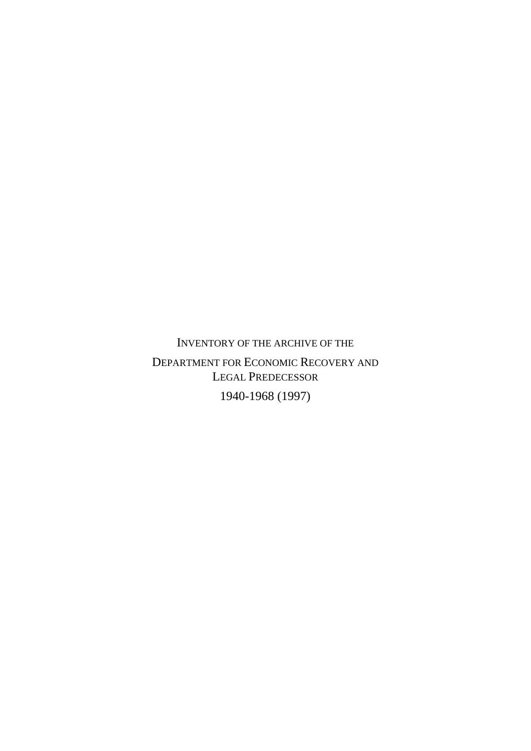INVENTORY OF THE ARCHIVE OF THE

DEPARTMENT FOR ECONOMIC RECOVERY AND LEGAL PREDECESSOR

1940-1968 (1997)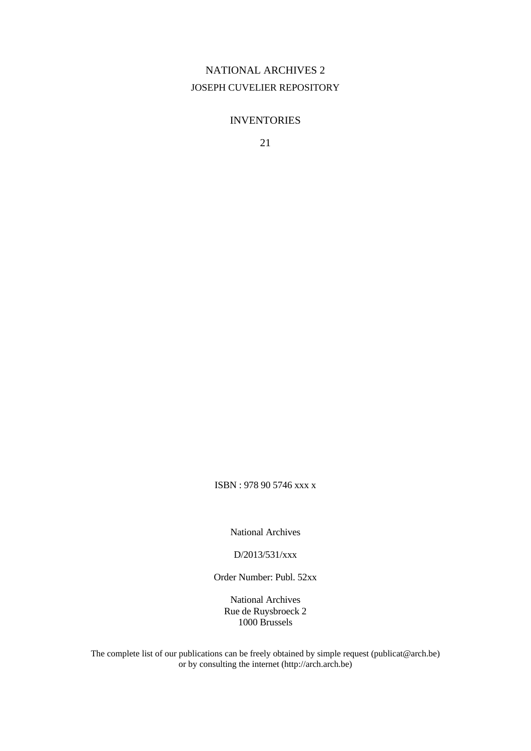### NATIONAL ARCHIVES 2 JOSEPH CUVELIER REPOSITORY

#### INVENTORIES

21

ISBN : 978 90 5746 xxx x

National Archives

D/2013/531/xxx

Order Number: Publ. 52xx

National Archives Rue de Ruysbroeck 2 1000 Brussels

The complete list of our publications can be freely obtained by simple request (publicat@arch.be) or by consulting the internet (http://arch.arch.be)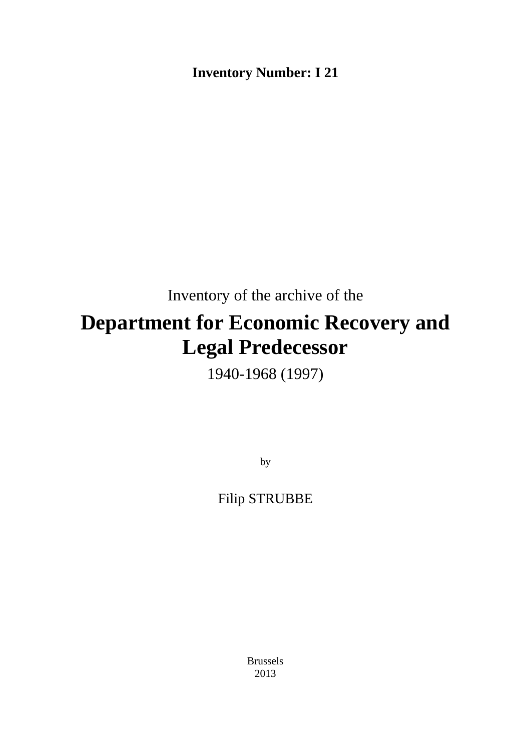**Inventory Number: I 21**

Inventory of the archive of the

# **Department for Economic Recovery and Legal Predecessor**

1940-1968 (1997)

by

Filip STRUBBE

Brussels 2013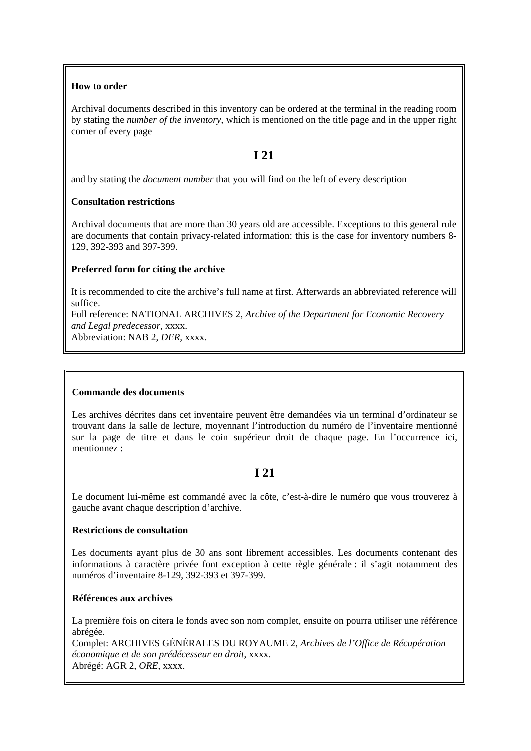#### **How to order**

Archival documents described in this inventory can be ordered at the terminal in the reading room by stating the *number of the inventory*, which is mentioned on the title page and in the upper right corner of every page

### **I 21**

and by stating the *document number* that you will find on the left of every description

#### **Consultation restrictions**

Archival documents that are more than 30 years old are accessible. Exceptions to this general rule are documents that contain privacy-related information: this is the case for inventory numbers 8- 129, 392-393 and 397-399.

#### **Preferred form for citing the archive**

It is recommended to cite the archive's full name at first. Afterwards an abbreviated reference will suffice.

Full reference: NATIONAL ARCHIVES 2, *Archive of the Department for Economic Recovery and Legal predecessor*, xxxx.

Abbreviation: NAB 2, *DER,* xxxx.

#### **Commande des documents**

Les archives décrites dans cet inventaire peuvent être demandées via un terminal d'ordinateur se trouvant dans la salle de lecture, moyennant l'introduction du numéro de l'inventaire mentionné sur la page de titre et dans le coin supérieur droit de chaque page. En l'occurrence ici, mentionnez :

### **I 21**

Le document lui-même est commandé avec la côte, c'est-à-dire le numéro que vous trouverez à gauche avant chaque description d'archive.

#### **Restrictions de consultation**

Les documents ayant plus de 30 ans sont librement accessibles. Les documents contenant des informations à caractère privée font exception à cette règle générale : il s'agit notamment des numéros d'inventaire 8-129, 392-393 et 397-399.

#### **Références aux archives**

La première fois on citera le fonds avec son nom complet, ensuite on pourra utiliser une référence abrégée.

Complet: ARCHIVES GÉNÉRALES DU ROYAUME 2, *Archives de l'Office de Récupération économique et de son prédécesseur en droit*, xxxx. Abrégé: AGR 2, *ORE*, xxxx.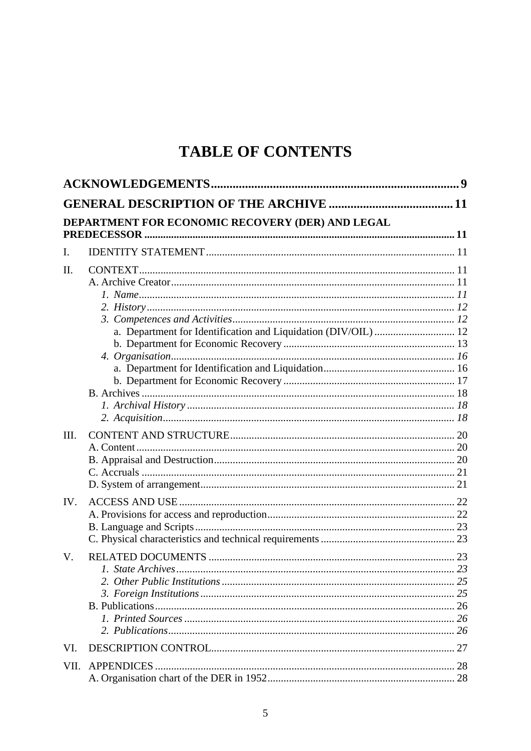# **TABLE OF CONTENTS**

|      | DEPARTMENT FOR ECONOMIC RECOVERY (DER) AND LEGAL<br><b>PREDECESSOR</b> |  |
|------|------------------------------------------------------------------------|--|
| I.   |                                                                        |  |
| II.  |                                                                        |  |
|      |                                                                        |  |
|      |                                                                        |  |
|      |                                                                        |  |
|      |                                                                        |  |
|      | a. Department for Identification and Liquidation (DIV/OIL)  12         |  |
|      |                                                                        |  |
|      |                                                                        |  |
|      |                                                                        |  |
|      |                                                                        |  |
|      |                                                                        |  |
|      |                                                                        |  |
| III. |                                                                        |  |
|      |                                                                        |  |
|      |                                                                        |  |
|      |                                                                        |  |
|      |                                                                        |  |
| IV.  |                                                                        |  |
|      |                                                                        |  |
|      |                                                                        |  |
|      |                                                                        |  |
| V.   |                                                                        |  |
|      |                                                                        |  |
|      |                                                                        |  |
|      |                                                                        |  |
|      |                                                                        |  |
|      |                                                                        |  |
| VI.  |                                                                        |  |
| VII. | <b>APPENDICES</b>                                                      |  |
|      |                                                                        |  |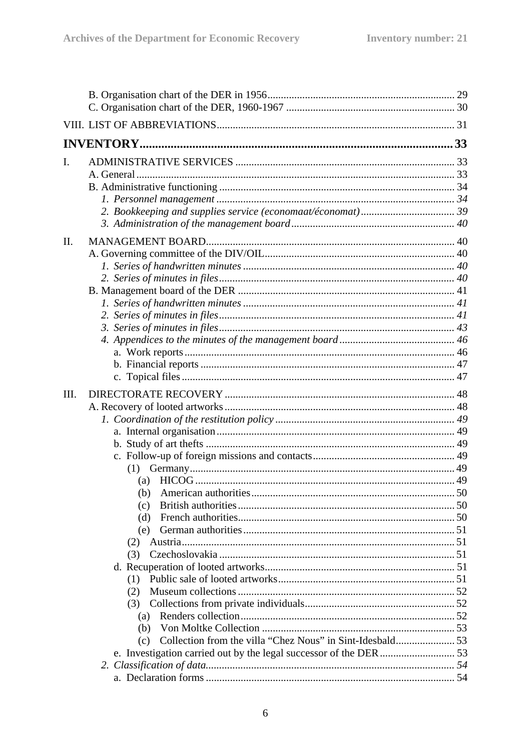| L.   |     |  |
|------|-----|--|
|      |     |  |
|      |     |  |
|      |     |  |
|      |     |  |
|      |     |  |
| II.  |     |  |
|      |     |  |
|      |     |  |
|      |     |  |
|      |     |  |
|      |     |  |
|      |     |  |
|      |     |  |
|      |     |  |
|      |     |  |
|      |     |  |
|      |     |  |
| III. |     |  |
|      |     |  |
|      |     |  |
|      |     |  |
|      |     |  |
|      |     |  |
|      |     |  |
|      | (a) |  |
|      | (b) |  |
|      | (c) |  |
|      | (d) |  |
|      | (e) |  |
|      | (2) |  |
|      | (3) |  |
|      | (1) |  |
|      | (2) |  |
|      | (3) |  |
|      |     |  |
|      | (b) |  |
|      | (c) |  |
|      |     |  |
|      |     |  |
|      |     |  |
|      |     |  |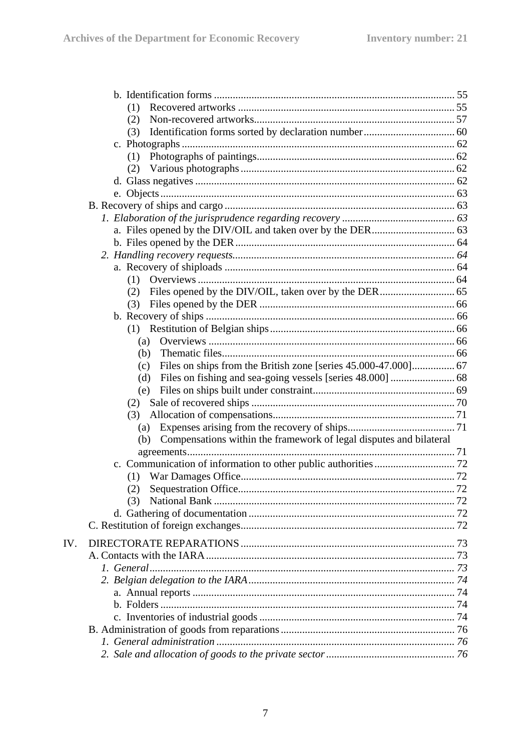|     | (1)                                                                       |  |
|-----|---------------------------------------------------------------------------|--|
|     | (2)                                                                       |  |
|     | (3)                                                                       |  |
|     |                                                                           |  |
|     | (1)                                                                       |  |
|     | (2)                                                                       |  |
|     |                                                                           |  |
|     |                                                                           |  |
|     |                                                                           |  |
|     |                                                                           |  |
|     |                                                                           |  |
|     |                                                                           |  |
|     |                                                                           |  |
|     |                                                                           |  |
|     | (1)                                                                       |  |
|     | (2)                                                                       |  |
|     | (3)                                                                       |  |
|     |                                                                           |  |
|     |                                                                           |  |
|     | (a)                                                                       |  |
|     | (b)                                                                       |  |
|     | (c)                                                                       |  |
|     | (d)                                                                       |  |
|     | (e)                                                                       |  |
|     | (2)                                                                       |  |
|     | (3)                                                                       |  |
|     | (a)                                                                       |  |
|     | Compensations within the framework of legal disputes and bilateral<br>(b) |  |
|     |                                                                           |  |
|     |                                                                           |  |
|     | (1)                                                                       |  |
|     |                                                                           |  |
|     | (3)                                                                       |  |
|     |                                                                           |  |
|     |                                                                           |  |
| IV. |                                                                           |  |
|     |                                                                           |  |
|     |                                                                           |  |
|     |                                                                           |  |
|     |                                                                           |  |
|     |                                                                           |  |
|     |                                                                           |  |
|     |                                                                           |  |
|     |                                                                           |  |
|     |                                                                           |  |
|     |                                                                           |  |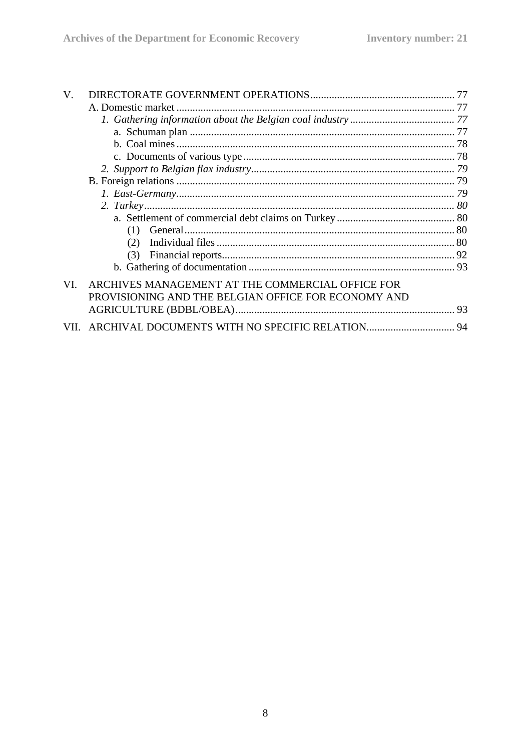| V.  |                                                                                                         |  |
|-----|---------------------------------------------------------------------------------------------------------|--|
|     |                                                                                                         |  |
|     |                                                                                                         |  |
|     |                                                                                                         |  |
|     |                                                                                                         |  |
|     |                                                                                                         |  |
|     |                                                                                                         |  |
|     |                                                                                                         |  |
|     |                                                                                                         |  |
|     |                                                                                                         |  |
|     |                                                                                                         |  |
|     | (1)                                                                                                     |  |
|     | (2)                                                                                                     |  |
|     | (3)                                                                                                     |  |
|     |                                                                                                         |  |
| VI. | ARCHIVES MANAGEMENT AT THE COMMERCIAL OFFICE FOR<br>PROVISIONING AND THE BELGIAN OFFICE FOR ECONOMY AND |  |
|     |                                                                                                         |  |
|     |                                                                                                         |  |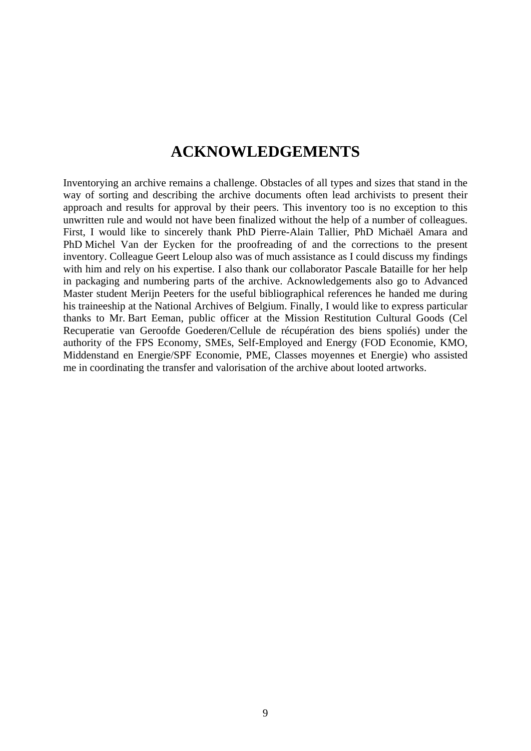## **ACKNOWLEDGEMENTS**

Inventorying an archive remains a challenge. Obstacles of all types and sizes that stand in the way of sorting and describing the archive documents often lead archivists to present their approach and results for approval by their peers. This inventory too is no exception to this unwritten rule and would not have been finalized without the help of a number of colleagues. First, I would like to sincerely thank PhD Pierre-Alain Tallier, PhD Michaël Amara and PhD Michel Van der Eycken for the proofreading of and the corrections to the present inventory. Colleague Geert Leloup also was of much assistance as I could discuss my findings with him and rely on his expertise. I also thank our collaborator Pascale Bataille for her help in packaging and numbering parts of the archive. Acknowledgements also go to Advanced Master student Merijn Peeters for the useful bibliographical references he handed me during his traineeship at the National Archives of Belgium. Finally, I would like to express particular thanks to Mr. Bart Eeman, public officer at the Mission Restitution Cultural Goods (Cel Recuperatie van Geroofde Goederen/Cellule de récupération des biens spoliés) under the authority of the FPS Economy, SMEs, Self-Employed and Energy (FOD Economie, KMO, Middenstand en Energie/SPF Economie, PME, Classes moyennes et Energie) who assisted me in coordinating the transfer and valorisation of the archive about looted artworks.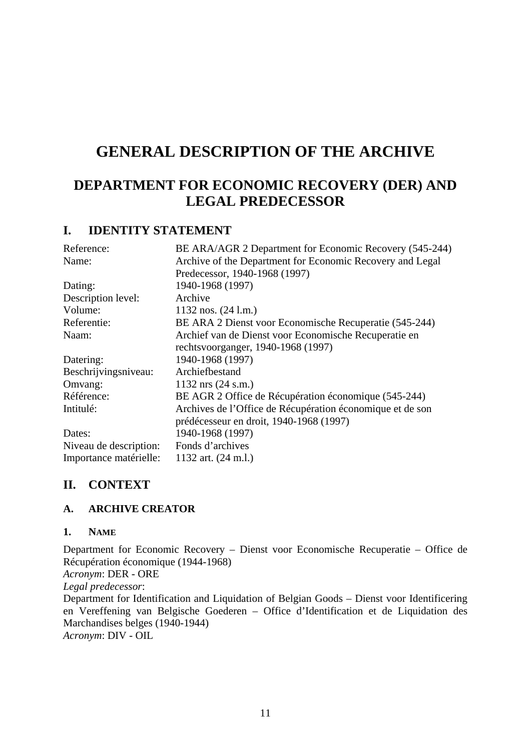# **GENERAL DESCRIPTION OF THE ARCHIVE**

### **DEPARTMENT FOR ECONOMIC RECOVERY (DER) AND LEGAL PREDECESSOR**

### **I. IDENTITY STATEMENT**

| Reference:             | BE ARA/AGR 2 Department for Economic Recovery (545-244)   |
|------------------------|-----------------------------------------------------------|
| Name:                  | Archive of the Department for Economic Recovery and Legal |
|                        | Predecessor, 1940-1968 (1997)                             |
| Dating:                | 1940-1968 (1997)                                          |
| Description level:     | Archive                                                   |
| Volume:                | 1132 nos. $(24$ l.m.)                                     |
| Referentie:            | BE ARA 2 Dienst voor Economische Recuperatie (545-244)    |
| Naam:                  | Archief van de Dienst voor Economische Recuperatie en     |
|                        | rechtsvoorganger, 1940-1968 (1997)                        |
| Datering:              | 1940-1968 (1997)                                          |
| Beschrijvingsniveau:   | Archiefbestand                                            |
| Omvang:                | $1132$ nrs $(24 \text{ s.m.})$                            |
| Référence:             | BE AGR 2 Office de Récupération économique (545-244)      |
| Intitulé:              | Archives de l'Office de Récupération économique et de son |
|                        | prédécesseur en droit, 1940-1968 (1997)                   |
| Dates:                 | 1940-1968 (1997)                                          |
| Niveau de description: | Fonds d'archives                                          |
| Importance matérielle: | 1132 art. (24 m.l.)                                       |

### **II. CONTEXT**

### **A. ARCHIVE CREATOR**

#### **1. NAME**

Department for Economic Recovery – Dienst voor Economische Recuperatie – Office de Récupération économique (1944-1968) *Acronym*: DER - ORE *Legal predecessor*: Department for Identification and Liquidation of Belgian Goods – Dienst voor Identificering

en Vereffening van Belgische Goederen – Office d'Identification et de Liquidation des Marchandises belges (1940-1944) *Acronym*: DIV - OIL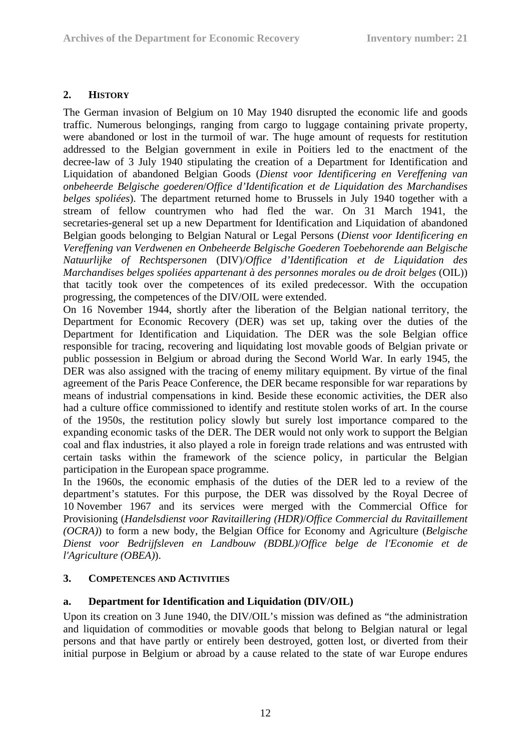### **2. HISTORY**

The German invasion of Belgium on 10 May 1940 disrupted the economic life and goods traffic. Numerous belongings, ranging from cargo to luggage containing private property, were abandoned or lost in the turmoil of war. The huge amount of requests for restitution addressed to the Belgian government in exile in Poitiers led to the enactment of the decree-law of 3 July 1940 stipulating the creation of a Department for Identification and Liquidation of abandoned Belgian Goods (*Dienst voor Identificering en Vereffening van onbeheerde Belgische goederen*/*Office d'Identification et de Liquidation des Marchandises belges spoliées*). The department returned home to Brussels in July 1940 together with a stream of fellow countrymen who had fled the war. On 31 March 1941, the secretaries-general set up a new Department for Identification and Liquidation of abandoned Belgian goods belonging to Belgian Natural or Legal Persons (*Dienst voor Identificering en Vereffening van Verdwenen en Onbeheerde Belgische Goederen Toebehorende aan Belgische Natuurlijke of Rechtspersonen* (DIV)/*Office d'Identification et de Liquidation des Marchandises belges spoliées appartenant à des personnes morales ou de droit belges* (OIL)) that tacitly took over the competences of its exiled predecessor. With the occupation progressing, the competences of the DIV/OIL were extended.

On 16 November 1944, shortly after the liberation of the Belgian national territory, the Department for Economic Recovery (DER) was set up, taking over the duties of the Department for Identification and Liquidation. The DER was the sole Belgian office responsible for tracing, recovering and liquidating lost movable goods of Belgian private or public possession in Belgium or abroad during the Second World War. In early 1945, the DER was also assigned with the tracing of enemy military equipment. By virtue of the final agreement of the Paris Peace Conference, the DER became responsible for war reparations by means of industrial compensations in kind. Beside these economic activities, the DER also had a culture office commissioned to identify and restitute stolen works of art. In the course of the 1950s, the restitution policy slowly but surely lost importance compared to the expanding economic tasks of the DER. The DER would not only work to support the Belgian coal and flax industries, it also played a role in foreign trade relations and was entrusted with certain tasks within the framework of the science policy, in particular the Belgian participation in the European space programme.

In the 1960s, the economic emphasis of the duties of the DER led to a review of the department's statutes. For this purpose, the DER was dissolved by the Royal Decree of 10 November 1967 and its services were merged with the Commercial Office for Provisioning (*Handelsdienst voor Ravitaillering (HDR)*/*Office Commercial du Ravitaillement (OCRA)*) to form a new body, the Belgian Office for Economy and Agriculture (*Belgische Dienst voor Bedrijfsleven en Landbouw (BDBL)*/*Office belge de l'Economie et de l'Agriculture (OBEA)*).

#### **3. COMPETENCES AND ACTIVITIES**

### **a. Department for Identification and Liquidation (DIV/OIL)**

Upon its creation on 3 June 1940, the DIV/OIL's mission was defined as "the administration and liquidation of commodities or movable goods that belong to Belgian natural or legal persons and that have partly or entirely been destroyed, gotten lost, or diverted from their initial purpose in Belgium or abroad by a cause related to the state of war Europe endures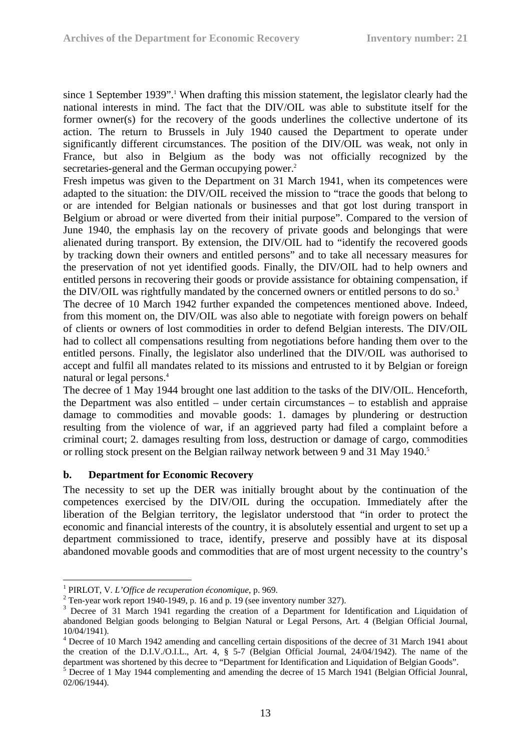since 1 September 1939".<sup>1</sup> When drafting this mission statement, the legislator clearly had the national interests in mind. The fact that the DIV/OIL was able to substitute itself for the former owner(s) for the recovery of the goods underlines the collective undertone of its action. The return to Brussels in July 1940 caused the Department to operate under significantly different circumstances. The position of the DIV/OIL was weak, not only in France, but also in Belgium as the body was not officially recognized by the secretaries-general and the German occupying power.<sup>2</sup>

Fresh impetus was given to the Department on 31 March 1941, when its competences were adapted to the situation: the DIV/OIL received the mission to "trace the goods that belong to or are intended for Belgian nationals or businesses and that got lost during transport in Belgium or abroad or were diverted from their initial purpose". Compared to the version of June 1940, the emphasis lay on the recovery of private goods and belongings that were alienated during transport. By extension, the DIV/OIL had to "identify the recovered goods by tracking down their owners and entitled persons" and to take all necessary measures for the preservation of not yet identified goods. Finally, the DIV/OIL had to help owners and entitled persons in recovering their goods or provide assistance for obtaining compensation, if the DIV/OIL was rightfully mandated by the concerned owners or entitled persons to do so.<sup>3</sup>

The decree of 10 March 1942 further expanded the competences mentioned above. Indeed, from this moment on, the DIV/OIL was also able to negotiate with foreign powers on behalf of clients or owners of lost commodities in order to defend Belgian interests. The DIV/OIL had to collect all compensations resulting from negotiations before handing them over to the entitled persons. Finally, the legislator also underlined that the DIV/OIL was authorised to accept and fulfil all mandates related to its missions and entrusted to it by Belgian or foreign natural or legal persons.4

The decree of 1 May 1944 brought one last addition to the tasks of the DIV/OIL. Henceforth, the Department was also entitled – under certain circumstances – to establish and appraise damage to commodities and movable goods: 1. damages by plundering or destruction resulting from the violence of war, if an aggrieved party had filed a complaint before a criminal court; 2. damages resulting from loss, destruction or damage of cargo, commodities or rolling stock present on the Belgian railway network between 9 and 31 May 1940.<sup>5</sup>

#### **b. Department for Economic Recovery**

The necessity to set up the DER was initially brought about by the continuation of the competences exercised by the DIV/OIL during the occupation. Immediately after the liberation of the Belgian territory, the legislator understood that "in order to protect the economic and financial interests of the country, it is absolutely essential and urgent to set up a department commissioned to trace, identify, preserve and possibly have at its disposal abandoned movable goods and commodities that are of most urgent necessity to the country's

<sup>1</sup> <sup>1</sup> PIRLOT, V. *L'Office de recuperation économique*, p. 969.

 $2$  Ten-year work report 1940-1949, p. 16 and p. 19 (see inventory number 327).

<sup>&</sup>lt;sup>3</sup> Decree of 31 March 1941 regarding the creation of a Department for Identification and Liquidation of abandoned Belgian goods belonging to Belgian Natural or Legal Persons, Art. 4 (Belgian Official Journal, 10/04/1941).

<sup>&</sup>lt;sup>4</sup> Decree of 10 March 1942 amending and cancelling certain dispositions of the decree of 31 March 1941 about the creation of the D.I.V./O.I.L., Art. 4, § 5-7 (Belgian Official Journal, 24/04/1942). The name of the department was shortened by this decree to "Department for Identification and Liquidation of Belgian Goods". 5

Decree of 1 May 1944 complementing and amending the decree of 15 March 1941 (Belgian Official Jounral, 02/06/1944).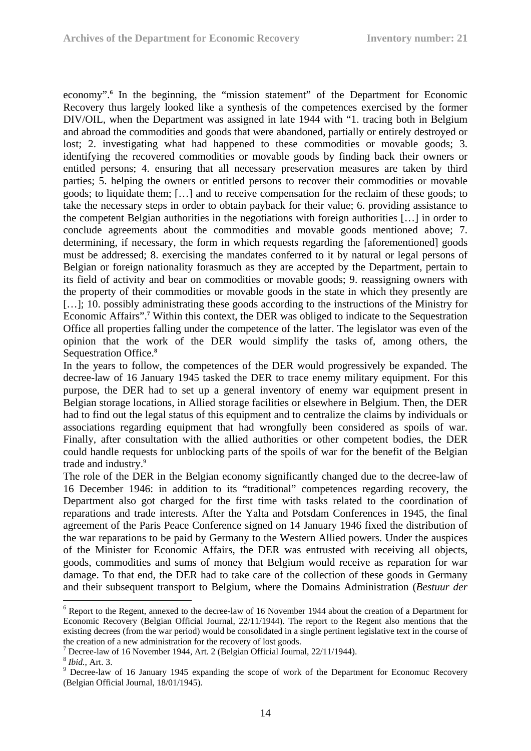economy".<sup>6</sup> In the beginning, the "mission statement" of the Department for Economic Recovery thus largely looked like a synthesis of the competences exercised by the former DIV/OIL, when the Department was assigned in late 1944 with "1. tracing both in Belgium and abroad the commodities and goods that were abandoned, partially or entirely destroyed or lost; 2. investigating what had happened to these commodities or movable goods; 3. identifying the recovered commodities or movable goods by finding back their owners or entitled persons; 4. ensuring that all necessary preservation measures are taken by third parties; 5. helping the owners or entitled persons to recover their commodities or movable goods; to liquidate them; […] and to receive compensation for the reclaim of these goods; to take the necessary steps in order to obtain payback for their value; 6. providing assistance to the competent Belgian authorities in the negotiations with foreign authorities […] in order to conclude agreements about the commodities and movable goods mentioned above; 7. determining, if necessary, the form in which requests regarding the [aforementioned] goods must be addressed; 8. exercising the mandates conferred to it by natural or legal persons of Belgian or foreign nationality forasmuch as they are accepted by the Department, pertain to its field of activity and bear on commodities or movable goods; 9. reassigning owners with the property of their commodities or movable goods in the state in which they presently are […]; 10. possibly administrating these goods according to the instructions of the Ministry for Economic Affairs".**<sup>7</sup>** Within this context, the DER was obliged to indicate to the Sequestration Office all properties falling under the competence of the latter. The legislator was even of the opinion that the work of the DER would simplify the tasks of, among others, the Sequestration Office.**<sup>8</sup>**

In the years to follow, the competences of the DER would progressively be expanded. The decree-law of 16 January 1945 tasked the DER to trace enemy military equipment. For this purpose, the DER had to set up a general inventory of enemy war equipment present in Belgian storage locations, in Allied storage facilities or elsewhere in Belgium. Then, the DER had to find out the legal status of this equipment and to centralize the claims by individuals or associations regarding equipment that had wrongfully been considered as spoils of war. Finally, after consultation with the allied authorities or other competent bodies, the DER could handle requests for unblocking parts of the spoils of war for the benefit of the Belgian trade and industry.9

The role of the DER in the Belgian economy significantly changed due to the decree-law of 16 December 1946: in addition to its "traditional" competences regarding recovery, the Department also got charged for the first time with tasks related to the coordination of reparations and trade interests. After the Yalta and Potsdam Conferences in 1945, the final agreement of the Paris Peace Conference signed on 14 January 1946 fixed the distribution of the war reparations to be paid by Germany to the Western Allied powers. Under the auspices of the Minister for Economic Affairs, the DER was entrusted with receiving all objects, goods, commodities and sums of money that Belgium would receive as reparation for war damage. To that end, the DER had to take care of the collection of these goods in Germany and their subsequent transport to Belgium, where the Domains Administration (*Bestuur der* 

<u>.</u>

<sup>&</sup>lt;sup>6</sup> Report to the Regent, annexed to the decree-law of 16 November 1944 about the creation of a Department for Economic Recovery (Belgian Official Journal, 22/11/1944). The report to the Regent also mentions that the existing decrees (from the war period) would be consolidated in a single pertinent legislative text in the course of the creation of a new administration for the recovery of lost goods. 7

 $^7$  Decree-law of 16 November 1944, Art. 2 (Belgian Official Journal, 22/11/1944).

<sup>&</sup>lt;sup>8</sup> *Ibid.*, Art. 3.

<sup>&</sup>lt;sup>9</sup> Decree-law of 16 January 1945 expanding the scope of work of the Department for Economuc Recovery (Belgian Official Journal, 18/01/1945).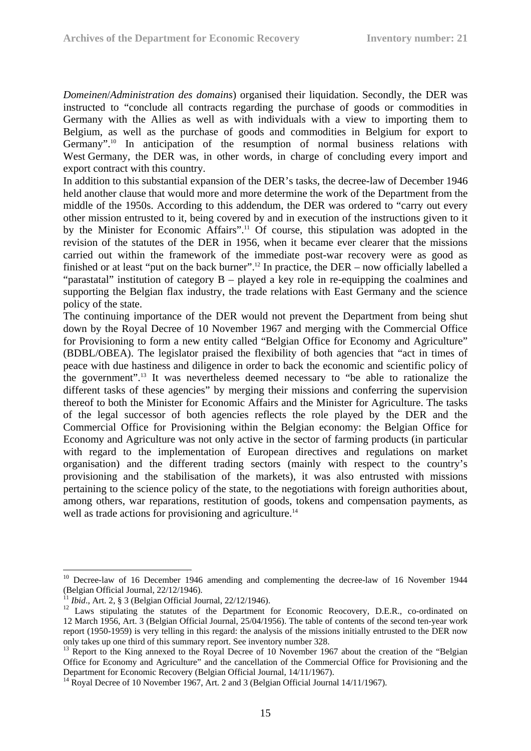*Domeinen*/*Administration des domains*) organised their liquidation. Secondly, the DER was instructed to "conclude all contracts regarding the purchase of goods or commodities in Germany with the Allies as well as with individuals with a view to importing them to Belgium, as well as the purchase of goods and commodities in Belgium for export to Germany".<sup>10</sup> In anticipation of the resumption of normal business relations with West Germany, the DER was, in other words, in charge of concluding every import and export contract with this country.

In addition to this substantial expansion of the DER's tasks, the decree-law of December 1946 held another clause that would more and more determine the work of the Department from the middle of the 1950s. According to this addendum, the DER was ordered to "carry out every other mission entrusted to it, being covered by and in execution of the instructions given to it by the Minister for Economic Affairs".11 Of course, this stipulation was adopted in the revision of the statutes of the DER in 1956, when it became ever clearer that the missions carried out within the framework of the immediate post-war recovery were as good as finished or at least "put on the back burner".<sup>12</sup> In practice, the DER – now officially labelled a "parastatal" institution of category B – played a key role in re-equipping the coalmines and supporting the Belgian flax industry, the trade relations with East Germany and the science policy of the state.

The continuing importance of the DER would not prevent the Department from being shut down by the Royal Decree of 10 November 1967 and merging with the Commercial Office for Provisioning to form a new entity called "Belgian Office for Economy and Agriculture" (BDBL/OBEA). The legislator praised the flexibility of both agencies that "act in times of peace with due hastiness and diligence in order to back the economic and scientific policy of the government".13 It was nevertheless deemed necessary to "be able to rationalize the different tasks of these agencies" by merging their missions and conferring the supervision thereof to both the Minister for Economic Affairs and the Minister for Agriculture. The tasks of the legal successor of both agencies reflects the role played by the DER and the Commercial Office for Provisioning within the Belgian economy: the Belgian Office for Economy and Agriculture was not only active in the sector of farming products (in particular with regard to the implementation of European directives and regulations on market organisation) and the different trading sectors (mainly with respect to the country's provisioning and the stabilisation of the markets), it was also entrusted with missions pertaining to the science policy of the state, to the negotiations with foreign authorities about, among others, war reparations, restitution of goods, tokens and compensation payments, as well as trade actions for provisioning and agriculture.<sup>14</sup>

<u>.</u>

<sup>&</sup>lt;sup>10</sup> Decree-law of 16 December 1946 amending and complementing the decree-law of 16 November 1944 (Belgian Official Journal,  $22/12/1946$ ).<br><sup>11</sup> *Ibid.*, Art. 2, § 3 (Belgian Official Journal,  $22/12/1946$ ).

<sup>&</sup>lt;sup>12</sup> Laws stipulating the statutes of the Department for Economic Reocovery, D.E.R., co-ordinated on 12 March 1956, Art. 3 (Belgian Official Journal, 25/04/1956). The table of contents of the second ten-year work report (1950-1959) is very telling in this regard: the analysis of the missions initially entrusted to the DER now only takes up one third of this summary report. See inventory number 328.

<sup>&</sup>lt;sup>13</sup> Report to the King annexed to the Royal Decree of 10 November 1967 about the creation of the "Belgian" Office for Economy and Agriculture" and the cancellation of the Commercial Office for Provisioning and the Department for Economic Recovery (Belgian Official Journal, 14/11/1967).

<sup>&</sup>lt;sup>14</sup> Royal Decree of 10 November 1967, Art. 2 and 3 (Belgian Official Journal 14/11/1967).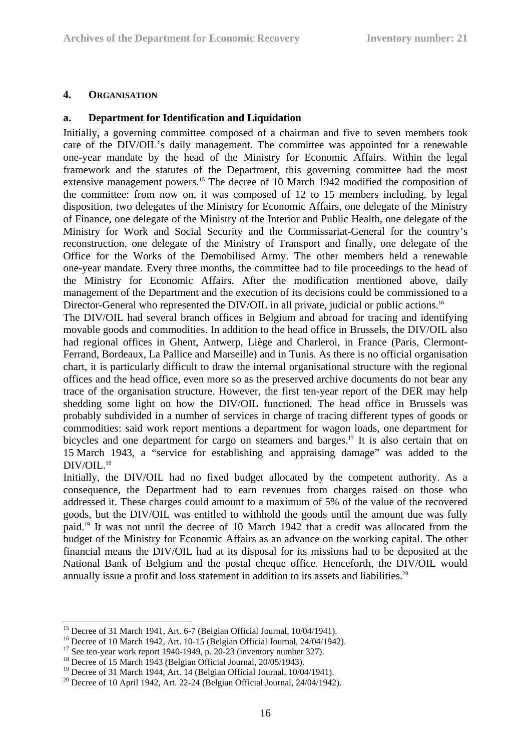### **4. ORGANISATION**

#### **a. Department for Identification and Liquidation**

Initially, a governing committee composed of a chairman and five to seven members took care of the DIV/OIL's daily management. The committee was appointed for a renewable one-year mandate by the head of the Ministry for Economic Affairs. Within the legal framework and the statutes of the Department, this governing committee had the most extensive management powers.<sup>15</sup> The decree of 10 March 1942 modified the composition of the committee: from now on, it was composed of 12 to 15 members including, by legal disposition, two delegates of the Ministry for Economic Affairs, one delegate of the Ministry of Finance, one delegate of the Ministry of the Interior and Public Health, one delegate of the Ministry for Work and Social Security and the Commissariat-General for the country's reconstruction, one delegate of the Ministry of Transport and finally, one delegate of the Office for the Works of the Demobilised Army. The other members held a renewable one-year mandate. Every three months, the committee had to file proceedings to the head of the Ministry for Economic Affairs. After the modification mentioned above, daily management of the Department and the execution of its decisions could be commissioned to a Director-General who represented the DIV/OIL in all private, judicial or public actions.<sup>16</sup>

The DIV/OIL had several branch offices in Belgium and abroad for tracing and identifying movable goods and commodities. In addition to the head office in Brussels, the DIV/OIL also had regional offices in Ghent, Antwerp, Liège and Charleroi, in France (Paris, Clermont-Ferrand, Bordeaux, La Pallice and Marseille) and in Tunis. As there is no official organisation chart, it is particularly difficult to draw the internal organisational structure with the regional offices and the head office, even more so as the preserved archive documents do not bear any trace of the organisation structure. However, the first ten-year report of the DER may help shedding some light on how the DIV/OIL functioned. The head office in Brussels was probably subdivided in a number of services in charge of tracing different types of goods or commodities: said work report mentions a department for wagon loads, one department for bicycles and one department for cargo on steamers and barges.<sup>17</sup> It is also certain that on 15 March 1943, a "service for establishing and appraising damage" was added to the DIV/OIL.<sup>18</sup>

Initially, the DIV/OIL had no fixed budget allocated by the competent authority. As a consequence, the Department had to earn revenues from charges raised on those who addressed it. These charges could amount to a maximum of 5% of the value of the recovered goods, but the DIV/OIL was entitled to withhold the goods until the amount due was fully paid.19 It was not until the decree of 10 March 1942 that a credit was allocated from the budget of the Ministry for Economic Affairs as an advance on the working capital. The other financial means the DIV/OIL had at its disposal for its missions had to be deposited at the National Bank of Belgium and the postal cheque office. Henceforth, the DIV/OIL would annually issue a profit and loss statement in addition to its assets and liabilities.<sup>20</sup>

<sup>1</sup> <sup>15</sup> Decree of 31 March 1941, Art. 6-7 (Belgian Official Journal, 10/04/1941).

<sup>&</sup>lt;sup>16</sup> Decree of 10 March 1942, Art. 10-15 (Belgian Official Journal, 24/04/1942).

 $17$  See ten-year work report 1940-1949, p. 20-23 (inventory number 327).

<sup>&</sup>lt;sup>18</sup> Decree of 15 March 1943 (Belgian Official Journal, 20/05/1943).

<sup>&</sup>lt;sup>19</sup> Decree of 31 March 1944, Art. 14 (Belgian Official Journal, 10/04/1941).

 $20$  Decree of 10 April 1942, Art. 22-24 (Belgian Official Journal, 24/04/1942).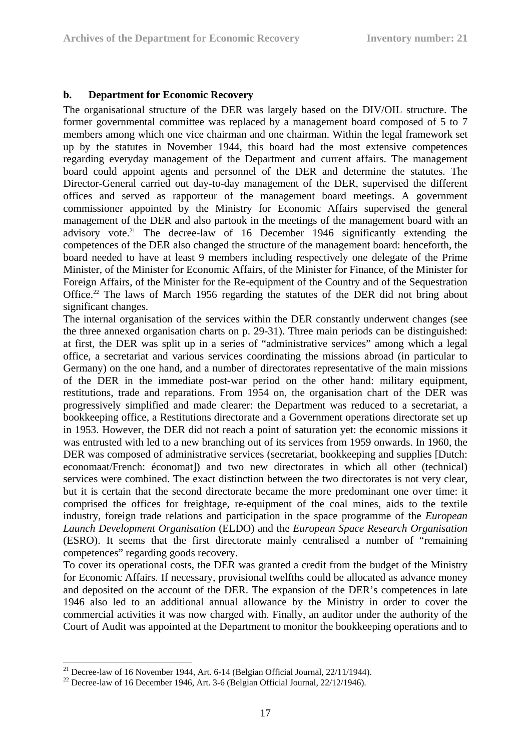### **b. Department for Economic Recovery**

The organisational structure of the DER was largely based on the DIV/OIL structure. The former governmental committee was replaced by a management board composed of 5 to 7 members among which one vice chairman and one chairman. Within the legal framework set up by the statutes in November 1944, this board had the most extensive competences regarding everyday management of the Department and current affairs. The management board could appoint agents and personnel of the DER and determine the statutes. The Director-General carried out day-to-day management of the DER, supervised the different offices and served as rapporteur of the management board meetings. A government commissioner appointed by the Ministry for Economic Affairs supervised the general management of the DER and also partook in the meetings of the management board with an advisory vote.<sup>21</sup> The decree-law of 16 December 1946 significantly extending the competences of the DER also changed the structure of the management board: henceforth, the board needed to have at least 9 members including respectively one delegate of the Prime Minister, of the Minister for Economic Affairs, of the Minister for Finance, of the Minister for Foreign Affairs, of the Minister for the Re-equipment of the Country and of the Sequestration Office.<sup>22</sup> The laws of March 1956 regarding the statutes of the DER did not bring about significant changes.

The internal organisation of the services within the DER constantly underwent changes (see the three annexed organisation charts on p. 29-31). Three main periods can be distinguished: at first, the DER was split up in a series of "administrative services" among which a legal office, a secretariat and various services coordinating the missions abroad (in particular to Germany) on the one hand, and a number of directorates representative of the main missions of the DER in the immediate post-war period on the other hand: military equipment, restitutions, trade and reparations. From 1954 on, the organisation chart of the DER was progressively simplified and made clearer: the Department was reduced to a secretariat, a bookkeeping office, a Restitutions directorate and a Government operations directorate set up in 1953. However, the DER did not reach a point of saturation yet: the economic missions it was entrusted with led to a new branching out of its services from 1959 onwards. In 1960, the DER was composed of administrative services (secretariat, bookkeeping and supplies [Dutch: economaat/French: économat]) and two new directorates in which all other (technical) services were combined. The exact distinction between the two directorates is not very clear, but it is certain that the second directorate became the more predominant one over time: it comprised the offices for freightage, re-equipment of the coal mines, aids to the textile industry, foreign trade relations and participation in the space programme of the *European Launch Development Organisation* (ELDO) and the *European Space Research Organisation* (ESRO). It seems that the first directorate mainly centralised a number of "remaining competences" regarding goods recovery.

To cover its operational costs, the DER was granted a credit from the budget of the Ministry for Economic Affairs. If necessary, provisional twelfths could be allocated as advance money and deposited on the account of the DER. The expansion of the DER's competences in late 1946 also led to an additional annual allowance by the Ministry in order to cover the commercial activities it was now charged with. Finally, an auditor under the authority of the Court of Audit was appointed at the Department to monitor the bookkeeping operations and to

<sup>&</sup>lt;u>.</u> <sup>21</sup> Decree-law of 16 November 1944, Art. 6-14 (Belgian Official Journal,  $22/11/1944$ ).

<sup>&</sup>lt;sup>22</sup> Decree-law of 16 December 1946, Art. 3-6 (Belgian Official Journal,  $22/12/1946$ ).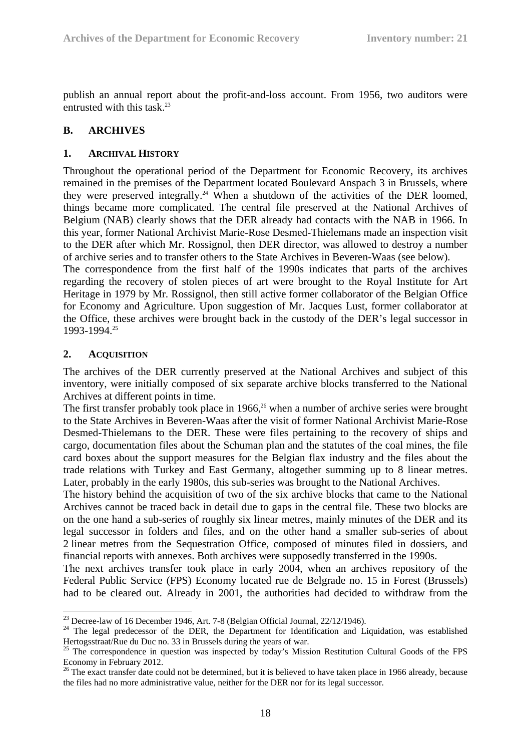publish an annual report about the profit-and-loss account. From 1956, two auditors were entrusted with this task. $23$ 

### **B. ARCHIVES**

#### **1. ARCHIVAL HISTORY**

Throughout the operational period of the Department for Economic Recovery, its archives remained in the premises of the Department located Boulevard Anspach 3 in Brussels, where they were preserved integrally.<sup>24</sup> When a shutdown of the activities of the DER loomed, things became more complicated. The central file preserved at the National Archives of Belgium (NAB) clearly shows that the DER already had contacts with the NAB in 1966. In this year, former National Archivist Marie-Rose Desmed-Thielemans made an inspection visit to the DER after which Mr. Rossignol, then DER director, was allowed to destroy a number of archive series and to transfer others to the State Archives in Beveren-Waas (see below).

The correspondence from the first half of the 1990s indicates that parts of the archives regarding the recovery of stolen pieces of art were brought to the Royal Institute for Art Heritage in 1979 by Mr. Rossignol, then still active former collaborator of the Belgian Office for Economy and Agriculture. Upon suggestion of Mr. Jacques Lust, former collaborator at the Office, these archives were brought back in the custody of the DER's legal successor in 1993-1994.25

#### **2. ACQUISITION**

The archives of the DER currently preserved at the National Archives and subject of this inventory, were initially composed of six separate archive blocks transferred to the National Archives at different points in time.

The first transfer probably took place in 1966,<sup>26</sup> when a number of archive series were brought to the State Archives in Beveren-Waas after the visit of former National Archivist Marie-Rose Desmed-Thielemans to the DER. These were files pertaining to the recovery of ships and cargo, documentation files about the Schuman plan and the statutes of the coal mines, the file card boxes about the support measures for the Belgian flax industry and the files about the trade relations with Turkey and East Germany, altogether summing up to 8 linear metres. Later, probably in the early 1980s, this sub-series was brought to the National Archives.

The history behind the acquisition of two of the six archive blocks that came to the National Archives cannot be traced back in detail due to gaps in the central file. These two blocks are on the one hand a sub-series of roughly six linear metres, mainly minutes of the DER and its legal successor in folders and files, and on the other hand a smaller sub-series of about 2 linear metres from the Sequestration Office, composed of minutes filed in dossiers, and financial reports with annexes. Both archives were supposedly transferred in the 1990s.

The next archives transfer took place in early 2004, when an archives repository of the Federal Public Service (FPS) Economy located rue de Belgrade no. 15 in Forest (Brussels) had to be cleared out. Already in 2001, the authorities had decided to withdraw from the

 $^{23}$  Decree-law of 16 December 1946, Art. 7-8 (Belgian Official Journal, 22/12/1946).

<sup>&</sup>lt;sup>24</sup> The legal predecessor of the DER, the Department for Identification and Liquidation, was established Hertogsstraat/Rue du Duc no. 33 in Brussels during the years of war.

<sup>&</sup>lt;sup>25</sup> The correspondence in question was inspected by today's Mission Restitution Cultural Goods of the FPS Economy in February 2012.

<sup>&</sup>lt;sup>26</sup> The exact transfer date could not be determined, but it is believed to have taken place in 1966 already, because the files had no more administrative value, neither for the DER nor for its legal successor.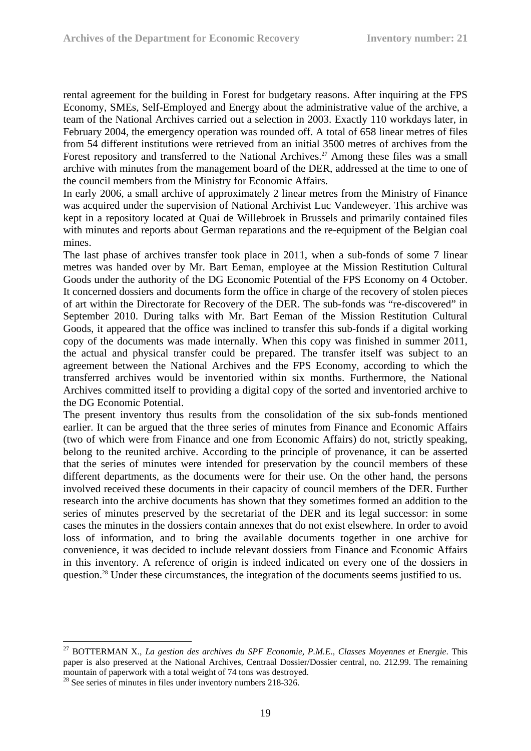rental agreement for the building in Forest for budgetary reasons. After inquiring at the FPS Economy, SMEs, Self-Employed and Energy about the administrative value of the archive, a team of the National Archives carried out a selection in 2003. Exactly 110 workdays later, in February 2004, the emergency operation was rounded off. A total of 658 linear metres of files from 54 different institutions were retrieved from an initial 3500 metres of archives from the Forest repository and transferred to the National Archives.<sup>27</sup> Among these files was a small archive with minutes from the management board of the DER, addressed at the time to one of the council members from the Ministry for Economic Affairs.

In early 2006, a small archive of approximately 2 linear metres from the Ministry of Finance was acquired under the supervision of National Archivist Luc Vandeweyer. This archive was kept in a repository located at Quai de Willebroek in Brussels and primarily contained files with minutes and reports about German reparations and the re-equipment of the Belgian coal mines.

The last phase of archives transfer took place in 2011, when a sub-fonds of some 7 linear metres was handed over by Mr. Bart Eeman, employee at the Mission Restitution Cultural Goods under the authority of the DG Economic Potential of the FPS Economy on 4 October. It concerned dossiers and documents form the office in charge of the recovery of stolen pieces of art within the Directorate for Recovery of the DER. The sub-fonds was "re-discovered" in September 2010. During talks with Mr. Bart Eeman of the Mission Restitution Cultural Goods, it appeared that the office was inclined to transfer this sub-fonds if a digital working copy of the documents was made internally. When this copy was finished in summer 2011, the actual and physical transfer could be prepared. The transfer itself was subject to an agreement between the National Archives and the FPS Economy, according to which the transferred archives would be inventoried within six months. Furthermore, the National Archives committed itself to providing a digital copy of the sorted and inventoried archive to the DG Economic Potential.

The present inventory thus results from the consolidation of the six sub-fonds mentioned earlier. It can be argued that the three series of minutes from Finance and Economic Affairs (two of which were from Finance and one from Economic Affairs) do not, strictly speaking, belong to the reunited archive. According to the principle of provenance, it can be asserted that the series of minutes were intended for preservation by the council members of these different departments, as the documents were for their use. On the other hand, the persons involved received these documents in their capacity of council members of the DER. Further research into the archive documents has shown that they sometimes formed an addition to the series of minutes preserved by the secretariat of the DER and its legal successor: in some cases the minutes in the dossiers contain annexes that do not exist elsewhere. In order to avoid loss of information, and to bring the available documents together in one archive for convenience, it was decided to include relevant dossiers from Finance and Economic Affairs in this inventory. A reference of origin is indeed indicated on every one of the dossiers in question.28 Under these circumstances, the integration of the documents seems justified to us.

1

<sup>27</sup> BOTTERMAN X., *La gestion des archives du SPF Economie, P.M.E., Classes Moyennes et Energie*. This paper is also preserved at the National Archives, Centraal Dossier/Dossier central, no. 212.99. The remaining mountain of paperwork with a total weight of 74 tons was destroyed.

<sup>&</sup>lt;sup>28</sup> See series of minutes in files under inventory numbers 218-326.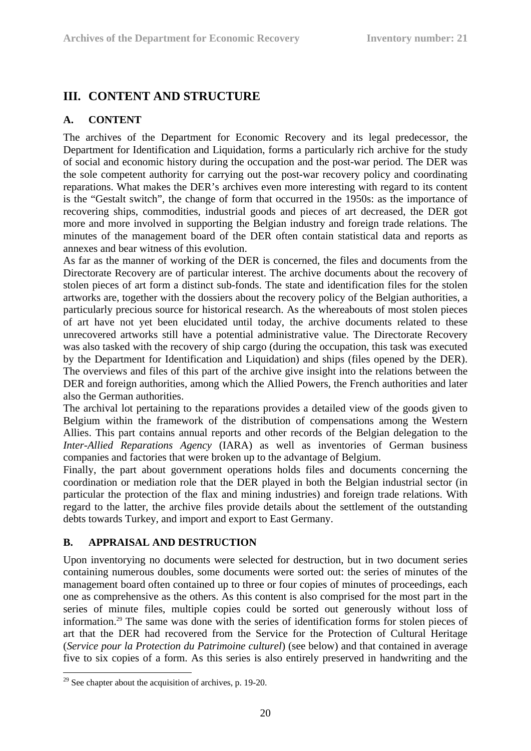### **III. CONTENT AND STRUCTURE**

### **A. CONTENT**

The archives of the Department for Economic Recovery and its legal predecessor, the Department for Identification and Liquidation, forms a particularly rich archive for the study of social and economic history during the occupation and the post-war period. The DER was the sole competent authority for carrying out the post-war recovery policy and coordinating reparations. What makes the DER's archives even more interesting with regard to its content is the "Gestalt switch", the change of form that occurred in the 1950s: as the importance of recovering ships, commodities, industrial goods and pieces of art decreased, the DER got more and more involved in supporting the Belgian industry and foreign trade relations. The minutes of the management board of the DER often contain statistical data and reports as annexes and bear witness of this evolution.

As far as the manner of working of the DER is concerned, the files and documents from the Directorate Recovery are of particular interest. The archive documents about the recovery of stolen pieces of art form a distinct sub-fonds. The state and identification files for the stolen artworks are, together with the dossiers about the recovery policy of the Belgian authorities, a particularly precious source for historical research. As the whereabouts of most stolen pieces of art have not yet been elucidated until today, the archive documents related to these unrecovered artworks still have a potential administrative value. The Directorate Recovery was also tasked with the recovery of ship cargo (during the occupation, this task was executed by the Department for Identification and Liquidation) and ships (files opened by the DER). The overviews and files of this part of the archive give insight into the relations between the DER and foreign authorities, among which the Allied Powers, the French authorities and later also the German authorities.

The archival lot pertaining to the reparations provides a detailed view of the goods given to Belgium within the framework of the distribution of compensations among the Western Allies. This part contains annual reports and other records of the Belgian delegation to the *Inter-Allied Reparations Agency* (IARA) as well as inventories of German business companies and factories that were broken up to the advantage of Belgium.

Finally, the part about government operations holds files and documents concerning the coordination or mediation role that the DER played in both the Belgian industrial sector (in particular the protection of the flax and mining industries) and foreign trade relations. With regard to the latter, the archive files provide details about the settlement of the outstanding debts towards Turkey, and import and export to East Germany.

### **B. APPRAISAL AND DESTRUCTION**

Upon inventorying no documents were selected for destruction, but in two document series containing numerous doubles, some documents were sorted out: the series of minutes of the management board often contained up to three or four copies of minutes of proceedings, each one as comprehensive as the others. As this content is also comprised for the most part in the series of minute files, multiple copies could be sorted out generously without loss of information.29 The same was done with the series of identification forms for stolen pieces of art that the DER had recovered from the Service for the Protection of Cultural Heritage (*Service pour la Protection du Patrimoine culturel*) (see below) and that contained in average five to six copies of a form. As this series is also entirely preserved in handwriting and the

1

 $29$  See chapter about the acquisition of archives, p. 19-20.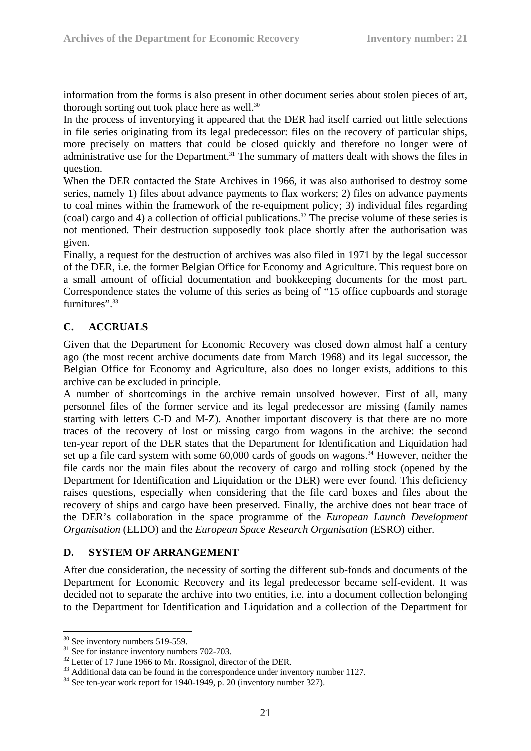information from the forms is also present in other document series about stolen pieces of art, thorough sorting out took place here as well. $30$ 

In the process of inventorying it appeared that the DER had itself carried out little selections in file series originating from its legal predecessor: files on the recovery of particular ships, more precisely on matters that could be closed quickly and therefore no longer were of administrative use for the Department.<sup>31</sup> The summary of matters dealt with shows the files in question.

When the DER contacted the State Archives in 1966, it was also authorised to destroy some series, namely 1) files about advance payments to flax workers; 2) files on advance payments to coal mines within the framework of the re-equipment policy; 3) individual files regarding (coal) cargo and 4) a collection of official publications.<sup>32</sup> The precise volume of these series is not mentioned. Their destruction supposedly took place shortly after the authorisation was given.

Finally, a request for the destruction of archives was also filed in 1971 by the legal successor of the DER, i.e. the former Belgian Office for Economy and Agriculture. This request bore on a small amount of official documentation and bookkeeping documents for the most part. Correspondence states the volume of this series as being of "15 office cupboards and storage furnitures".<sup>33</sup>

### **C. ACCRUALS**

Given that the Department for Economic Recovery was closed down almost half a century ago (the most recent archive documents date from March 1968) and its legal successor, the Belgian Office for Economy and Agriculture, also does no longer exists, additions to this archive can be excluded in principle.

A number of shortcomings in the archive remain unsolved however. First of all, many personnel files of the former service and its legal predecessor are missing (family names starting with letters C-D and M-Z). Another important discovery is that there are no more traces of the recovery of lost or missing cargo from wagons in the archive: the second ten-year report of the DER states that the Department for Identification and Liquidation had set up a file card system with some  $60,000$  cards of goods on wagons.<sup>34</sup> However, neither the file cards nor the main files about the recovery of cargo and rolling stock (opened by the Department for Identification and Liquidation or the DER) were ever found. This deficiency raises questions, especially when considering that the file card boxes and files about the recovery of ships and cargo have been preserved. Finally, the archive does not bear trace of the DER's collaboration in the space programme of the *European Launch Development Organisation* (ELDO) and the *European Space Research Organisation* (ESRO) either.

#### **D. SYSTEM OF ARRANGEMENT**

After due consideration, the necessity of sorting the different sub-fonds and documents of the Department for Economic Recovery and its legal predecessor became self-evident. It was decided not to separate the archive into two entities, i.e. into a document collection belonging to the Department for Identification and Liquidation and a collection of the Department for

<u>.</u>

 $30$  See inventory numbers 519-559.

 $31$  See for instance inventory numbers 702-703.

<sup>&</sup>lt;sup>32</sup> Letter of 17 June 1966 to Mr. Rossignol, director of the DER.

<sup>&</sup>lt;sup>33</sup> Additional data can be found in the correspondence under inventory number 1127.

<sup>34</sup> See ten-year work report for 1940-1949, p. 20 (inventory number 327).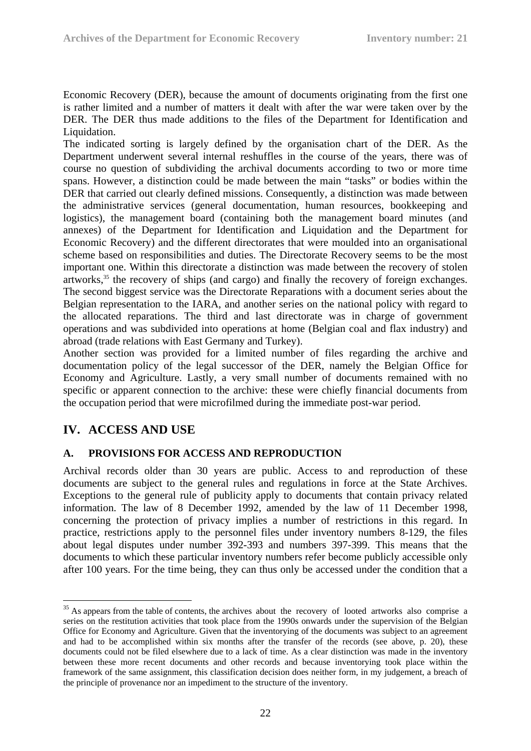Economic Recovery (DER), because the amount of documents originating from the first one is rather limited and a number of matters it dealt with after the war were taken over by the DER. The DER thus made additions to the files of the Department for Identification and Liquidation.

The indicated sorting is largely defined by the organisation chart of the DER. As the Department underwent several internal reshuffles in the course of the years, there was of course no question of subdividing the archival documents according to two or more time spans. However, a distinction could be made between the main "tasks" or bodies within the DER that carried out clearly defined missions. Consequently, a distinction was made between the administrative services (general documentation, human resources, bookkeeping and logistics), the management board (containing both the management board minutes (and annexes) of the Department for Identification and Liquidation and the Department for Economic Recovery) and the different directorates that were moulded into an organisational scheme based on responsibilities and duties. The Directorate Recovery seems to be the most important one. Within this directorate a distinction was made between the recovery of stolen artworks,35 the recovery of ships (and cargo) and finally the recovery of foreign exchanges. The second biggest service was the Directorate Reparations with a document series about the Belgian representation to the IARA, and another series on the national policy with regard to the allocated reparations. The third and last directorate was in charge of government operations and was subdivided into operations at home (Belgian coal and flax industry) and abroad (trade relations with East Germany and Turkey).

Another section was provided for a limited number of files regarding the archive and documentation policy of the legal successor of the DER, namely the Belgian Office for Economy and Agriculture. Lastly, a very small number of documents remained with no specific or apparent connection to the archive: these were chiefly financial documents from the occupation period that were microfilmed during the immediate post-war period.

### **IV. ACCESS AND USE**

<u>.</u>

### **A. PROVISIONS FOR ACCESS AND REPRODUCTION**

Archival records older than 30 years are public. Access to and reproduction of these documents are subject to the general rules and regulations in force at the State Archives. Exceptions to the general rule of publicity apply to documents that contain privacy related information. The law of 8 December 1992, amended by the law of 11 December 1998, concerning the protection of privacy implies a number of restrictions in this regard. In practice, restrictions apply to the personnel files under inventory numbers 8-129, the files about legal disputes under number 392-393 and numbers 397-399. This means that the documents to which these particular inventory numbers refer become publicly accessible only after 100 years. For the time being, they can thus only be accessed under the condition that a

<sup>&</sup>lt;sup>35</sup> As appears from the table of contents, the archives about the recovery of looted artworks also comprise a series on the restitution activities that took place from the 1990s onwards under the supervision of the Belgian Office for Economy and Agriculture. Given that the inventorying of the documents was subject to an agreement and had to be accomplished within six months after the transfer of the records (see above, p. 20), these documents could not be filed elsewhere due to a lack of time. As a clear distinction was made in the inventory between these more recent documents and other records and because inventorying took place within the framework of the same assignment, this classification decision does neither form, in my judgement, a breach of the principle of provenance nor an impediment to the structure of the inventory.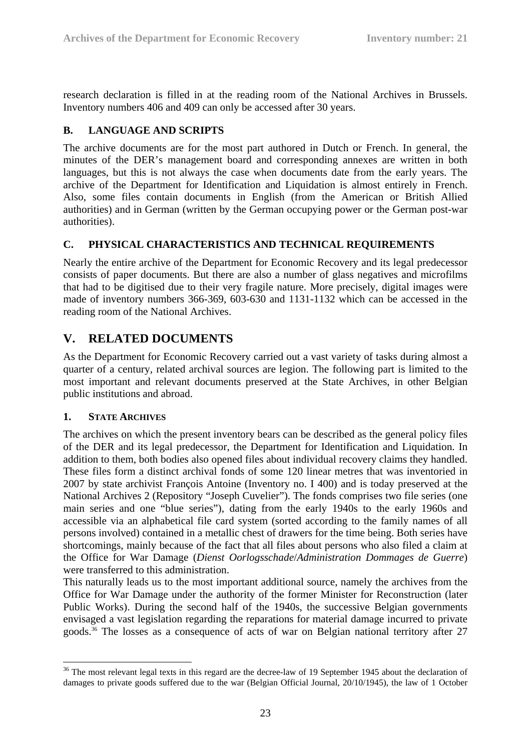research declaration is filled in at the reading room of the National Archives in Brussels. Inventory numbers 406 and 409 can only be accessed after 30 years.

### **B. LANGUAGE AND SCRIPTS**

The archive documents are for the most part authored in Dutch or French. In general, the minutes of the DER's management board and corresponding annexes are written in both languages, but this is not always the case when documents date from the early years. The archive of the Department for Identification and Liquidation is almost entirely in French. Also, some files contain documents in English (from the American or British Allied authorities) and in German (written by the German occupying power or the German post-war authorities).

### **C. PHYSICAL CHARACTERISTICS AND TECHNICAL REQUIREMENTS**

Nearly the entire archive of the Department for Economic Recovery and its legal predecessor consists of paper documents. But there are also a number of glass negatives and microfilms that had to be digitised due to their very fragile nature. More precisely, digital images were made of inventory numbers 366-369, 603-630 and 1131-1132 which can be accessed in the reading room of the National Archives.

### **V. RELATED DOCUMENTS**

As the Department for Economic Recovery carried out a vast variety of tasks during almost a quarter of a century, related archival sources are legion. The following part is limited to the most important and relevant documents preserved at the State Archives, in other Belgian public institutions and abroad.

### **1. STATE ARCHIVES**

The archives on which the present inventory bears can be described as the general policy files of the DER and its legal predecessor, the Department for Identification and Liquidation. In addition to them, both bodies also opened files about individual recovery claims they handled. These files form a distinct archival fonds of some 120 linear metres that was inventoried in 2007 by state archivist François Antoine (Inventory no. I 400) and is today preserved at the National Archives 2 (Repository "Joseph Cuvelier"). The fonds comprises two file series (one main series and one "blue series"), dating from the early 1940s to the early 1960s and accessible via an alphabetical file card system (sorted according to the family names of all persons involved) contained in a metallic chest of drawers for the time being. Both series have shortcomings, mainly because of the fact that all files about persons who also filed a claim at the Office for War Damage (*Dienst Oorlogsschade*/*Administration Dommages de Guerre*) were transferred to this administration.

This naturally leads us to the most important additional source, namely the archives from the Office for War Damage under the authority of the former Minister for Reconstruction (later Public Works). During the second half of the 1940s, the successive Belgian governments envisaged a vast legislation regarding the reparations for material damage incurred to private goods.36 The losses as a consequence of acts of war on Belgian national territory after 27

<sup>&</sup>lt;u>.</u> <sup>36</sup> The most relevant legal texts in this regard are the decree-law of 19 September 1945 about the declaration of damages to private goods suffered due to the war (Belgian Official Journal, 20/10/1945), the law of 1 October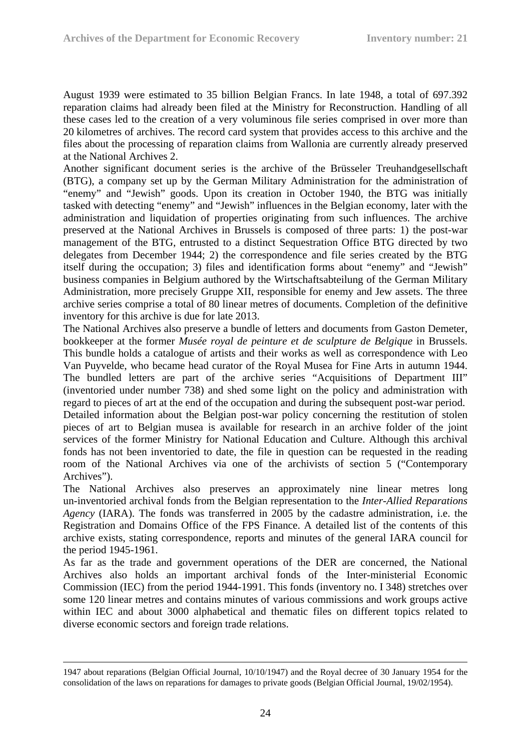August 1939 were estimated to 35 billion Belgian Francs. In late 1948, a total of 697.392 reparation claims had already been filed at the Ministry for Reconstruction. Handling of all these cases led to the creation of a very voluminous file series comprised in over more than 20 kilometres of archives. The record card system that provides access to this archive and the files about the processing of reparation claims from Wallonia are currently already preserved at the National Archives 2.

Another significant document series is the archive of the Brüsseler Treuhandgesellschaft (BTG), a company set up by the German Military Administration for the administration of "enemy" and "Jewish" goods. Upon its creation in October 1940, the BTG was initially tasked with detecting "enemy" and "Jewish" influences in the Belgian economy, later with the administration and liquidation of properties originating from such influences. The archive preserved at the National Archives in Brussels is composed of three parts: 1) the post-war management of the BTG, entrusted to a distinct Sequestration Office BTG directed by two delegates from December 1944; 2) the correspondence and file series created by the BTG itself during the occupation; 3) files and identification forms about "enemy" and "Jewish" business companies in Belgium authored by the Wirtschaftsabteilung of the German Military Administration, more precisely Gruppe XII, responsible for enemy and Jew assets. The three archive series comprise a total of 80 linear metres of documents. Completion of the definitive inventory for this archive is due for late 2013.

The National Archives also preserve a bundle of letters and documents from Gaston Demeter, bookkeeper at the former *Musée royal de peinture et de sculpture de Belgique* in Brussels. This bundle holds a catalogue of artists and their works as well as correspondence with Leo Van Puyvelde, who became head curator of the Royal Musea for Fine Arts in autumn 1944. The bundled letters are part of the archive series "Acquisitions of Department III" (inventoried under number 738) and shed some light on the policy and administration with regard to pieces of art at the end of the occupation and during the subsequent post-war period. Detailed information about the Belgian post-war policy concerning the restitution of stolen pieces of art to Belgian musea is available for research in an archive folder of the joint services of the former Ministry for National Education and Culture. Although this archival fonds has not been inventoried to date, the file in question can be requested in the reading room of the National Archives via one of the archivists of section 5 ("Contemporary Archives").

The National Archives also preserves an approximately nine linear metres long un-inventoried archival fonds from the Belgian representation to the *Inter-Allied Reparations Agency* (IARA). The fonds was transferred in 2005 by the cadastre administration, i.e. the Registration and Domains Office of the FPS Finance. A detailed list of the contents of this archive exists, stating correspondence, reports and minutes of the general IARA council for the period 1945-1961.

As far as the trade and government operations of the DER are concerned, the National Archives also holds an important archival fonds of the Inter-ministerial Economic Commission (IEC) from the period 1944-1991. This fonds (inventory no. I 348) stretches over some 120 linear metres and contains minutes of various commissions and work groups active within IEC and about 3000 alphabetical and thematic files on different topics related to diverse economic sectors and foreign trade relations.

 <sup>1947</sup> about reparations (Belgian Official Journal, 10/10/1947) and the Royal decree of 30 January 1954 for the consolidation of the laws on reparations for damages to private goods (Belgian Official Journal, 19/02/1954).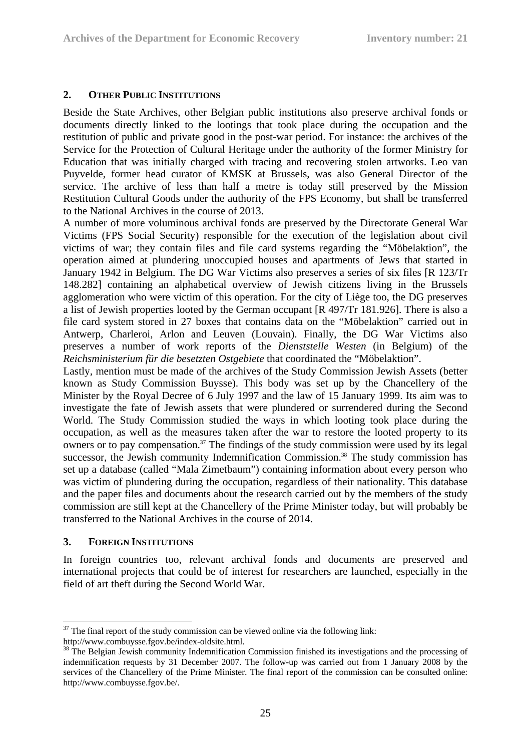### **2. OTHER PUBLIC INSTITUTIONS**

Beside the State Archives, other Belgian public institutions also preserve archival fonds or documents directly linked to the lootings that took place during the occupation and the restitution of public and private good in the post-war period. For instance: the archives of the Service for the Protection of Cultural Heritage under the authority of the former Ministry for Education that was initially charged with tracing and recovering stolen artworks. Leo van Puyvelde, former head curator of KMSK at Brussels, was also General Director of the service. The archive of less than half a metre is today still preserved by the Mission Restitution Cultural Goods under the authority of the FPS Economy, but shall be transferred to the National Archives in the course of 2013.

A number of more voluminous archival fonds are preserved by the Directorate General War Victims (FPS Social Security) responsible for the execution of the legislation about civil victims of war; they contain files and file card systems regarding the "Möbelaktion", the operation aimed at plundering unoccupied houses and apartments of Jews that started in January 1942 in Belgium. The DG War Victims also preserves a series of six files [R 123/Tr 148.282] containing an alphabetical overview of Jewish citizens living in the Brussels agglomeration who were victim of this operation. For the city of Liège too, the DG preserves a list of Jewish properties looted by the German occupant [R 497/Tr 181.926]. There is also a file card system stored in 27 boxes that contains data on the "Möbelaktion" carried out in Antwerp, Charleroi, Arlon and Leuven (Louvain). Finally, the DG War Victims also preserves a number of work reports of the *Dienststelle Westen* (in Belgium) of the *Reichsministerium für die besetzten Ostgebiete* that coordinated the "Möbelaktion".

Lastly, mention must be made of the archives of the Study Commission Jewish Assets (better known as Study Commission Buysse). This body was set up by the Chancellery of the Minister by the Royal Decree of 6 July 1997 and the law of 15 January 1999. Its aim was to investigate the fate of Jewish assets that were plundered or surrendered during the Second World. The Study Commission studied the ways in which looting took place during the occupation, as well as the measures taken after the war to restore the looted property to its owners or to pay compensation.<sup>37</sup> The findings of the study commission were used by its legal successor, the Jewish community Indemnification Commission.<sup>38</sup> The study commission has set up a database (called "Mala Zimetbaum") containing information about every person who was victim of plundering during the occupation, regardless of their nationality. This database and the paper files and documents about the research carried out by the members of the study commission are still kept at the Chancellery of the Prime Minister today, but will probably be transferred to the National Archives in the course of 2014.

#### **3. FOREIGN INSTITUTIONS**

1

In foreign countries too, relevant archival fonds and documents are preserved and international projects that could be of interest for researchers are launched, especially in the field of art theft during the Second World War.

 $37$  The final report of the study commission can be viewed online via the following link:

http://www.combuysse.fgov.be/index-oldsite.html.

<sup>&</sup>lt;sup>38</sup> The Belgian Jewish community Indemnification Commission finished its investigations and the processing of indemnification requests by 31 December 2007. The follow-up was carried out from 1 January 2008 by the services of the Chancellery of the Prime Minister. The final report of the commission can be consulted online: http://www.combuysse.fgov.be/.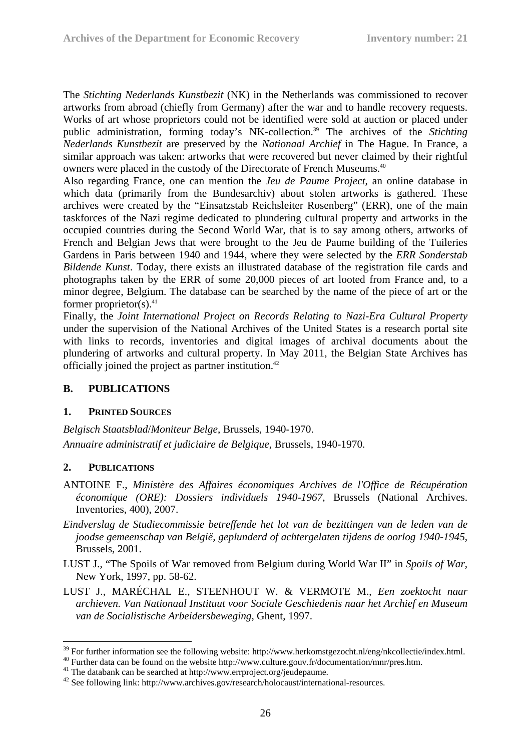The *Stichting Nederlands Kunstbezit* (NK) in the Netherlands was commissioned to recover artworks from abroad (chiefly from Germany) after the war and to handle recovery requests. Works of art whose proprietors could not be identified were sold at auction or placed under public administration, forming today's NK-collection.39 The archives of the *Stichting Nederlands Kunstbezit* are preserved by the *Nationaal Archief* in The Hague. In France, a similar approach was taken: artworks that were recovered but never claimed by their rightful owners were placed in the custody of the Directorate of French Museums.40

Also regarding France, one can mention the *Jeu de Paume Project*, an online database in which data (primarily from the Bundesarchiv) about stolen artworks is gathered. These archives were created by the "Einsatzstab Reichsleiter Rosenberg" (ERR), one of the main taskforces of the Nazi regime dedicated to plundering cultural property and artworks in the occupied countries during the Second World War, that is to say among others, artworks of French and Belgian Jews that were brought to the Jeu de Paume building of the Tuileries Gardens in Paris between 1940 and 1944, where they were selected by the *ERR Sonderstab Bildende Kunst*. Today, there exists an illustrated database of the registration file cards and photographs taken by the ERR of some 20,000 pieces of art looted from France and, to a minor degree, Belgium. The database can be searched by the name of the piece of art or the former proprietor(s). $41$ 

Finally, the *Joint International Project on Records Relating to Nazi-Era Cultural Property* under the supervision of the National Archives of the United States is a research portal site with links to records, inventories and digital images of archival documents about the plundering of artworks and cultural property. In May 2011, the Belgian State Archives has officially joined the project as partner institution.42

### **B. PUBLICATIONS**

#### **1. PRINTED SOURCES**

*Belgisch Staatsblad*/*Moniteur Belge*, Brussels, 1940-1970. *Annuaire administratif et judiciaire de Belgique*, Brussels, 1940-1970.

### **2. PUBLICATIONS**

1

- ANTOINE F., *Ministère des Affaires économiques Archives de l'Office de Récupération économique (ORE): Dossiers individuels 1940-1967*, Brussels (National Archives. Inventories, 400), 2007.
- *Eindverslag de Studiecommissie betreffende het lot van de bezittingen van de leden van de joodse gemeenschap van België, geplunderd of achtergelaten tijdens de oorlog 1940-1945*, Brussels, 2001.
- LUST J., "The Spoils of War removed from Belgium during World War II" in *Spoils of War*, New York, 1997, pp. 58-62.
- LUST J., MARÉCHAL E., STEENHOUT W. & VERMOTE M., *Een zoektocht naar archieven. Van Nationaal Instituut voor Sociale Geschiedenis naar het Archief en Museum van de Socialistische Arbeidersbeweging*, Ghent, 1997.

<sup>&</sup>lt;sup>39</sup> For further information see the following website: http://www.herkomstgezocht.nl/eng/nkcollectie/index.html.<br><sup>40</sup> Further data can be found on the website http://www.culture.gouv.fr/documentation/mnr/pres.htm.

<sup>&</sup>lt;sup>40</sup> Further data can be found on the website http://www.culture.gouv.fr/documentation/mnr/pres.htm.<br><sup>41</sup> The databank can be searched at http://www.errproject.org/jeudepaume.

<sup>&</sup>lt;sup>42</sup> See following link: http://www.archives.gov/research/holocaust/international-resources.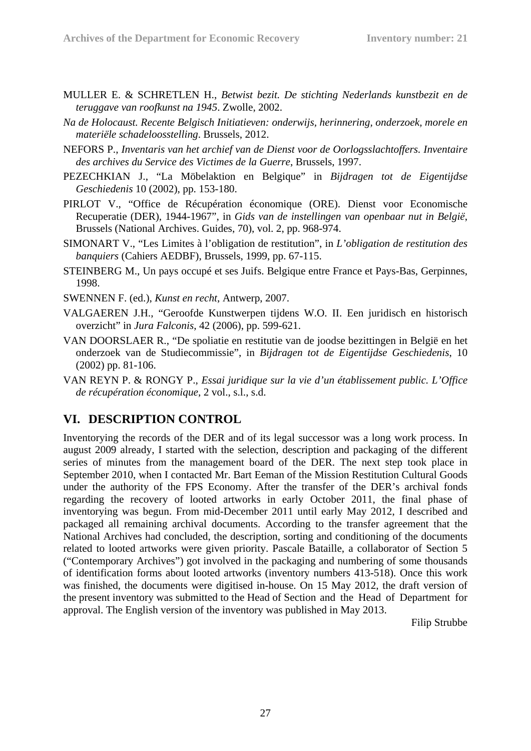- MULLER E. & SCHRETLEN H., *Betwist bezit. De stichting Nederlands kunstbezit en de teruggave van roofkunst na 1945*. Zwolle, 2002.
- *Na de Holocaust. Recente Belgisch Initiatieven: onderwijs, herinnering, onderzoek, morele en materiële schadeloosstelling*. Brussels, 2012.
- NEFORS P., *Inventaris van het archief van de Dienst voor de Oorlogsslachtoffers. Inventaire des archives du Service des Victimes de la Guerre*, Brussels, 1997.
- PEZECHKIAN J., "La Möbelaktion en Belgique" in *Bijdragen tot de Eigentijdse Geschiedenis* 10 (2002), pp. 153-180.
- PIRLOT V., "Office de Récupération économique (ORE). Dienst voor Economische Recuperatie (DER), 1944-1967", in *Gids van de instellingen van openbaar nut in België*, Brussels (National Archives. Guides, 70), vol. 2, pp. 968-974.
- SIMONART V., "Les Limites à l'obligation de restitution", in *L'obligation de restitution des banquiers* (Cahiers AEDBF), Brussels, 1999, pp. 67-115.
- STEINBERG M., Un pays occupé et ses Juifs. Belgique entre France et Pays-Bas, Gerpinnes, 1998.
- SWENNEN F. (ed.), *Kunst en recht*, Antwerp, 2007.
- VALGAEREN J.H., "Geroofde Kunstwerpen tijdens W.O. II. Een juridisch en historisch overzicht" in *Jura Falconis*, 42 (2006), pp. 599-621.
- VAN DOORSLAER R., "De spoliatie en restitutie van de joodse bezittingen in België en het onderzoek van de Studiecommissie", in *Bijdragen tot de Eigentijdse Geschiedenis*, 10 (2002) pp. 81-106.
- VAN REYN P. & RONGY P., *Essai juridique sur la vie d'un établissement public. L'Office de récupération économique*, 2 vol., s.l., s.d.

### **VI. DESCRIPTION CONTROL**

Inventorying the records of the DER and of its legal successor was a long work process. In august 2009 already, I started with the selection, description and packaging of the different series of minutes from the management board of the DER. The next step took place in September 2010, when I contacted Mr. Bart Eeman of the Mission Restitution Cultural Goods under the authority of the FPS Economy. After the transfer of the DER's archival fonds regarding the recovery of looted artworks in early October 2011, the final phase of inventorying was begun. From mid-December 2011 until early May 2012, I described and packaged all remaining archival documents. According to the transfer agreement that the National Archives had concluded, the description, sorting and conditioning of the documents related to looted artworks were given priority. Pascale Bataille, a collaborator of Section 5 ("Contemporary Archives") got involved in the packaging and numbering of some thousands of identification forms about looted artworks (inventory numbers 413-518). Once this work was finished, the documents were digitised in-house. On 15 May 2012, the draft version of the present inventory was submitted to the Head of Section and the Head of Department for approval. The English version of the inventory was published in May 2013.

Filip Strubbe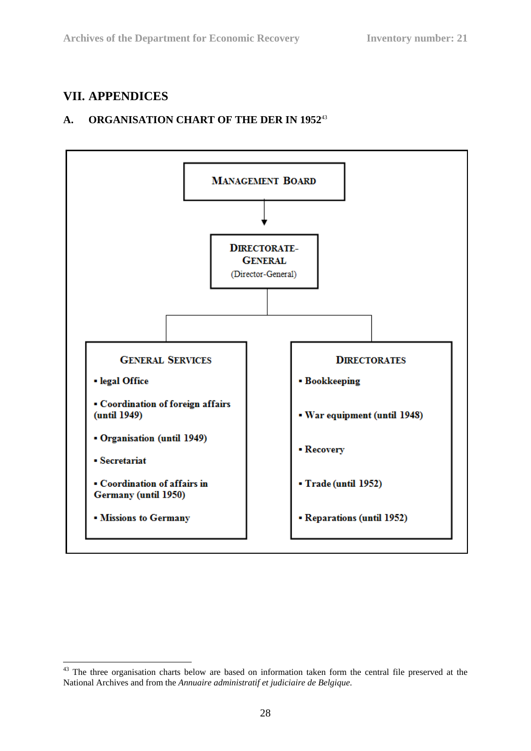### **VII. APPENDICES**

### **A. ORGANISATION CHART OF THE DER IN 1952**<sup>43</sup>



<sup>&</sup>lt;u>.</u> <sup>43</sup> The three organisation charts below are based on information taken form the central file preserved at the National Archives and from the *Annuaire administratif et judiciaire de Belgique*.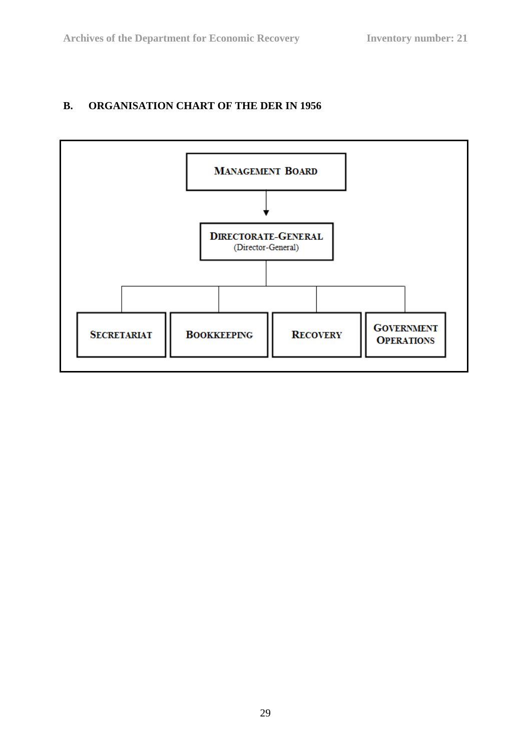### **B. ORGANISATION CHART OF THE DER IN 1956**

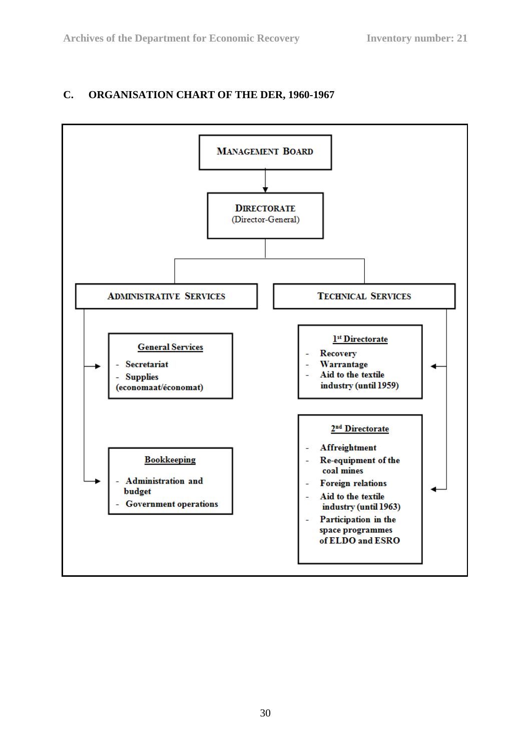### **C. ORGANISATION CHART OF THE DER, 1960-1967**

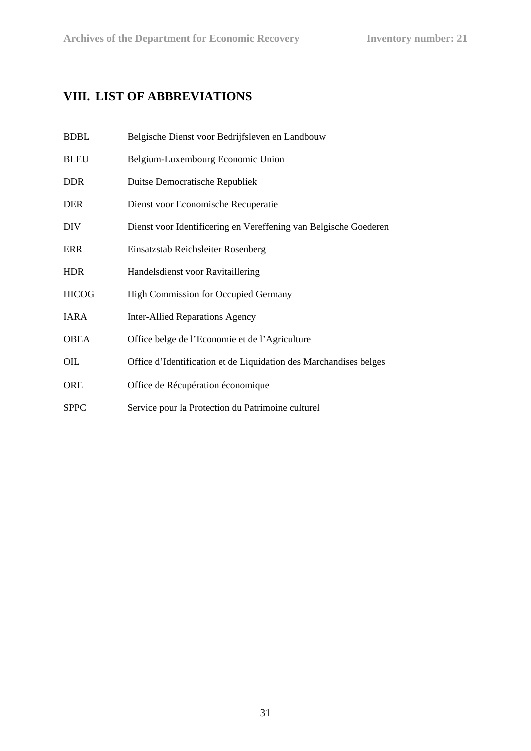## **VIII. LIST OF ABBREVIATIONS**

| <b>BDBL</b>  | Belgische Dienst voor Bedrijfsleven en Landbouw                   |
|--------------|-------------------------------------------------------------------|
| <b>BLEU</b>  | Belgium-Luxembourg Economic Union                                 |
| <b>DDR</b>   | Duitse Democratische Republiek                                    |
| <b>DER</b>   | Dienst voor Economische Recuperatie                               |
| <b>DIV</b>   | Dienst voor Identificering en Vereffening van Belgische Goederen  |
| <b>ERR</b>   | Einsatzstab Reichsleiter Rosenberg                                |
| <b>HDR</b>   | Handelsdienst voor Ravitaillering                                 |
| <b>HICOG</b> | High Commission for Occupied Germany                              |
| <b>IARA</b>  | <b>Inter-Allied Reparations Agency</b>                            |
| <b>OBEA</b>  | Office belge de l'Economie et de l'Agriculture                    |
| OIL          | Office d'Identification et de Liquidation des Marchandises belges |
| <b>ORE</b>   | Office de Récupération économique                                 |
| <b>SPPC</b>  | Service pour la Protection du Patrimoine culturel                 |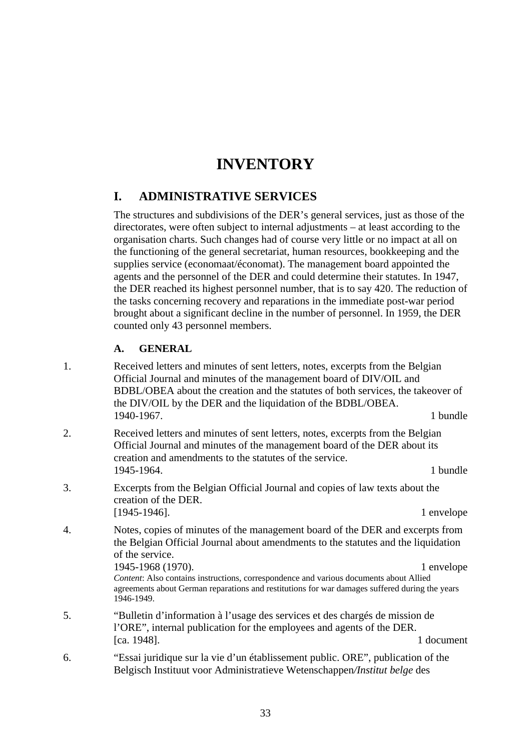# **INVENTORY**

### **I. ADMINISTRATIVE SERVICES**

The structures and subdivisions of the DER's general services, just as those of the directorates, were often subject to internal adjustments – at least according to the organisation charts. Such changes had of course very little or no impact at all on the functioning of the general secretariat, human resources, bookkeeping and the supplies service (economaat/économat). The management board appointed the agents and the personnel of the DER and could determine their statutes. In 1947, the DER reached its highest personnel number, that is to say 420. The reduction of the tasks concerning recovery and reparations in the immediate post-war period brought about a significant decline in the number of personnel. In 1959, the DER counted only 43 personnel members.

#### **A. GENERAL**

- 1. Received letters and minutes of sent letters, notes, excerpts from the Belgian Official Journal and minutes of the management board of DIV/OIL and BDBL/OBEA about the creation and the statutes of both services, the takeover of the DIV/OIL by the DER and the liquidation of the BDBL/OBEA. 1940-1967. 1 **bundle**
- 2. Received letters and minutes of sent letters, notes, excerpts from the Belgian Official Journal and minutes of the management board of the DER about its creation and amendments to the statutes of the service. 1945-1964. 1 bundle
- 3. Excerpts from the Belgian Official Journal and copies of law texts about the creation of the DER. [1945-1946]. 1 envelope
- 4. Notes, copies of minutes of the management board of the DER and excerpts from the Belgian Official Journal about amendments to the statutes and the liquidation of the service. 1945-1968 (1970). 1 envelope

*Content*: Also contains instructions, correspondence and various documents about Allied agreements about German reparations and restitutions for war damages suffered during the years 1946-1949.

- 5. "Bulletin d'information à l'usage des services et des chargés de mission de l'ORE", internal publication for the employees and agents of the DER. [ca. 1948]. 1 document
- 6. "Essai juridique sur la vie d'un établissement public. ORE", publication of the Belgisch Instituut voor Administratieve Wetenschappen*/Institut belge* des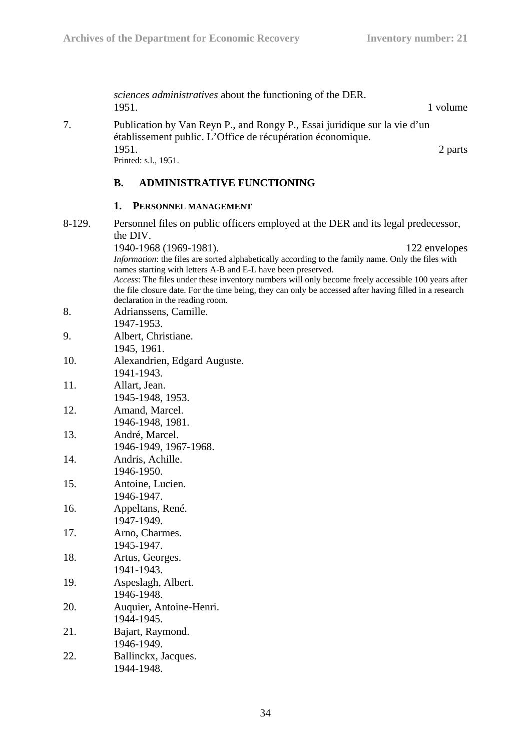|        | sciences administratives about the functioning of the DER.<br>1951.<br>1 volume                                                                                                                                                                                                                                                                                                                                                                                   |
|--------|-------------------------------------------------------------------------------------------------------------------------------------------------------------------------------------------------------------------------------------------------------------------------------------------------------------------------------------------------------------------------------------------------------------------------------------------------------------------|
| 7.     | Publication by Van Reyn P., and Rongy P., Essai juridique sur la vie d'un<br>établissement public. L'Office de récupération économique.                                                                                                                                                                                                                                                                                                                           |
|        | 1951.<br>2 parts<br>Printed: s.l., 1951.                                                                                                                                                                                                                                                                                                                                                                                                                          |
|        | <b>ADMINISTRATIVE FUNCTIONING</b><br><b>B.</b>                                                                                                                                                                                                                                                                                                                                                                                                                    |
|        | 1.<br>PERSONNEL MANAGEMENT                                                                                                                                                                                                                                                                                                                                                                                                                                        |
| 8-129. | Personnel files on public officers employed at the DER and its legal predecessor,<br>the DIV.                                                                                                                                                                                                                                                                                                                                                                     |
|        | 1940-1968 (1969-1981).<br>122 envelopes<br>Information: the files are sorted alphabetically according to the family name. Only the files with<br>names starting with letters A-B and E-L have been preserved.<br>Access: The files under these inventory numbers will only become freely accessible 100 years after<br>the file closure date. For the time being, they can only be accessed after having filled in a research<br>declaration in the reading room. |
| 8.     | Adrianssens, Camille.<br>1947-1953.                                                                                                                                                                                                                                                                                                                                                                                                                               |
| 9.     | Albert, Christiane.<br>1945, 1961.                                                                                                                                                                                                                                                                                                                                                                                                                                |
| 10.    | Alexandrien, Edgard Auguste.<br>1941-1943.                                                                                                                                                                                                                                                                                                                                                                                                                        |
| 11.    | Allart, Jean.<br>1945-1948, 1953.                                                                                                                                                                                                                                                                                                                                                                                                                                 |
| 12.    | Amand, Marcel.<br>1946-1948, 1981.                                                                                                                                                                                                                                                                                                                                                                                                                                |
| 13.    | André, Marcel.<br>1946-1949, 1967-1968.                                                                                                                                                                                                                                                                                                                                                                                                                           |
| 14.    | Andris, Achille.<br>1946-1950.                                                                                                                                                                                                                                                                                                                                                                                                                                    |
| 15.    | Antoine, Lucien.<br>1946-1947.                                                                                                                                                                                                                                                                                                                                                                                                                                    |
| 16.    | Appeltans, René.<br>1947-1949.                                                                                                                                                                                                                                                                                                                                                                                                                                    |
| 17.    | Arno, Charmes.<br>1945-1947.                                                                                                                                                                                                                                                                                                                                                                                                                                      |
| 18.    | Artus, Georges.<br>1941-1943.                                                                                                                                                                                                                                                                                                                                                                                                                                     |
| 19.    | Aspeslagh, Albert.<br>1946-1948.                                                                                                                                                                                                                                                                                                                                                                                                                                  |
| 20.    | Auquier, Antoine-Henri.<br>1944-1945.                                                                                                                                                                                                                                                                                                                                                                                                                             |
| 21.    | Bajart, Raymond.                                                                                                                                                                                                                                                                                                                                                                                                                                                  |
| 22.    | 1946-1949.<br>Ballinckx, Jacques.                                                                                                                                                                                                                                                                                                                                                                                                                                 |

1944-1948.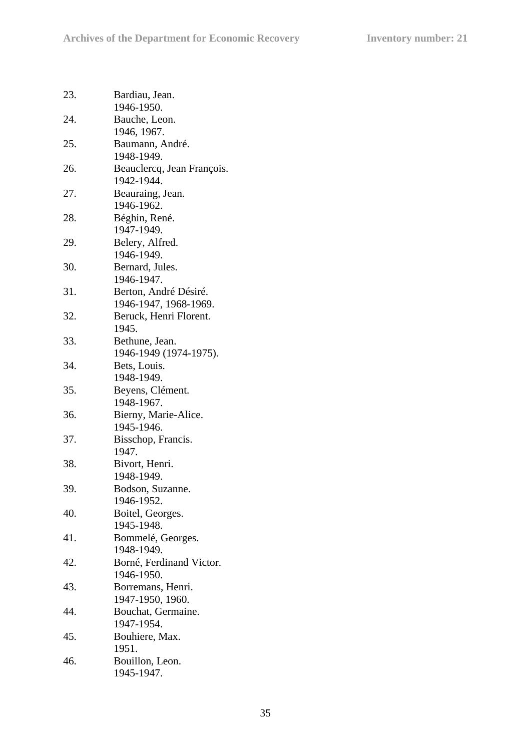| 23. | Bardiau, Jean.             |
|-----|----------------------------|
|     | 1946-1950.                 |
| 24. | Bauche, Leon.              |
|     | 1946, 1967.                |
| 25. | Baumann, André.            |
|     | 1948-1949.                 |
| 26. | Beauclercq, Jean François. |
|     | 1942-1944.                 |
| 27. | Beauraing, Jean.           |
|     | 1946-1962.                 |
| 28. | Béghin, René.              |
|     | 1947-1949.                 |
| 29. | Belery, Alfred.            |
|     | 1946-1949.                 |
| 30. | Bernard, Jules.            |
|     | 1946-1947.                 |
|     |                            |
| 31. | Berton, André Désiré.      |
|     | 1946-1947, 1968-1969.      |
| 32. | Beruck, Henri Florent.     |
|     | 1945.                      |
| 33. | Bethune, Jean.             |
|     | 1946-1949 (1974-1975).     |
| 34. | Bets, Louis.               |
|     | 1948-1949.                 |
| 35. | Beyens, Clément.           |
|     | 1948-1967.                 |
| 36. | Bierny, Marie-Alice.       |
|     | 1945-1946.                 |
| 37. | Bisschop, Francis.         |
|     | 1947.                      |
| 38. | Bivort, Henri.             |
|     | 1948-1949.                 |
| 39. | Bodson, Suzanne.           |
|     | 1946-1952.                 |
| 40. | Boitel, Georges.           |
|     | 1945-1948.                 |
| 41. | Bommelé, Georges.          |
|     | 1948-1949.                 |
| 42. | Borné, Ferdinand Victor.   |
|     | 1946-1950.                 |
| 43. | Borremans, Henri.          |
|     | 1947-1950, 1960.           |
| 44. | Bouchat, Germaine.         |
|     | 1947-1954.                 |
| 45. | Bouhiere, Max.             |
|     | 1951.                      |
| 46. | Bouillon, Leon.            |
|     | 1945-1947.                 |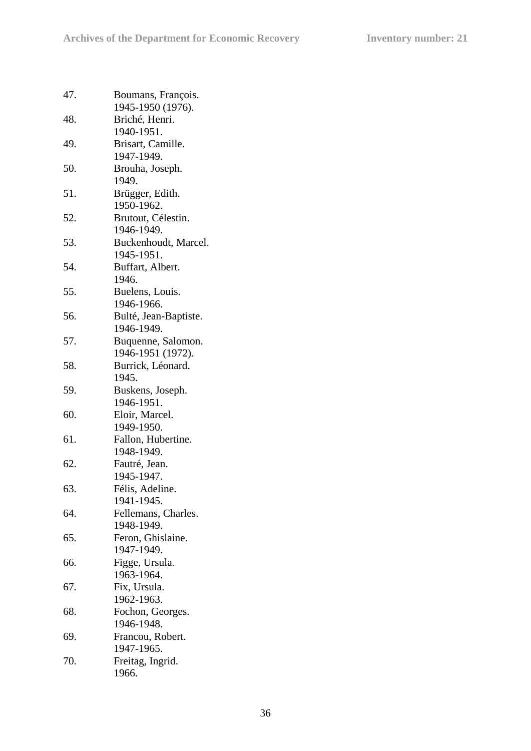| 47. | Boumans, François.    |
|-----|-----------------------|
|     | 1945-1950 (1976).     |
| 48. | Briché, Henri.        |
|     | 1940-1951.            |
| 49. | Brisart, Camille.     |
|     | 1947-1949.            |
| 50. | Brouha, Joseph.       |
|     | 1949.                 |
| 51. | Brügger, Edith.       |
|     | 1950-1962.            |
|     |                       |
| 52. | Brutout, Célestin.    |
|     | 1946-1949.            |
| 53. | Buckenhoudt, Marcel.  |
|     | 1945-1951.            |
| 54. | Buffart, Albert.      |
|     | 1946.                 |
| 55. | Buelens, Louis.       |
|     | 1946-1966.            |
| 56. | Bulté, Jean-Baptiste. |
|     | 1946-1949.            |
| 57. | Buquenne, Salomon.    |
|     | 1946-1951 (1972).     |
| 58. | Burrick, Léonard.     |
|     | 1945.                 |
| 59. |                       |
|     | Buskens, Joseph.      |
|     | 1946-1951.            |
| 60. | Eloir, Marcel.        |
|     | 1949-1950.            |
| 61. | Fallon, Hubertine.    |
|     | 1948-1949.            |
| 62. | Fautré, Jean.         |
|     | 1945-1947.            |
| 63. | Félis, Adeline        |
|     | 1941-1945.            |
| 64. | Fellemans, Charles.   |
|     | 1948-1949.            |
| 65. | Feron, Ghislaine.     |
|     | 1947-1949.            |
| 66. | Figge, Ursula.        |
|     | 1963-1964.            |
| 67. |                       |
|     | Fix, Ursula.          |
|     | 1962-1963.            |
| 68. | Fochon, Georges.      |
|     | 1946-1948.            |
| 69. | Francou, Robert.      |
|     | 1947-1965.            |
| 70. | Freitag, Ingrid.      |
|     | 1966.                 |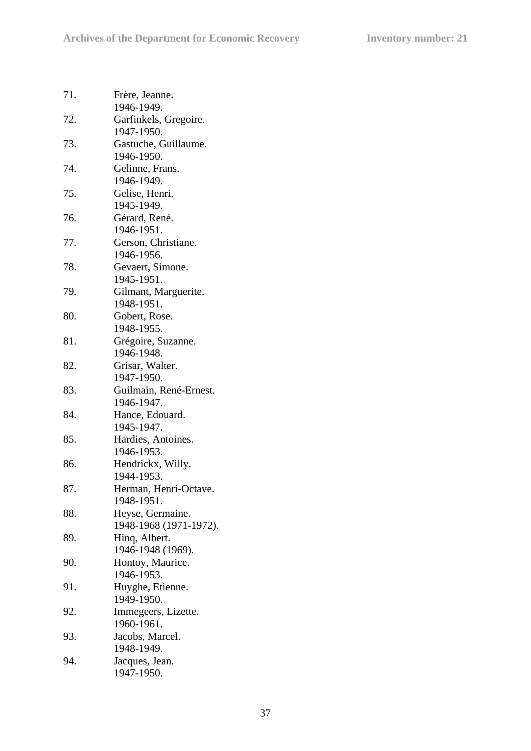| 71. | Frère, Jeanne.         |
|-----|------------------------|
|     | 1946-1949.             |
| 72. | Garfinkels, Gregoire.  |
|     | 1947-1950.             |
| 73. | Gastuche, Guillaume.   |
|     | 1946-1950.             |
| 74. | Gelinne, Frans.        |
|     | 1946-1949.             |
| 75. | Gelise, Henri.         |
|     | 1945-1949.             |
| 76. |                        |
|     | Gérard, René.          |
|     | 1946-1951.             |
| 77. | Gerson, Christiane.    |
|     | 1946-1956.             |
| 78. | Gevaert, Simone.       |
|     | 1945-1951.             |
| 79. | Gilmant, Marguerite.   |
|     | 1948-1951.             |
| 80. | Gobert, Rose.          |
|     | 1948-1955.             |
| 81. | Grégoire, Suzanne.     |
|     | 1946-1948.             |
| 82. | Grisar, Walter.        |
|     | 1947-1950.             |
| 83. | Guilmain, René-Ernest. |
|     | 1946-1947.             |
| 84. |                        |
|     | Hance, Edouard.        |
|     | 1945-1947.             |
| 85. | Hardies, Antoines.     |
|     | 1946-1953.             |
| 86. | Hendrickx, Willy.      |
|     | 1944-1953.             |
| 87. | Herman, Henri-Octave.  |
|     | 1948-1951.             |
| 88. | Heyse, Germaine.       |
|     | 1948-1968 (1971-1972). |
| 89. | Hing, Albert.          |
|     | 1946-1948 (1969).      |
| 90. | Hontoy, Maurice.       |
|     | 1946-1953.             |
| 91. | Huyghe, Etienne.       |
|     | 1949-1950.             |
|     |                        |
| 92. | Immegeers, Lizette.    |
|     | 1960-1961.             |
| 93. | Jacobs, Marcel.        |
|     | 1948-1949.             |
| 94. | Jacques, Jean.         |
|     | 1947-1950.             |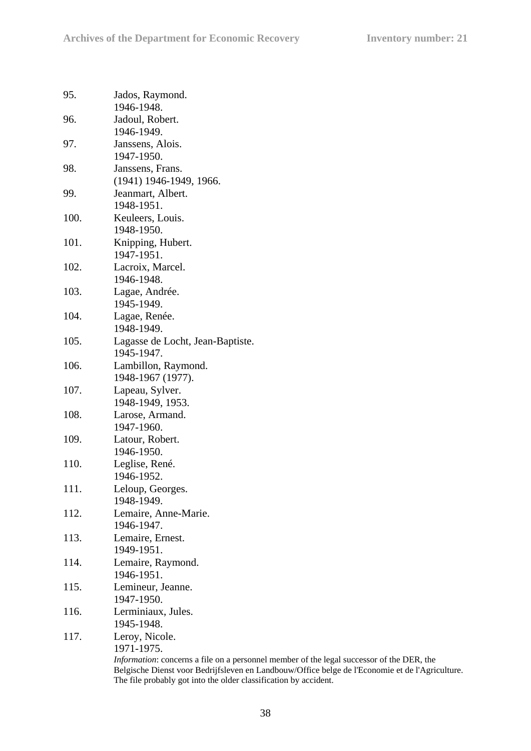| 95.  | Jados, Raymond.<br>1946-1948.                                                                                                                                                                                                                                            |
|------|--------------------------------------------------------------------------------------------------------------------------------------------------------------------------------------------------------------------------------------------------------------------------|
| 96.  | Jadoul, Robert.<br>1946-1949.                                                                                                                                                                                                                                            |
| 97.  | Janssens, Alois.<br>1947-1950.                                                                                                                                                                                                                                           |
| 98.  | Janssens, Frans.<br>(1941) 1946-1949, 1966.                                                                                                                                                                                                                              |
| 99.  | Jeanmart, Albert.<br>1948-1951.                                                                                                                                                                                                                                          |
| 100. | Keuleers, Louis.<br>1948-1950.                                                                                                                                                                                                                                           |
| 101. | Knipping, Hubert.<br>1947-1951.                                                                                                                                                                                                                                          |
| 102. | Lacroix, Marcel.<br>1946-1948.                                                                                                                                                                                                                                           |
| 103. | Lagae, Andrée.<br>1945-1949.                                                                                                                                                                                                                                             |
| 104. | Lagae, Renée.<br>1948-1949.                                                                                                                                                                                                                                              |
| 105. | Lagasse de Locht, Jean-Baptiste.<br>1945-1947.                                                                                                                                                                                                                           |
| 106. | Lambillon, Raymond.<br>1948-1967 (1977).                                                                                                                                                                                                                                 |
| 107. | Lapeau, Sylver.<br>1948-1949, 1953.                                                                                                                                                                                                                                      |
| 108. | Larose, Armand.<br>1947-1960.                                                                                                                                                                                                                                            |
| 109. | Latour, Robert.<br>1946-1950.                                                                                                                                                                                                                                            |
| 110. | Leglise, René.<br>1946-1952.                                                                                                                                                                                                                                             |
| 111. | Leloup, Georges.<br>1948-1949.                                                                                                                                                                                                                                           |
| 112. | Lemaire, Anne-Marie.<br>1946-1947.                                                                                                                                                                                                                                       |
| 113. | Lemaire, Ernest.<br>1949-1951.                                                                                                                                                                                                                                           |
| 114. | Lemaire, Raymond.<br>1946-1951.                                                                                                                                                                                                                                          |
| 115. | Lemineur, Jeanne.<br>1947-1950.                                                                                                                                                                                                                                          |
| 116. | Lerminiaux, Jules.<br>1945-1948.                                                                                                                                                                                                                                         |
| 117. | Leroy, Nicole.<br>1971-1975.                                                                                                                                                                                                                                             |
|      | <i>Information</i> : concerns a file on a personnel member of the legal successor of the DER, the<br>Belgische Dienst voor Bedrijfsleven en Landbouw/Office belge de l'Economie et de l'Agriculture.<br>The file probably got into the older classification by accident. |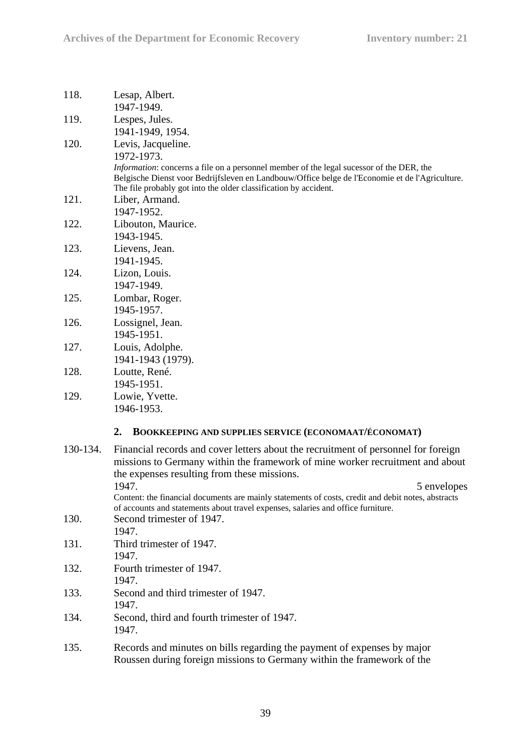| 118.     | Lesap, Albert.<br>1947-1949.                                                                                                                                                                                                                                                                                                                                                                                                         |
|----------|--------------------------------------------------------------------------------------------------------------------------------------------------------------------------------------------------------------------------------------------------------------------------------------------------------------------------------------------------------------------------------------------------------------------------------------|
| 119.     | Lespes, Jules.<br>1941-1949, 1954.                                                                                                                                                                                                                                                                                                                                                                                                   |
| 120.     | Levis, Jacqueline.<br>1972-1973.<br><i>Information:</i> concerns a file on a personnel member of the legal sucessor of the DER, the<br>Belgische Dienst voor Bedrijfsleven en Landbouw/Office belge de l'Economie et de l'Agriculture.<br>The file probably got into the older classification by accident.                                                                                                                           |
| 121.     | Liber, Armand.<br>1947-1952.                                                                                                                                                                                                                                                                                                                                                                                                         |
| 122.     | Libouton, Maurice.<br>1943-1945.                                                                                                                                                                                                                                                                                                                                                                                                     |
| 123.     | Lievens, Jean.<br>1941-1945.                                                                                                                                                                                                                                                                                                                                                                                                         |
| 124.     | Lizon, Louis.<br>1947-1949.                                                                                                                                                                                                                                                                                                                                                                                                          |
| 125.     | Lombar, Roger.<br>1945-1957.                                                                                                                                                                                                                                                                                                                                                                                                         |
| 126.     | Lossignel, Jean.<br>1945-1951.                                                                                                                                                                                                                                                                                                                                                                                                       |
| 127.     | Louis, Adolphe.<br>1941-1943 (1979).                                                                                                                                                                                                                                                                                                                                                                                                 |
| 128.     | Loutte, René.<br>1945-1951.                                                                                                                                                                                                                                                                                                                                                                                                          |
| 129.     | Lowie, Yvette.<br>1946-1953.                                                                                                                                                                                                                                                                                                                                                                                                         |
|          | 2.<br><b>BOOKKEEPING AND SUPPLIES SERVICE (ECONOMAAT/ÉCONOMAT)</b>                                                                                                                                                                                                                                                                                                                                                                   |
| 130-134. | Financial records and cover letters about the recruitment of personnel for foreign<br>missions to Germany within the framework of mine worker recruitment and about<br>the expenses resulting from these missions.<br>1947.<br>5 envelopes<br>Content: the financial documents are mainly statements of costs, credit and debit notes, abstracts<br>of accounts and statements about travel expenses, salaries and office furniture. |
| 130.     | Second trimester of 1947.<br>1947.                                                                                                                                                                                                                                                                                                                                                                                                   |
| 131.     | Third trimester of 1947.<br>1947.                                                                                                                                                                                                                                                                                                                                                                                                    |
| 132.     | Fourth trimester of 1947.<br>1947.                                                                                                                                                                                                                                                                                                                                                                                                   |
| 133.     | Second and third trimester of 1947.<br>1947.                                                                                                                                                                                                                                                                                                                                                                                         |
| 134.     | Second, third and fourth trimester of 1947.<br>1947.                                                                                                                                                                                                                                                                                                                                                                                 |
| 135.     | Records and minutes on bills regarding the payment of expenses by major<br>Roussen during foreign missions to Germany within the framework of the                                                                                                                                                                                                                                                                                    |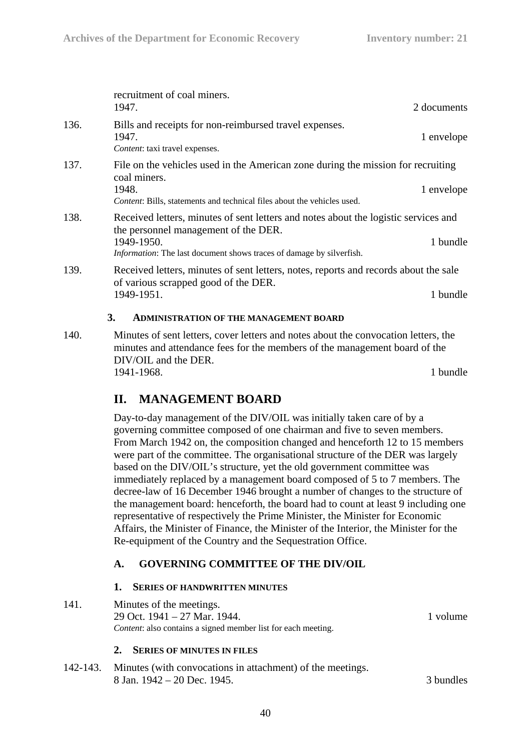|      | recruitment of coal miners.<br>1947.                                                                                                                                                                              | 2 documents |
|------|-------------------------------------------------------------------------------------------------------------------------------------------------------------------------------------------------------------------|-------------|
| 136. | Bills and receipts for non-reimbursed travel expenses.<br>1947.<br>Content: taxi travel expenses.                                                                                                                 | 1 envelope  |
| 137. | File on the vehicles used in the American zone during the mission for recruiting<br>coal miners.<br>1948.<br>Content: Bills, statements and technical files about the vehicles used.                              | 1 envelope  |
| 138. | Received letters, minutes of sent letters and notes about the logistic services and<br>the personnel management of the DER.<br>1949-1950.<br>Information: The last document shows traces of damage by silverfish. | 1 bundle    |
| 139. | Received letters, minutes of sent letters, notes, reports and records about the sale<br>of various scrapped good of the DER.<br>1949-1951.                                                                        | 1 bundle    |
|      | 3.<br><b>ADMINISTRATION OF THE MANAGEMENT BOARD</b>                                                                                                                                                               |             |
| 140. | Minutes of sent letters, cover letters and notes about the convocation letters, the                                                                                                                               |             |

minutes and attendance fees for the members of the management board of the DIV/OIL and the DER. 1941-1968. 1 bundle

# **II. MANAGEMENT BOARD**

Day-to-day management of the DIV/OIL was initially taken care of by a governing committee composed of one chairman and five to seven members. From March 1942 on, the composition changed and henceforth 12 to 15 members were part of the committee. The organisational structure of the DER was largely based on the DIV/OIL's structure, yet the old government committee was immediately replaced by a management board composed of 5 to 7 members. The decree-law of 16 December 1946 brought a number of changes to the structure of the management board: henceforth, the board had to count at least 9 including one representative of respectively the Prime Minister, the Minister for Economic Affairs, the Minister of Finance, the Minister of the Interior, the Minister for the Re-equipment of the Country and the Sequestration Office.

## **A. GOVERNING COMMITTEE OF THE DIV/OIL**

#### **1. SERIES OF HANDWRITTEN MINUTES**

141. Minutes of the meetings. 29 Oct. 1941 – 27 Mar. 1944. 1 volume *Content*: also contains a signed member list for each meeting.

### **2. SERIES OF MINUTES IN FILES**

142-143. Minutes (with convocations in attachment) of the meetings. 8 Jan. 1942 – 20 Dec. 1945. 3 bundles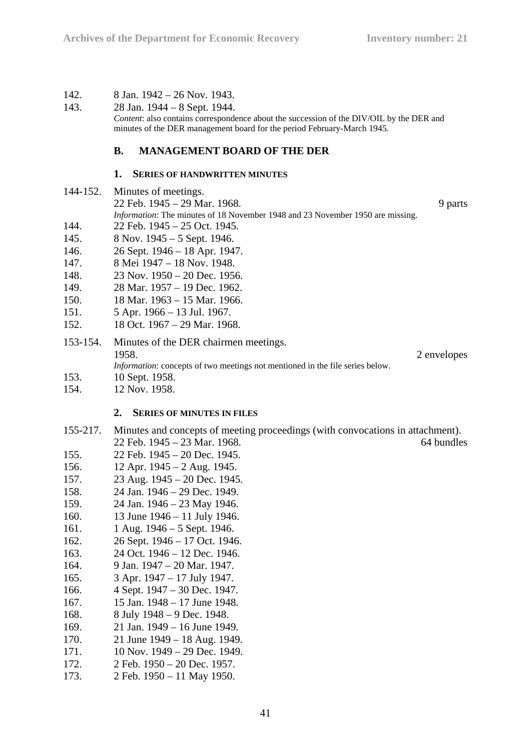142. 8 Jan. 1942 – 26 Nov. 1943.

### 143. 28 Jan. 1944 – 8 Sept. 1944.

*Content*: also contains correspondence about the succession of the DIV/OIL by the DER and minutes of the DER management board for the period February-March 1945.

## **B. MANAGEMENT BOARD OF THE DER**

#### **1. SERIES OF HANDWRITTEN MINUTES**

- 144-152. Minutes of meetings. 22 Feb. 1945 – 29 Mar. 1968. 9 parts *Information*: The minutes of 18 November 1948 and 23 November 1950 are missing. 144. 22 Feb. 1945 – 25 Oct. 1945. 145. 8 Nov. 1945 – 5 Sept. 1946. 146. 26 Sept. 1946 – 18 Apr. 1947. 147. 8 Mei 1947 – 18 Nov. 1948. 148. 23 Nov. 1950 – 20 Dec. 1956. 149. 28 Mar. 1957 – 19 Dec. 1962. 150. 18 Mar. 1963 – 15 Mar. 1966.
- 151. 5 Apr. 1966 13 Jul. 1967.
- 152. 18 Oct. 1967 29 Mar. 1968.

153-154. Minutes of the DER chairmen meetings. 1958. 2 envelopes *Information*: concepts of two meetings not mentioned in the file series below.

- 153. 10 Sept. 1958.
- 154. 12 Nov. 1958.

#### **2. SERIES OF MINUTES IN FILES**

- 155-217. Minutes and concepts of meeting proceedings (with convocations in attachment). 22 Feb. 1945 – 23 Mar. 1968. 64 bundles
- 155. 22 Feb. 1945 20 Dec. 1945.
- 156. 12 Apr. 1945 2 Aug. 1945.
- 157. 23 Aug. 1945 20 Dec. 1945.
- 158. 24 Jan. 1946 29 Dec. 1949.
- 159. 24 Jan. 1946 23 May 1946.
- 160. 13 June 1946 11 July 1946.
- 161. 1 Aug. 1946 5 Sept. 1946.
- 162. 26 Sept. 1946 17 Oct. 1946.
- 163. 24 Oct. 1946 12 Dec. 1946.
- 164. 9 Jan. 1947 20 Mar. 1947.
- 165. 3 Apr. 1947 17 July 1947.
- 166. 4 Sept. 1947 30 Dec. 1947.
- 167. 15 Jan. 1948 17 June 1948.
- 168. 8 July 1948 9 Dec. 1948.
- 169. 21 Jan. 1949 16 June 1949.
- 170. 21 June 1949 18 Aug. 1949.
- 171. 10 Nov. 1949 29 Dec. 1949.
- 172. 2 Feb. 1950 20 Dec. 1957.
- 173. 2 Feb. 1950 11 May 1950.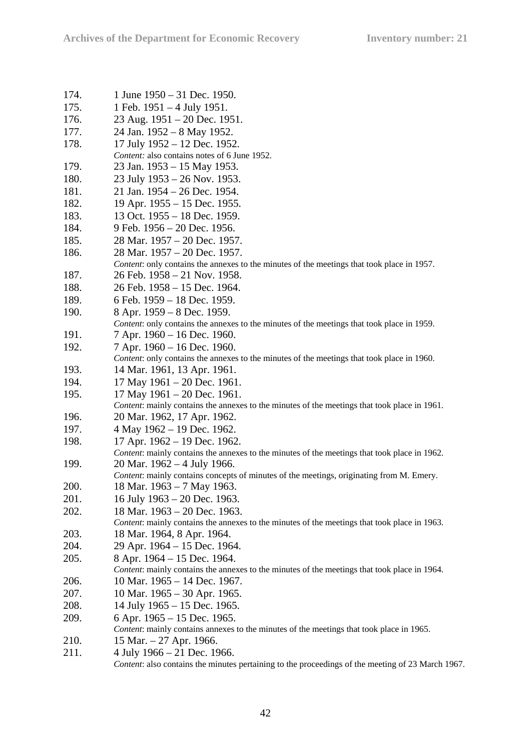| 174. | 1 June 1950 – 31 Dec. 1950.                                                                                               |
|------|---------------------------------------------------------------------------------------------------------------------------|
| 175. | 1 Feb. $1951 - 4$ July 1951.                                                                                              |
| 176. | 23 Aug. 1951 – 20 Dec. 1951.                                                                                              |
| 177. | 24 Jan. 1952 - 8 May 1952.                                                                                                |
| 178. | 17 July 1952 - 12 Dec. 1952.                                                                                              |
|      | Content: also contains notes of 6 June 1952.                                                                              |
| 179. | 23 Jan. 1953 – 15 May 1953.                                                                                               |
| 180. | 23 July 1953 – 26 Nov. 1953.                                                                                              |
| 181. | 21 Jan. 1954 – 26 Dec. 1954.                                                                                              |
| 182. | 19 Apr. $1955 - 15$ Dec. 1955.                                                                                            |
| 183. | 13 Oct. 1955 – 18 Dec. 1959.                                                                                              |
| 184. | 9 Feb. 1956 - 20 Dec. 1956.                                                                                               |
| 185. | 28 Mar. 1957 - 20 Dec. 1957.                                                                                              |
| 186. | 28 Mar. 1957 – 20 Dec. 1957.                                                                                              |
|      | Content: only contains the annexes to the minutes of the meetings that took place in 1957.                                |
| 187. | 26 Feb. 1958 – 21 Nov. 1958.                                                                                              |
| 188. | 26 Feb. 1958 - 15 Dec. 1964.                                                                                              |
| 189. | 6 Feb. 1959 - 18 Dec. 1959.                                                                                               |
| 190. | 8 Apr. 1959 – 8 Dec. 1959.                                                                                                |
|      | Content: only contains the annexes to the minutes of the meetings that took place in 1959.                                |
| 191. | 7 Apr. 1960 – 16 Dec. 1960.                                                                                               |
| 192. | 7 Apr. 1960 – 16 Dec. 1960.                                                                                               |
|      | Content: only contains the annexes to the minutes of the meetings that took place in 1960.                                |
| 193. | 14 Mar. 1961, 13 Apr. 1961.                                                                                               |
| 194. | 17 May 1961 - 20 Dec. 1961.                                                                                               |
| 195. | 17 May $1961 - 20$ Dec. 1961.                                                                                             |
|      | Content: mainly contains the annexes to the minutes of the meetings that took place in 1961.                              |
| 196. | 20 Mar. 1962, 17 Apr. 1962.                                                                                               |
| 197. | 4 May 1962 – 19 Dec. 1962.                                                                                                |
| 198. | 17 Apr. 1962 - 19 Dec. 1962.                                                                                              |
|      | Content: mainly contains the annexes to the minutes of the meetings that took place in 1962.                              |
| 199. | 20 Mar. $1962 - 4$ July 1966.<br>Content: mainly contains concepts of minutes of the meetings, originating from M. Emery. |
| 200. | 18 Mar. 1963 – 7 May 1963.                                                                                                |
| 201. | 16 July 1963 - 20 Dec. 1963.                                                                                              |
| 202. | 18 Mar. 1963 - 20 Dec. 1963.                                                                                              |
|      | Content: mainly contains the annexes to the minutes of the meetings that took place in 1963.                              |
| 203. | 18 Mar. 1964, 8 Apr. 1964.                                                                                                |
| 204. | 29 Apr. 1964 - 15 Dec. 1964.                                                                                              |
| 205. | 8 Apr. 1964 – 15 Dec. 1964.                                                                                               |
|      | Content: mainly contains the annexes to the minutes of the meetings that took place in 1964.                              |
| 206. | 10 Mar. 1965 - 14 Dec. 1967.                                                                                              |
| 207. | 10 Mar. 1965 - 30 Apr. 1965.                                                                                              |
| 208. | 14 July 1965 – 15 Dec. 1965.                                                                                              |
| 209. | 6 Apr. $1965 - 15$ Dec. 1965.                                                                                             |
|      | Content: mainly contains annexes to the minutes of the meetings that took place in 1965.                                  |
| 210. | 15 Mar. $-27$ Apr. 1966.                                                                                                  |
| 211. | 4 July $1966 - 21$ Dec. 1966.                                                                                             |
|      | Content: also contains the minutes pertaining to the proceedings of the meeting of 23 March 1967.                         |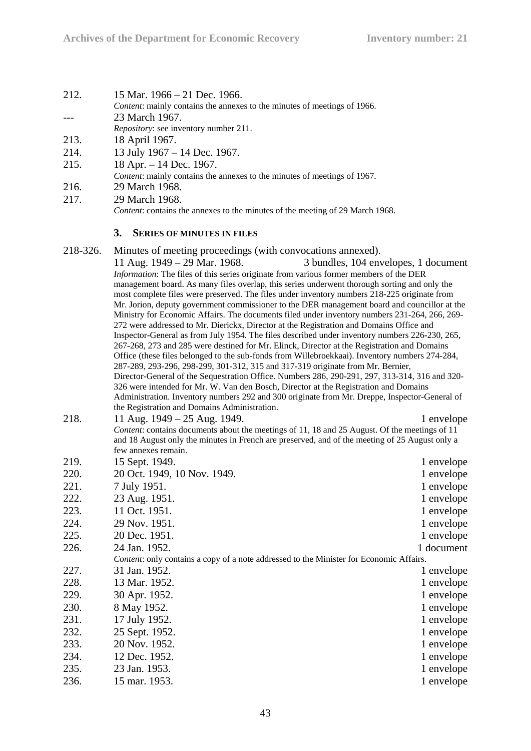| 212. | 15 Mar. $1966 - 21$ Dec. 1966. |
|------|--------------------------------|
|      |                                |

- *Content*: mainly contains the annexes to the minutes of meetings of 1966.
- --- 23 March 1967.

*Repository*: see inventory number 211.

- 213. 18 April 1967.
- 214. 13 July 1967 14 Dec. 1967.
- 215. 18 Apr. 14 Dec. 1967.
	- *Content*: mainly contains the annexes to the minutes of meetings of 1967.
- 216. 29 March 1968.
- 217. 29 March 1968.

*Content:* contains the annexes to the minutes of the meeting of 29 March 1968.

#### **3. SERIES OF MINUTES IN FILES**

218-326. Minutes of meeting proceedings (with convocations annexed).

11 Aug. 1949 – 29 Mar. 1968. 3 bundles, 104 envelopes, 1 document *Information*: The files of this series originate from various former members of the DER management board. As many files overlap, this series underwent thorough sorting and only the most complete files were preserved. The files under inventory numbers 218-225 originate from Mr. Jorion, deputy government commissioner to the DER management board and councillor at the Ministry for Economic Affairs. The documents filed under inventory numbers 231-264, 266, 269- 272 were addressed to Mr. Dierickx, Director at the Registration and Domains Office and Inspector-General as from July 1954. The files described under inventory numbers 226-230, 265, 267-268, 273 and 285 were destined for Mr. Elinck, Director at the Registration and Domains Office (these files belonged to the sub-fonds from Willebroekkaai). Inventory numbers 274-284, 287-289, 293-296, 298-299, 301-312, 315 and 317-319 originate from Mr. Bernier, Director-General of the Sequestration Office. Numbers 286, 290-291, 297, 313-314, 316 and 320- 326 were intended for Mr. W. Van den Bosch, Director at the Registration and Domains Administration. Inventory numbers 292 and 300 originate from Mr. Dreppe, Inspector-General of the Registration and Domains Administration.

| 218. | 11 Aug. $1949 - 25$ Aug. 1949.                                                                 | 1 envelope |
|------|------------------------------------------------------------------------------------------------|------------|
|      | Content: contains documents about the meetings of 11, 18 and 25 August. Of the meetings of 11  |            |
|      | and 18 August only the minutes in French are preserved, and of the meeting of 25 August only a |            |
|      | few annexes remain.                                                                            |            |

| 219. | 15 Sept. 1949.                                                                                 | 1 envelope |
|------|------------------------------------------------------------------------------------------------|------------|
| 220. | 20 Oct. 1949, 10 Nov. 1949.                                                                    | 1 envelope |
| 221. | 7 July 1951.                                                                                   | 1 envelope |
| 222. | 23 Aug. 1951.                                                                                  | 1 envelope |
| 223. | 11 Oct. 1951.                                                                                  | 1 envelope |
| 224. | 29 Nov. 1951.                                                                                  | 1 envelope |
| 225. | 20 Dec. 1951.                                                                                  | 1 envelope |
| 226. | 24 Jan. 1952.                                                                                  | 1 document |
|      | <i>Content:</i> only contains a copy of a note addressed to the Minister for Economic Affairs. |            |
| 227. | 31 Jan. 1952.                                                                                  | 1 envelope |
| 228. | 13 Mar. 1952.                                                                                  | 1 envelope |
| 229. | 30 Apr. 1952.                                                                                  | 1 envelope |
| 230. | 8 May 1952.                                                                                    | 1 envelope |
| 231. | 17 July 1952.                                                                                  | 1 envelope |
| 232. | 25 Sept. 1952.                                                                                 | 1 envelope |
| 233. | 20 Nov. 1952.                                                                                  | 1 envelope |
| 234. | 12 Dec. 1952.                                                                                  | 1 envelope |
| 235. | 23 Jan. 1953.                                                                                  | 1 envelope |
| 236. | 15 mar. 1953.                                                                                  | 1 envelope |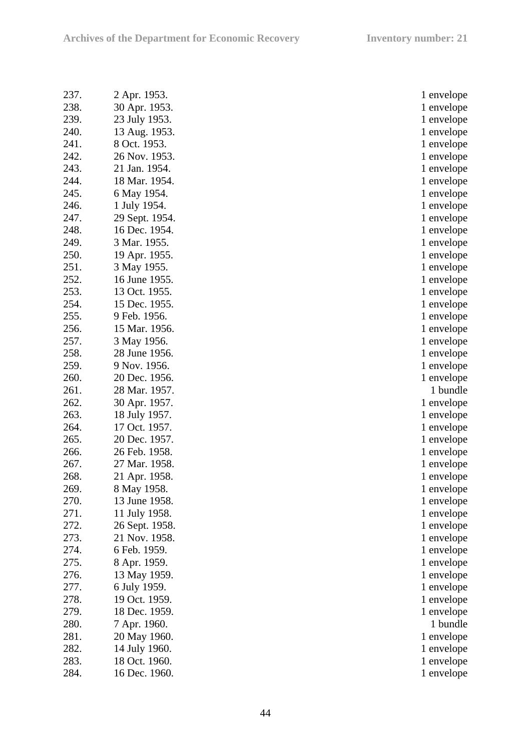| 237. | 2 Apr. 1953.   | 1 envelope |
|------|----------------|------------|
| 238. | 30 Apr. 1953.  | 1 envelope |
| 239. | 23 July 1953.  | 1 envelope |
| 240. | 13 Aug. 1953.  | 1 envelope |
| 241. | 8 Oct. 1953.   | 1 envelope |
| 242. | 26 Nov. 1953.  | 1 envelope |
| 243. | 21 Jan. 1954.  | 1 envelope |
| 244. | 18 Mar. 1954.  | 1 envelope |
| 245. | 6 May 1954.    | 1 envelope |
| 246. | 1 July 1954.   | 1 envelope |
| 247. | 29 Sept. 1954. | 1 envelope |
| 248. | 16 Dec. 1954.  | 1 envelope |
| 249. | 3 Mar. 1955.   | 1 envelope |
| 250. | 19 Apr. 1955.  | 1 envelope |
| 251. | 3 May 1955.    | 1 envelope |
| 252. | 16 June 1955.  | 1 envelope |
| 253. | 13 Oct. 1955.  |            |
| 254. | 15 Dec. 1955.  | 1 envelope |
| 255. |                | 1 envelope |
| 256. | 9 Feb. 1956.   | 1 envelope |
| 257. | 15 Mar. 1956.  | 1 envelope |
|      | 3 May 1956.    | 1 envelope |
| 258. | 28 June 1956.  | 1 envelope |
| 259. | 9 Nov. 1956.   | 1 envelope |
| 260. | 20 Dec. 1956.  | 1 envelope |
| 261. | 28 Mar. 1957.  | 1 bundle   |
| 262. | 30 Apr. 1957.  | 1 envelope |
| 263. | 18 July 1957.  | 1 envelope |
| 264. | 17 Oct. 1957.  | 1 envelope |
| 265. | 20 Dec. 1957.  | 1 envelope |
| 266. | 26 Feb. 1958.  | 1 envelope |
| 267. | 27 Mar. 1958.  | 1 envelope |
| 268. | 21 Apr. 1958.  | 1 envelope |
| 269. | 8 May 1958.    | 1 envelope |
| 270. | 13 June 1958.  | 1 envelope |
| 271. | 11 July 1958.  | 1 envelope |
| 272. | 26 Sept. 1958. | 1 envelope |
| 273. | 21 Nov. 1958.  | 1 envelope |
| 274. | 6 Feb. 1959.   | 1 envelope |
| 275. | 8 Apr. 1959.   | 1 envelope |
| 276. | 13 May 1959.   | 1 envelope |
| 277. | 6 July 1959.   | 1 envelope |
| 278. | 19 Oct. 1959.  | 1 envelope |
| 279. | 18 Dec. 1959.  | 1 envelope |
| 280. | 7 Apr. 1960.   | 1 bundle   |
| 281. | 20 May 1960.   | 1 envelope |
| 282. | 14 July 1960.  | 1 envelope |
| 283. | 18 Oct. 1960.  | 1 envelope |
| 284. | 16 Dec. 1960.  | 1 envelope |

| 1              | envelope             |        |
|----------------|----------------------|--------|
| $\mathbf{1}$   | envelope             |        |
| 1              | envelope             |        |
| $\mathbf 1$    | envelope             |        |
| $\mathbf 1$    | envelope             |        |
| 1              | envelope             |        |
| 1              | envelope             |        |
| $\mathbf 1$    | envelope             |        |
| 1              | envelope             |        |
| 1              | envelope             |        |
| $\mathbf 1$    | envelope             |        |
| $\overline{1}$ | envelope             |        |
| 1              | envelope             |        |
| $\mathbf 1$    | envelope             |        |
| $\mathbf 1$    | envelope             |        |
| 1              | envelope             |        |
| 1              | envelope             |        |
| $\overline{1}$ | envelope             |        |
| 1              | envelope             |        |
| 1              | envelope             |        |
| 1              | envelope             |        |
| $\mathbf 1$    | envelope             |        |
| 1              | envelope             |        |
| $\mathbf 1$    | envelope             |        |
|                |                      |        |
|                |                      |        |
| 1              | 1 bundle             |        |
| 1              | envelope<br>envelope |        |
| 1              | envelope             |        |
| 1              | envelope             |        |
| 1              | envelope             |        |
| $\mathbf 1$    | envelope             |        |
| $\mathbf 1$    | envelope             |        |
| 1              |                      |        |
| 1              | envelope             |        |
| $\mathbf 1$    | envelope             |        |
| 1              | envelope<br>envelope |        |
| 1              | envelope             |        |
| $\mathbf 1$    | envelope             |        |
| 1              |                      |        |
| 1              | envelope             |        |
| $\mathbf 1$    | envelope<br>envelope |        |
| $\mathbf{1}$   | envelope             |        |
| 1              | envelope             |        |
|                | 1                    | bundle |
| 1              | envelope             |        |
| 1              | envelope             |        |
| 1              | envelope             |        |
| $\mathbf 1$    | envelope             |        |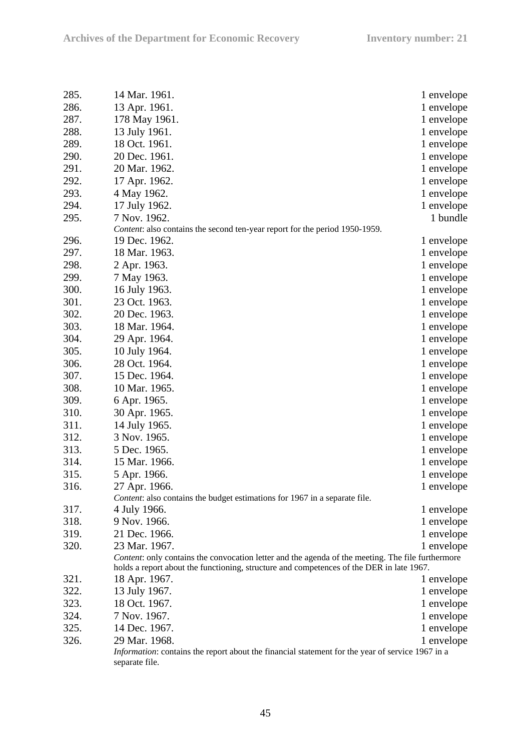| 285. | 14 Mar. 1961.                                                                                           | 1 envelope |
|------|---------------------------------------------------------------------------------------------------------|------------|
| 286. | 13 Apr. 1961.                                                                                           | 1 envelope |
| 287. | 178 May 1961.                                                                                           | 1 envelope |
| 288. | 13 July 1961.                                                                                           | 1 envelope |
| 289. | 18 Oct. 1961.                                                                                           | 1 envelope |
| 290. | 20 Dec. 1961.                                                                                           | 1 envelope |
| 291. | 20 Mar. 1962.                                                                                           | 1 envelope |
| 292. | 17 Apr. 1962.                                                                                           | 1 envelope |
| 293. | 4 May 1962.                                                                                             | 1 envelope |
| 294. | 17 July 1962.                                                                                           | 1 envelope |
| 295. | 7 Nov. 1962.                                                                                            | 1 bundle   |
|      | Content: also contains the second ten-year report for the period 1950-1959.                             |            |
| 296. | 19 Dec. 1962.                                                                                           | 1 envelope |
| 297. | 18 Mar. 1963.                                                                                           | 1 envelope |
| 298. | 2 Apr. 1963.                                                                                            | 1 envelope |
| 299. | 7 May 1963.                                                                                             | 1 envelope |
| 300. | 16 July 1963.                                                                                           | 1 envelope |
| 301. | 23 Oct. 1963.                                                                                           | 1 envelope |
| 302. | 20 Dec. 1963.                                                                                           | 1 envelope |
| 303. | 18 Mar. 1964.                                                                                           | 1 envelope |
| 304. | 29 Apr. 1964.                                                                                           | 1 envelope |
| 305. | 10 July 1964.                                                                                           | 1 envelope |
| 306. | 28 Oct. 1964.                                                                                           | 1 envelope |
| 307. | 15 Dec. 1964.                                                                                           | 1 envelope |
| 308. | 10 Mar. 1965.                                                                                           | 1 envelope |
| 309. | 6 Apr. 1965.                                                                                            | 1 envelope |
| 310. | 30 Apr. 1965.                                                                                           | 1 envelope |
| 311. | 14 July 1965.                                                                                           | 1 envelope |
| 312. | 3 Nov. 1965.                                                                                            | 1 envelope |
| 313. | 5 Dec. 1965.                                                                                            | 1 envelope |
| 314. | 15 Mar. 1966.                                                                                           | 1 envelope |
| 315. | 5 Apr. 1966.                                                                                            | 1 envelope |
| 316. | 27 Apr. 1966.                                                                                           | 1 envelope |
|      | Content: also contains the budget estimations for 1967 in a separate file.                              |            |
| 317. | 4 July 1966.                                                                                            | 1 envelope |
| 318. | 9 Nov. 1966.                                                                                            | 1 envelope |
| 319. | 21 Dec. 1966.                                                                                           | 1 envelope |
| 320. | 23 Mar. 1967.                                                                                           | 1 envelope |
|      | Content: only contains the convocation letter and the agenda of the meeting. The file furthermore       |            |
|      | holds a report about the functioning, structure and competences of the DER in late 1967.                |            |
| 321. | 18 Apr. 1967.                                                                                           | 1 envelope |
| 322. | 13 July 1967.                                                                                           | 1 envelope |
| 323. | 18 Oct. 1967.                                                                                           | 1 envelope |
| 324. | 7 Nov. 1967.                                                                                            | 1 envelope |
| 325. | 14 Dec. 1967.                                                                                           | 1 envelope |
| 326. | 29 Mar. 1968.                                                                                           | 1 envelope |
|      | <i>Information:</i> contains the report about the financial statement for the year of service 1967 in a |            |
|      | separate file.                                                                                          |            |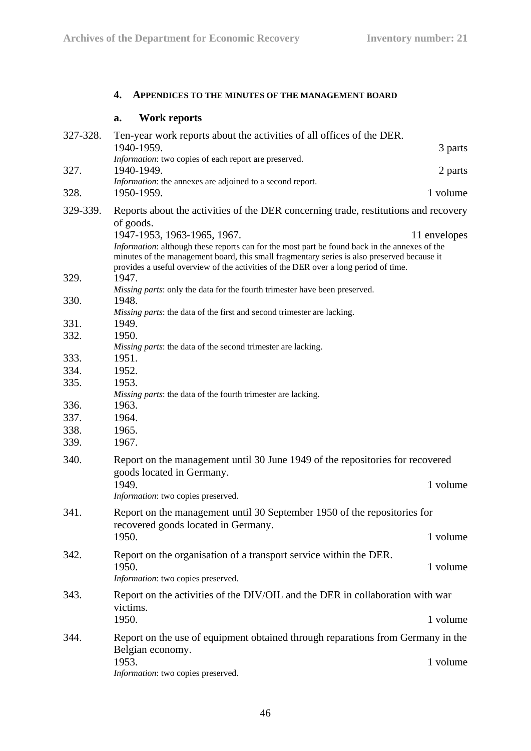# **4. APPENDICES TO THE MINUTES OF THE MANAGEMENT BOARD**

# **a. Work reports**

| 327-328.     | Ten-year work reports about the activities of all offices of the DER.<br>1940-1959.                                                                                                                                                                                                                                             | 3 parts      |
|--------------|---------------------------------------------------------------------------------------------------------------------------------------------------------------------------------------------------------------------------------------------------------------------------------------------------------------------------------|--------------|
|              | Information: two copies of each report are preserved.                                                                                                                                                                                                                                                                           |              |
| 327.         | 1940-1949.<br>Information: the annexes are adjoined to a second report.                                                                                                                                                                                                                                                         | 2 parts      |
| 328.         | 1950-1959.                                                                                                                                                                                                                                                                                                                      | 1 volume     |
| 329-339.     | Reports about the activities of the DER concerning trade, restitutions and recovery                                                                                                                                                                                                                                             |              |
|              | of goods.<br>1947-1953, 1963-1965, 1967.<br>Information: although these reports can for the most part be found back in the annexes of the<br>minutes of the management board, this small fragmentary series is also preserved because it<br>provides a useful overview of the activities of the DER over a long period of time. | 11 envelopes |
| 329.         | 1947.<br>Missing parts: only the data for the fourth trimester have been preserved.                                                                                                                                                                                                                                             |              |
| 330.         | 1948.<br>Missing parts: the data of the first and second trimester are lacking.                                                                                                                                                                                                                                                 |              |
| 331.         | 1949.                                                                                                                                                                                                                                                                                                                           |              |
| 332.         | 1950.                                                                                                                                                                                                                                                                                                                           |              |
|              | Missing parts: the data of the second trimester are lacking.                                                                                                                                                                                                                                                                    |              |
| 333.<br>334. | 1951.<br>1952.                                                                                                                                                                                                                                                                                                                  |              |
| 335.         | 1953.                                                                                                                                                                                                                                                                                                                           |              |
|              | Missing parts: the data of the fourth trimester are lacking.                                                                                                                                                                                                                                                                    |              |
| 336.         | 1963.                                                                                                                                                                                                                                                                                                                           |              |
| 337.         | 1964.                                                                                                                                                                                                                                                                                                                           |              |
| 338.         | 1965.                                                                                                                                                                                                                                                                                                                           |              |
| 339.         | 1967.                                                                                                                                                                                                                                                                                                                           |              |
| 340.         | Report on the management until 30 June 1949 of the repositories for recovered<br>goods located in Germany.                                                                                                                                                                                                                      |              |
|              | 1949.                                                                                                                                                                                                                                                                                                                           | 1 volume     |
|              | Information: two copies preserved.                                                                                                                                                                                                                                                                                              |              |
| 341.         | Report on the management until 30 September 1950 of the repositories for                                                                                                                                                                                                                                                        |              |
|              | recovered goods located in Germany.<br>1950.                                                                                                                                                                                                                                                                                    | 1 volume     |
|              |                                                                                                                                                                                                                                                                                                                                 |              |
| 342.         | Report on the organisation of a transport service within the DER.<br>1950.<br>Information: two copies preserved.                                                                                                                                                                                                                | 1 volume     |
| 343.         | Report on the activities of the DIV/OIL and the DER in collaboration with war                                                                                                                                                                                                                                                   |              |
|              | victims.                                                                                                                                                                                                                                                                                                                        |              |
|              | 1950.                                                                                                                                                                                                                                                                                                                           | 1 volume     |
| 344.         | Report on the use of equipment obtained through reparations from Germany in the                                                                                                                                                                                                                                                 |              |
|              | Belgian economy.<br>1953.                                                                                                                                                                                                                                                                                                       | 1 volume     |
|              | Information: two copies preserved.                                                                                                                                                                                                                                                                                              |              |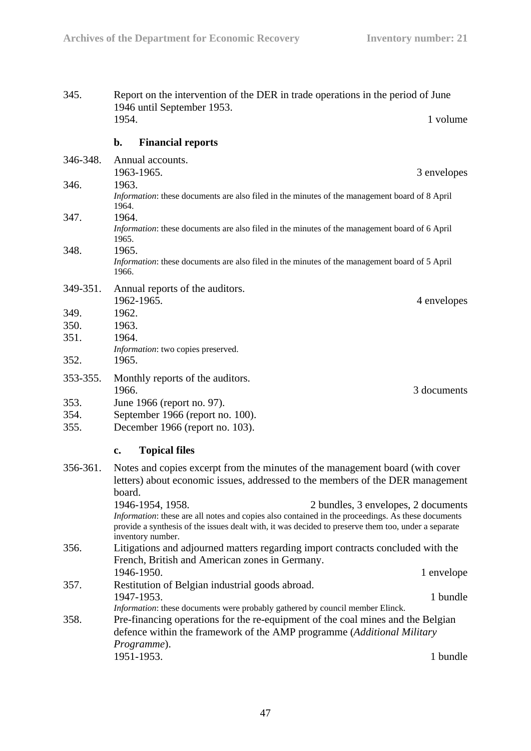| 345.     | Report on the intervention of the DER in trade operations in the period of June<br>1946 until September 1953.                                                             |                                                                                                                                                                                                                                                   |                                     |
|----------|---------------------------------------------------------------------------------------------------------------------------------------------------------------------------|---------------------------------------------------------------------------------------------------------------------------------------------------------------------------------------------------------------------------------------------------|-------------------------------------|
|          | 1954.                                                                                                                                                                     |                                                                                                                                                                                                                                                   | 1 volume                            |
|          | $\mathbf{b}$ .                                                                                                                                                            | <b>Financial reports</b>                                                                                                                                                                                                                          |                                     |
| 346-348. |                                                                                                                                                                           | Annual accounts.<br>1963-1965.                                                                                                                                                                                                                    | 3 envelopes                         |
| 346.     | 1963.<br>1964.                                                                                                                                                            | Information: these documents are also filed in the minutes of the management board of 8 April                                                                                                                                                     |                                     |
| 347.     | 1965.                                                                                                                                                                     | 1964.<br>Information: these documents are also filed in the minutes of the management board of 6 April                                                                                                                                            |                                     |
| 348.     | 1965.<br>1966.                                                                                                                                                            | Information: these documents are also filed in the minutes of the management board of 5 April                                                                                                                                                     |                                     |
| 349-351. |                                                                                                                                                                           | Annual reports of the auditors.<br>1962-1965.                                                                                                                                                                                                     | 4 envelopes                         |
| 349.     | 1962.                                                                                                                                                                     |                                                                                                                                                                                                                                                   |                                     |
| 350.     | 1963.                                                                                                                                                                     |                                                                                                                                                                                                                                                   |                                     |
| 351.     | 1964.                                                                                                                                                                     |                                                                                                                                                                                                                                                   |                                     |
| 352.     | 1965.                                                                                                                                                                     | Information: two copies preserved.                                                                                                                                                                                                                |                                     |
| 353-355. | 1966.                                                                                                                                                                     | Monthly reports of the auditors.                                                                                                                                                                                                                  | 3 documents                         |
| 353.     |                                                                                                                                                                           | June 1966 (report no. 97).                                                                                                                                                                                                                        |                                     |
| 354.     |                                                                                                                                                                           | September 1966 (report no. 100).                                                                                                                                                                                                                  |                                     |
| 355.     |                                                                                                                                                                           | December 1966 (report no. 103).                                                                                                                                                                                                                   |                                     |
|          | c.                                                                                                                                                                        | <b>Topical files</b>                                                                                                                                                                                                                              |                                     |
| 356-361. | Notes and copies excerpt from the minutes of the management board (with cover<br>letters) about economic issues, addressed to the members of the DER management<br>board. |                                                                                                                                                                                                                                                   |                                     |
|          |                                                                                                                                                                           | 1946-1954, 1958.<br>Information: these are all notes and copies also contained in the proceedings. As these documents<br>provide a synthesis of the issues dealt with, it was decided to preserve them too, under a separate<br>inventory number. | 2 bundles, 3 envelopes, 2 documents |
| 356.     |                                                                                                                                                                           | Litigations and adjourned matters regarding import contracts concluded with the<br>French, British and American zones in Germany.                                                                                                                 |                                     |
|          |                                                                                                                                                                           | 1946-1950.                                                                                                                                                                                                                                        | 1 envelope                          |
| 357.     |                                                                                                                                                                           | Restitution of Belgian industrial goods abroad.<br>1947-1953.                                                                                                                                                                                     | 1 bundle                            |
|          |                                                                                                                                                                           | Information: these documents were probably gathered by council member Elinck.                                                                                                                                                                     |                                     |
| 358.     |                                                                                                                                                                           | Pre-financing operations for the re-equipment of the coal mines and the Belgian<br>defence within the framework of the AMP programme (Additional Military                                                                                         |                                     |
|          |                                                                                                                                                                           | Programme).                                                                                                                                                                                                                                       |                                     |
|          |                                                                                                                                                                           | 1951-1953.                                                                                                                                                                                                                                        | 1 bundle                            |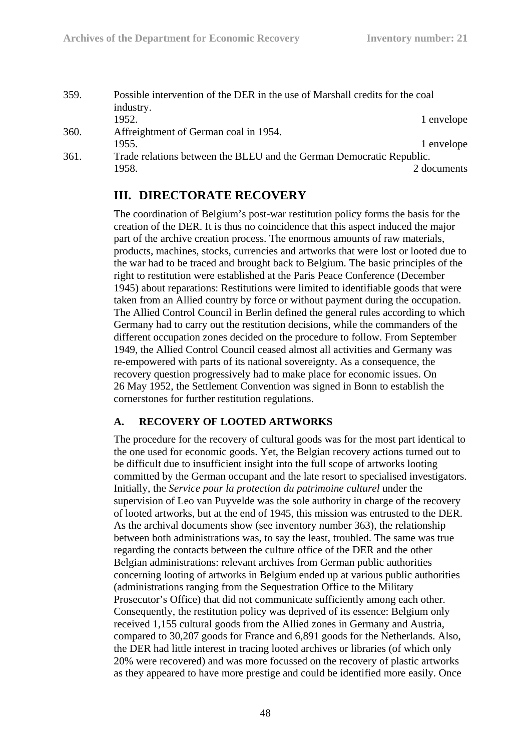| 359. | Possible intervention of the DER in the use of Marshall credits for the coal |             |
|------|------------------------------------------------------------------------------|-------------|
|      | industry.                                                                    |             |
|      | 1952.                                                                        | 1 envelope  |
| 360. | Affreightment of German coal in 1954.                                        |             |
|      | 1955.                                                                        | 1 envelope  |
| 361. | Trade relations between the BLEU and the German Democratic Republic.         |             |
|      | 1958.                                                                        | 2 documents |

# **III. DIRECTORATE RECOVERY**

The coordination of Belgium's post-war restitution policy forms the basis for the creation of the DER. It is thus no coincidence that this aspect induced the major part of the archive creation process. The enormous amounts of raw materials, products, machines, stocks, currencies and artworks that were lost or looted due to the war had to be traced and brought back to Belgium. The basic principles of the right to restitution were established at the Paris Peace Conference (December 1945) about reparations: Restitutions were limited to identifiable goods that were taken from an Allied country by force or without payment during the occupation. The Allied Control Council in Berlin defined the general rules according to which Germany had to carry out the restitution decisions, while the commanders of the different occupation zones decided on the procedure to follow. From September 1949, the Allied Control Council ceased almost all activities and Germany was re-empowered with parts of its national sovereignty. As a consequence, the recovery question progressively had to make place for economic issues. On 26 May 1952, the Settlement Convention was signed in Bonn to establish the cornerstones for further restitution regulations.

## **A. RECOVERY OF LOOTED ARTWORKS**

The procedure for the recovery of cultural goods was for the most part identical to the one used for economic goods. Yet, the Belgian recovery actions turned out to be difficult due to insufficient insight into the full scope of artworks looting committed by the German occupant and the late resort to specialised investigators. Initially, the *Service pour la protection du patrimoine culturel* under the supervision of Leo van Puyvelde was the sole authority in charge of the recovery of looted artworks, but at the end of 1945, this mission was entrusted to the DER. As the archival documents show (see inventory number 363), the relationship between both administrations was, to say the least, troubled. The same was true regarding the contacts between the culture office of the DER and the other Belgian administrations: relevant archives from German public authorities concerning looting of artworks in Belgium ended up at various public authorities (administrations ranging from the Sequestration Office to the Military Prosecutor's Office) that did not communicate sufficiently among each other. Consequently, the restitution policy was deprived of its essence: Belgium only received 1,155 cultural goods from the Allied zones in Germany and Austria, compared to 30,207 goods for France and 6,891 goods for the Netherlands. Also, the DER had little interest in tracing looted archives or libraries (of which only 20% were recovered) and was more focussed on the recovery of plastic artworks as they appeared to have more prestige and could be identified more easily. Once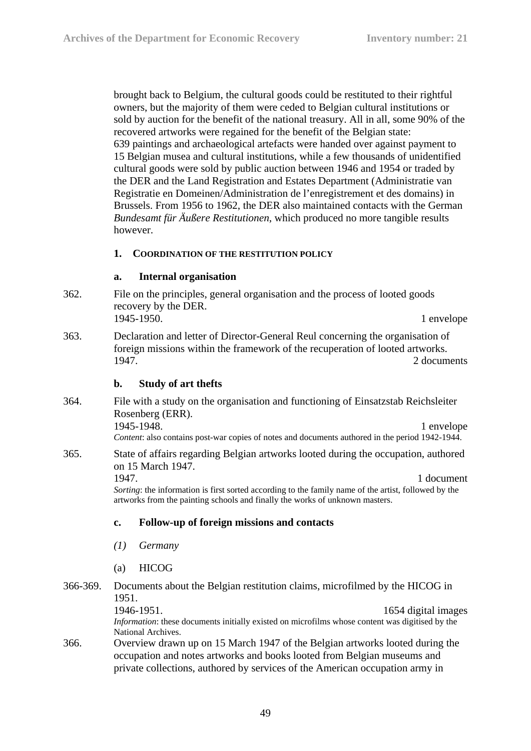brought back to Belgium, the cultural goods could be restituted to their rightful owners, but the majority of them were ceded to Belgian cultural institutions or sold by auction for the benefit of the national treasury. All in all, some 90% of the recovered artworks were regained for the benefit of the Belgian state: 639 paintings and archaeological artefacts were handed over against payment to 15 Belgian musea and cultural institutions, while a few thousands of unidentified cultural goods were sold by public auction between 1946 and 1954 or traded by the DER and the Land Registration and Estates Department (Administratie van Registratie en Domeinen/Administration de l'enregistrement et des domains) in Brussels. From 1956 to 1962, the DER also maintained contacts with the German *Bundesamt für Äußere Restitutionen*, which produced no more tangible results however.

### **1. COORDINATION OF THE RESTITUTION POLICY**

#### **a. Internal organisation**

- 362. File on the principles, general organisation and the process of looted goods recovery by the DER. 1945-1950. 1 envelope
- 363. Declaration and letter of Director-General Reul concerning the organisation of foreign missions within the framework of the recuperation of looted artworks. 1947. 2 documents

#### **b. Study of art thefts**

- 364. File with a study on the organisation and functioning of Einsatzstab Reichsleiter Rosenberg (ERR). 1945-1948. 1 envelope *Content*: also contains post-war copies of notes and documents authored in the period 1942-1944.
- 365. State of affairs regarding Belgian artworks looted during the occupation, authored on 15 March 1947. 1947. 1 document

*Sorting*: the information is first sorted according to the family name of the artist, followed by the artworks from the painting schools and finally the works of unknown masters.

#### **c. Follow-up of foreign missions and contacts**

- *(1) Germany*
- (a) HICOG

# 366-369. Documents about the Belgian restitution claims, microfilmed by the HICOG in 1951.

1946-1951. 1654 digital images *Information*: these documents initially existed on microfilms whose content was digitised by the National Archives.

366. Overview drawn up on 15 March 1947 of the Belgian artworks looted during the occupation and notes artworks and books looted from Belgian museums and private collections, authored by services of the American occupation army in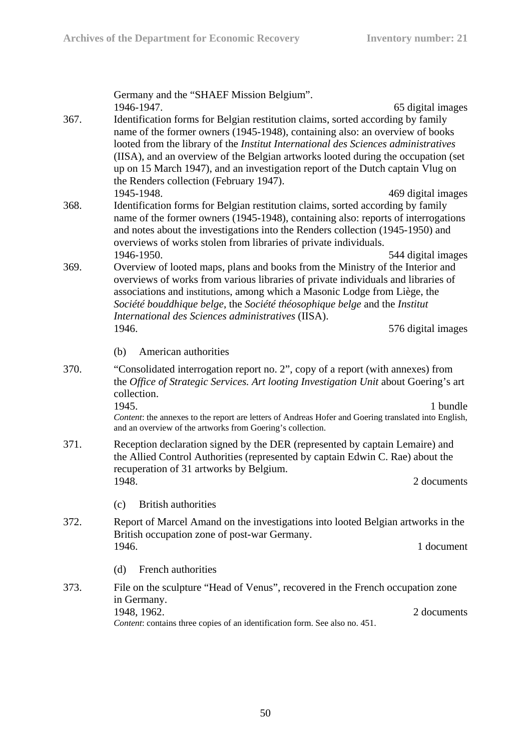Germany and the "SHAEF Mission Belgium". 1946-1947. 65 digital images 367. Identification forms for Belgian restitution claims, sorted according by family name of the former owners (1945-1948), containing also: an overview of books looted from the library of the *Institut International des Sciences administratives* (IISA), and an overview of the Belgian artworks looted during the occupation (set up on 15 March 1947), and an investigation report of the Dutch captain Vlug on the Renders collection (February 1947). 1945-1948. 469 digital images 368. Identification forms for Belgian restitution claims, sorted according by family name of the former owners (1945-1948), containing also: reports of interrogations and notes about the investigations into the Renders collection (1945-1950) and overviews of works stolen from libraries of private individuals. 1946-1950. 544 digital images 369. Overview of looted maps, plans and books from the Ministry of the Interior and overviews of works from various libraries of private individuals and libraries of associations and institutions, among which a Masonic Lodge from Liège, the *Société bouddhique belge*, the *Société théosophique belge* and the *Institut International des Sciences administratives* (IISA). 1946. 576 digital images (b) American authorities 370. "Consolidated interrogation report no. 2", copy of a report (with annexes) from the *Office of Strategic Services. Art looting Investigation Unit* about Goering's art collection. 1945. 1 bundle *Content*: the annexes to the report are letters of Andreas Hofer and Goering translated into English, and an overview of the artworks from Goering's collection. 371. Reception declaration signed by the DER (represented by captain Lemaire) and the Allied Control Authorities (represented by captain Edwin C. Rae) about the recuperation of 31 artworks by Belgium. 1948. 2 documents (c) British authorities 372. Report of Marcel Amand on the investigations into looted Belgian artworks in the British occupation zone of post-war Germany. 1946. 1 document (d) French authorities 373. File on the sculpture "Head of Venus", recovered in the French occupation zone in Germany. 1948, 1962. 2 documents *Content*: contains three copies of an identification form. See also no. 451.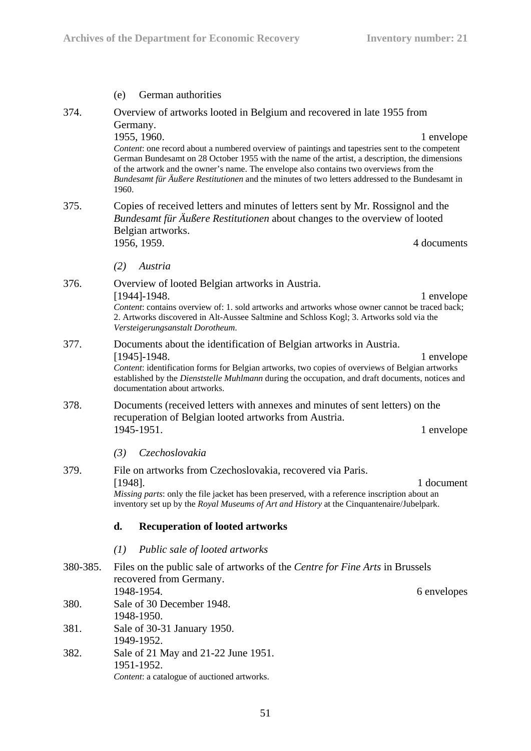|                  | (e)                                                                                                                                                                                                                                                                                                                                         | German authorities                                                                                                                                                                                                                                                                                                                                                                                                                                                                      |             |
|------------------|---------------------------------------------------------------------------------------------------------------------------------------------------------------------------------------------------------------------------------------------------------------------------------------------------------------------------------------------|-----------------------------------------------------------------------------------------------------------------------------------------------------------------------------------------------------------------------------------------------------------------------------------------------------------------------------------------------------------------------------------------------------------------------------------------------------------------------------------------|-------------|
| 374.             | Germany.<br>1960.                                                                                                                                                                                                                                                                                                                           | Overview of artworks looted in Belgium and recovered in late 1955 from<br>1955, 1960.<br>Content: one record about a numbered overview of paintings and tapestries sent to the competent<br>German Bundesamt on 28 October 1955 with the name of the artist, a description, the dimensions<br>of the artwork and the owner's name. The envelope also contains two overviews from the<br>Bundesamt für Äußere Restitutionen and the minutes of two letters addressed to the Bundesamt in | 1 envelope  |
| 375.             |                                                                                                                                                                                                                                                                                                                                             | Copies of received letters and minutes of letters sent by Mr. Rossignol and the<br>Bundesamt für Äußere Restitutionen about changes to the overview of looted<br>Belgian artworks.<br>1956, 1959.                                                                                                                                                                                                                                                                                       | 4 documents |
|                  | (2)                                                                                                                                                                                                                                                                                                                                         | Austria                                                                                                                                                                                                                                                                                                                                                                                                                                                                                 |             |
| 376.             |                                                                                                                                                                                                                                                                                                                                             | Overview of looted Belgian artworks in Austria.<br>$[1944]$ -1948.<br>Content: contains overview of: 1. sold artworks and artworks whose owner cannot be traced back;<br>2. Artworks discovered in Alt-Aussee Saltmine and Schloss Kogl; 3. Artworks sold via the<br>Versteigerungsanstalt Dorotheum.                                                                                                                                                                                   | 1 envelope  |
| 377.             | Documents about the identification of Belgian artworks in Austria.<br>$[1945]$ -1948.<br>1 envelope<br>Content: identification forms for Belgian artworks, two copies of overviews of Belgian artworks<br>established by the Dienststelle Muhlmann during the occupation, and draft documents, notices and<br>documentation about artworks. |                                                                                                                                                                                                                                                                                                                                                                                                                                                                                         |             |
| 378.             | Documents (received letters with annexes and minutes of sent letters) on the<br>recuperation of Belgian looted artworks from Austria.<br>1945-1951.                                                                                                                                                                                         |                                                                                                                                                                                                                                                                                                                                                                                                                                                                                         | 1 envelope  |
|                  | (3)                                                                                                                                                                                                                                                                                                                                         | Czechoslovakia                                                                                                                                                                                                                                                                                                                                                                                                                                                                          |             |
| 379.             | File on artworks from Czechoslovakia, recovered via Paris.<br>$[1948]$ .<br>Missing parts: only the file jacket has been preserved, with a reference inscription about an<br>inventory set up by the Royal Museums of Art and History at the Cinquantenaire/Jubelpark.                                                                      |                                                                                                                                                                                                                                                                                                                                                                                                                                                                                         | 1 document  |
|                  | d.                                                                                                                                                                                                                                                                                                                                          | <b>Recuperation of looted artworks</b>                                                                                                                                                                                                                                                                                                                                                                                                                                                  |             |
|                  | (I)                                                                                                                                                                                                                                                                                                                                         | Public sale of looted artworks                                                                                                                                                                                                                                                                                                                                                                                                                                                          |             |
| 380-385.<br>380. | Files on the public sale of artworks of the Centre for Fine Arts in Brussels<br>recovered from Germany.<br>1948-1954.<br>6 envelopes<br>Sale of 30 December 1948.                                                                                                                                                                           |                                                                                                                                                                                                                                                                                                                                                                                                                                                                                         |             |
|                  | 1948-1950.                                                                                                                                                                                                                                                                                                                                  |                                                                                                                                                                                                                                                                                                                                                                                                                                                                                         |             |
| 381.             |                                                                                                                                                                                                                                                                                                                                             | Sale of 30-31 January 1950.<br>1949-1952.                                                                                                                                                                                                                                                                                                                                                                                                                                               |             |
| 382.             |                                                                                                                                                                                                                                                                                                                                             | Sale of 21 May and 21-22 June 1951.<br>1951-1952.<br>Content: a catalogue of auctioned artworks.                                                                                                                                                                                                                                                                                                                                                                                        |             |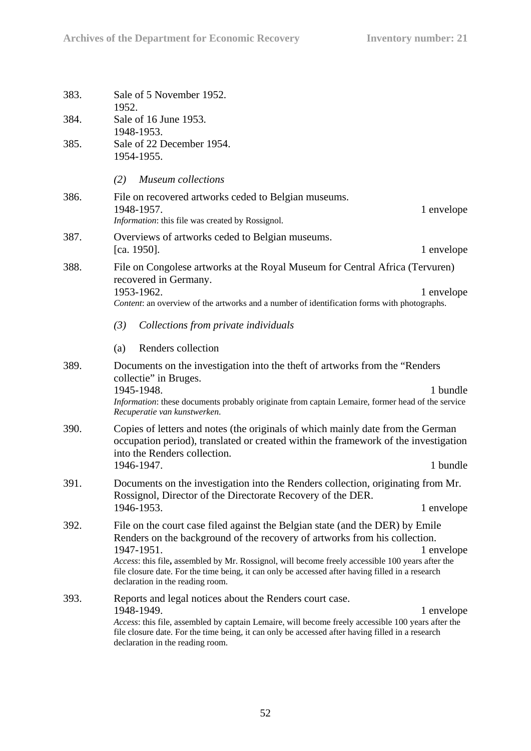| 383. | Sale of 5 November 1952.<br>1952.                                                                                                                                                                                                                                                                                                                                                                                                   |
|------|-------------------------------------------------------------------------------------------------------------------------------------------------------------------------------------------------------------------------------------------------------------------------------------------------------------------------------------------------------------------------------------------------------------------------------------|
| 384. | Sale of 16 June 1953.<br>1948-1953.                                                                                                                                                                                                                                                                                                                                                                                                 |
| 385. | Sale of 22 December 1954.<br>1954-1955.                                                                                                                                                                                                                                                                                                                                                                                             |
|      | <b>Museum</b> collections<br>(2)                                                                                                                                                                                                                                                                                                                                                                                                    |
| 386. | File on recovered artworks ceded to Belgian museums.<br>1948-1957.<br>1 envelope<br>Information: this file was created by Rossignol.                                                                                                                                                                                                                                                                                                |
| 387. | Overviews of artworks ceded to Belgian museums.<br>[ca. 1950].<br>1 envelope                                                                                                                                                                                                                                                                                                                                                        |
| 388. | File on Congolese artworks at the Royal Museum for Central Africa (Tervuren)<br>recovered in Germany.                                                                                                                                                                                                                                                                                                                               |
|      | 1953-1962.<br>1 envelope<br>Content: an overview of the artworks and a number of identification forms with photographs.                                                                                                                                                                                                                                                                                                             |
|      | (3)<br>Collections from private individuals                                                                                                                                                                                                                                                                                                                                                                                         |
|      | Renders collection<br>(a)                                                                                                                                                                                                                                                                                                                                                                                                           |
| 389. | Documents on the investigation into the theft of artworks from the "Renders"<br>collectie" in Bruges.                                                                                                                                                                                                                                                                                                                               |
|      | 1945-1948.<br>1 bundle<br>Information: these documents probably originate from captain Lemaire, former head of the service<br>Recuperatie van kunstwerken.                                                                                                                                                                                                                                                                          |
| 390. | Copies of letters and notes (the originals of which mainly date from the German<br>occupation period), translated or created within the framework of the investigation<br>into the Renders collection.                                                                                                                                                                                                                              |
|      | 1946-1947.<br>1 bundle                                                                                                                                                                                                                                                                                                                                                                                                              |
| 391. | Documents on the investigation into the Renders collection, originating from Mr.<br>Rossignol, Director of the Directorate Recovery of the DER.                                                                                                                                                                                                                                                                                     |
|      | 1946-1953.<br>1 envelope                                                                                                                                                                                                                                                                                                                                                                                                            |
| 392. | File on the court case filed against the Belgian state (and the DER) by Emile<br>Renders on the background of the recovery of artworks from his collection.<br>1947-1951.<br>1 envelope<br>Access: this file, assembled by Mr. Rossignol, will become freely accessible 100 years after the<br>file closure date. For the time being, it can only be accessed after having filled in a research<br>declaration in the reading room. |
| 393. | Reports and legal notices about the Renders court case.<br>1948-1949.<br>1 envelope<br>Access: this file, assembled by captain Lemaire, will become freely accessible 100 years after the<br>file closure date. For the time being, it can only be accessed after having filled in a research<br>declaration in the reading room.                                                                                                   |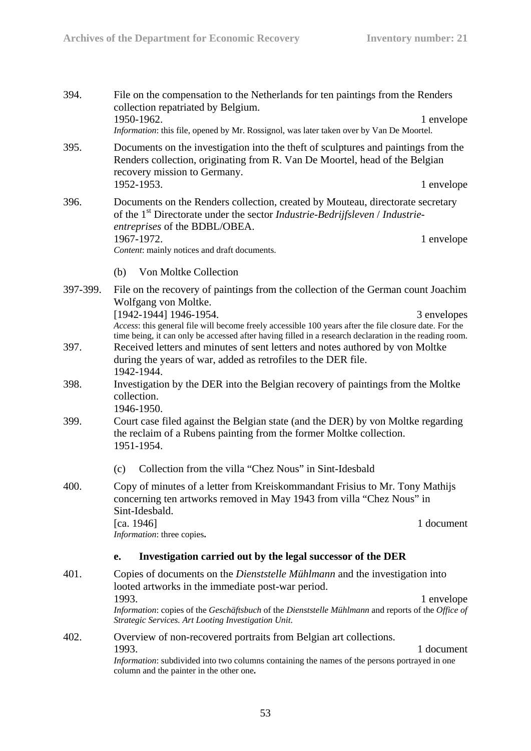| 394.     | File on the compensation to the Netherlands for ten paintings from the Renders<br>collection repatriated by Belgium.<br>1950-1962.<br>1 envelope                                                                                                          |  |  |
|----------|-----------------------------------------------------------------------------------------------------------------------------------------------------------------------------------------------------------------------------------------------------------|--|--|
|          | Information: this file, opened by Mr. Rossignol, was later taken over by Van De Moortel.                                                                                                                                                                  |  |  |
| 395.     | Documents on the investigation into the theft of sculptures and paintings from the<br>Renders collection, originating from R. Van De Moortel, head of the Belgian<br>recovery mission to Germany.                                                         |  |  |
|          | 1952-1953.<br>1 envelope                                                                                                                                                                                                                                  |  |  |
| 396.     | Documents on the Renders collection, created by Mouteau, directorate secretary<br>of the 1 <sup>st</sup> Directorate under the sector <i>Industrie-Bedrijfsleven</i> / <i>Industrie-</i><br>entreprises of the BDBL/OBEA.                                 |  |  |
|          | 1967-1972.<br>1 envelope<br>Content: mainly notices and draft documents.                                                                                                                                                                                  |  |  |
|          | Von Moltke Collection<br>(b)                                                                                                                                                                                                                              |  |  |
| 397-399. | File on the recovery of paintings from the collection of the German count Joachim<br>Wolfgang von Moltke.                                                                                                                                                 |  |  |
|          | [1942-1944] 1946-1954.<br>3 envelopes<br>Access: this general file will become freely accessible 100 years after the file closure date. For the<br>time being, it can only be accessed after having filled in a research declaration in the reading room. |  |  |
| 397.     | Received letters and minutes of sent letters and notes authored by von Moltke<br>during the years of war, added as retrofiles to the DER file.<br>1942-1944.                                                                                              |  |  |
| 398.     | Investigation by the DER into the Belgian recovery of paintings from the Moltke<br>collection.<br>1946-1950.                                                                                                                                              |  |  |
| 399.     | Court case filed against the Belgian state (and the DER) by von Moltke regarding<br>the reclaim of a Rubens painting from the former Moltke collection.<br>1951-1954.                                                                                     |  |  |
|          | Collection from the villa "Chez Nous" in Sint-Idesbald<br>(c)                                                                                                                                                                                             |  |  |
| 400.     | Copy of minutes of a letter from Kreiskommandant Frisius to Mr. Tony Mathijs<br>concerning ten artworks removed in May 1943 from villa "Chez Nous" in<br>Sint-Idesbald.                                                                                   |  |  |
|          | [ca. 1946]<br>1 document<br>Information: three copies.                                                                                                                                                                                                    |  |  |
|          | Investigation carried out by the legal successor of the DER<br>е.                                                                                                                                                                                         |  |  |
| 401.     | Copies of documents on the <i>Dienststelle Mühlmann</i> and the investigation into<br>looted artworks in the immediate post-war period.                                                                                                                   |  |  |
|          | 1993.<br>1 envelope<br>Information: copies of the Geschäftsbuch of the Dienststelle Mühlmann and reports of the Office of<br>Strategic Services. Art Looting Investigation Unit.                                                                          |  |  |
| 402.     | Overview of non-recovered portraits from Belgian art collections.<br>1993.<br>1 document<br>Information: subdivided into two columns containing the names of the persons portrayed in one<br>column and the painter in the other one.                     |  |  |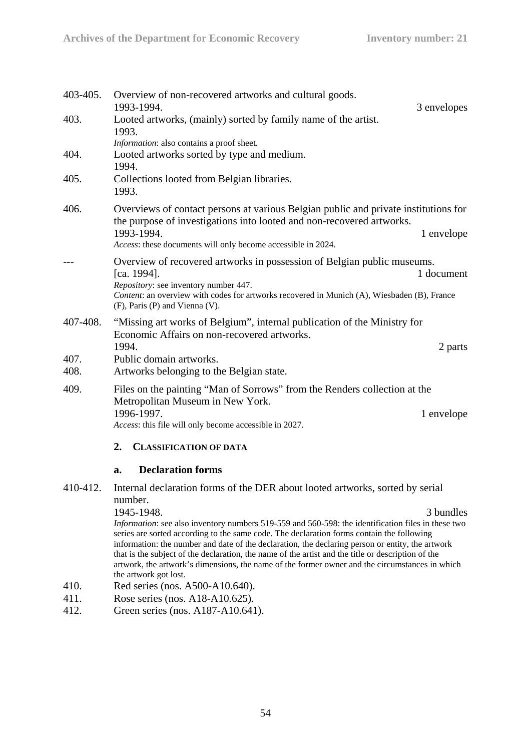| 403-405.     | Overview of non-recovered artworks and cultural goods.<br>1993-1994.<br>3 envelopes                                                                                                                                                                                                                                                                                                                                            |
|--------------|--------------------------------------------------------------------------------------------------------------------------------------------------------------------------------------------------------------------------------------------------------------------------------------------------------------------------------------------------------------------------------------------------------------------------------|
| 403.         | Looted artworks, (mainly) sorted by family name of the artist.<br>1993.<br>Information: also contains a proof sheet.                                                                                                                                                                                                                                                                                                           |
| 404.         | Looted artworks sorted by type and medium.<br>1994.                                                                                                                                                                                                                                                                                                                                                                            |
| 405.         | Collections looted from Belgian libraries.<br>1993.                                                                                                                                                                                                                                                                                                                                                                            |
| 406.         | Overviews of contact persons at various Belgian public and private institutions for<br>the purpose of investigations into looted and non-recovered artworks.                                                                                                                                                                                                                                                                   |
|              | 1993-1994.<br>1 envelope<br>Access: these documents will only become accessible in 2024.                                                                                                                                                                                                                                                                                                                                       |
|              | Overview of recovered artworks in possession of Belgian public museums.<br>[ca. 1994].<br>1 document<br>Repository: see inventory number 447.<br>Content: an overview with codes for artworks recovered in Munich (A), Wiesbaden (B), France                                                                                                                                                                                   |
| 407-408.     | (F), Paris (P) and Vienna (V).<br>"Missing art works of Belgium", internal publication of the Ministry for                                                                                                                                                                                                                                                                                                                     |
|              | Economic Affairs on non-recovered artworks.<br>1994.<br>2 parts                                                                                                                                                                                                                                                                                                                                                                |
| 407.<br>408. | Public domain artworks.<br>Artworks belonging to the Belgian state.                                                                                                                                                                                                                                                                                                                                                            |
| 409.         | Files on the painting "Man of Sorrows" from the Renders collection at the<br>Metropolitan Museum in New York.                                                                                                                                                                                                                                                                                                                  |
|              | 1996-1997.<br>1 envelope<br>Access: this file will only become accessible in 2027.                                                                                                                                                                                                                                                                                                                                             |
|              | 2.<br><b>CLASSIFICATION OF DATA</b>                                                                                                                                                                                                                                                                                                                                                                                            |
|              | <b>Declaration forms</b><br>a.                                                                                                                                                                                                                                                                                                                                                                                                 |
|              | 410-412. Internal declaration forms of the DER about looted artworks, sorted by serial<br>number.                                                                                                                                                                                                                                                                                                                              |
|              | 1945-1948.<br>3 bundles                                                                                                                                                                                                                                                                                                                                                                                                        |
|              | Information: see also inventory numbers 519-559 and 560-598: the identification files in these two                                                                                                                                                                                                                                                                                                                             |
|              | series are sorted according to the same code. The declaration forms contain the following<br>information: the number and date of the declaration, the declaring person or entity, the artwork<br>that is the subject of the declaration, the name of the artist and the title or description of the<br>artwork, the artwork's dimensions, the name of the former owner and the circumstances in which<br>the artwork got lost. |
| 410.         | Red series (nos. A500-A10.640).                                                                                                                                                                                                                                                                                                                                                                                                |
| 411.         | Rose series (nos. A18-A10.625).                                                                                                                                                                                                                                                                                                                                                                                                |
| 412.         | Green series (nos. A187-A10.641).                                                                                                                                                                                                                                                                                                                                                                                              |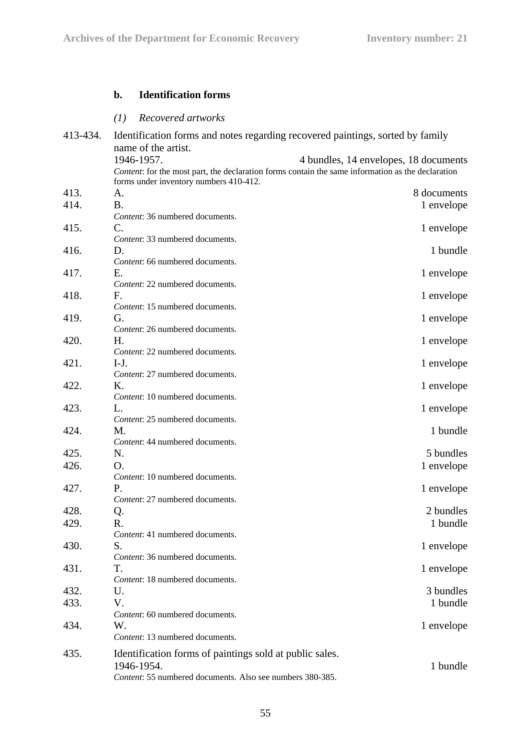# **b. Identification forms**

# *(1) Recovered artworks*

| 413-434. | Identification forms and notes regarding recovered paintings, sorted by family                                                              |                                       |
|----------|---------------------------------------------------------------------------------------------------------------------------------------------|---------------------------------------|
|          | name of the artist.                                                                                                                         |                                       |
|          | 1946-1957.                                                                                                                                  | 4 bundles, 14 envelopes, 18 documents |
|          | Content: for the most part, the declaration forms contain the same information as the declaration<br>forms under inventory numbers 410-412. |                                       |
| 413.     | A.                                                                                                                                          | 8 documents                           |
| 414.     | <b>B.</b>                                                                                                                                   | 1 envelope                            |
|          | Content: 36 numbered documents.                                                                                                             |                                       |
| 415.     | C.                                                                                                                                          | 1 envelope                            |
|          | Content: 33 numbered documents.                                                                                                             |                                       |
| 416.     | D.                                                                                                                                          | 1 bundle                              |
|          | Content: 66 numbered documents.                                                                                                             |                                       |
| 417.     | Ε.                                                                                                                                          | 1 envelope                            |
|          | Content: 22 numbered documents.                                                                                                             |                                       |
| 418.     | F.                                                                                                                                          | 1 envelope                            |
|          | Content: 15 numbered documents.                                                                                                             |                                       |
| 419.     | G.                                                                                                                                          | 1 envelope                            |
|          | Content: 26 numbered documents.                                                                                                             |                                       |
| 420.     | Н.                                                                                                                                          | 1 envelope                            |
|          | Content: 22 numbered documents.                                                                                                             |                                       |
| 421.     | $I-J.$                                                                                                                                      | 1 envelope                            |
|          | Content: 27 numbered documents.                                                                                                             |                                       |
| 422.     | Κ.                                                                                                                                          | 1 envelope                            |
|          | Content: 10 numbered documents.                                                                                                             |                                       |
| 423.     | L.                                                                                                                                          | 1 envelope                            |
|          | Content: 25 numbered documents.                                                                                                             |                                       |
| 424.     | M.                                                                                                                                          | 1 bundle                              |
|          | Content: 44 numbered documents.                                                                                                             |                                       |
| 425.     | N.                                                                                                                                          | 5 bundles                             |
| 426.     | Ο.                                                                                                                                          | 1 envelope                            |
|          | Content: 10 numbered documents.                                                                                                             |                                       |
| 427.     | Ρ.                                                                                                                                          | 1 envelope                            |
|          | Content: 27 numbered documents.                                                                                                             |                                       |
| 428.     | Q.                                                                                                                                          | 2 bundles                             |
| 429.     | R.                                                                                                                                          | 1 bundle                              |
|          | Content: 41 numbered documents.                                                                                                             |                                       |
| 430.     | S.                                                                                                                                          | 1 envelope                            |
|          | Content: 36 numbered documents.                                                                                                             |                                       |
| 431.     | T.                                                                                                                                          | 1 envelope                            |
|          | Content: 18 numbered documents.                                                                                                             |                                       |
| 432.     | U.                                                                                                                                          | 3 bundles                             |
| 433.     | V.                                                                                                                                          | 1 bundle                              |
|          | Content: 60 numbered documents.                                                                                                             |                                       |
| 434.     | W.                                                                                                                                          | 1 envelope                            |
|          | Content: 13 numbered documents.                                                                                                             |                                       |
| 435.     | Identification forms of paintings sold at public sales.                                                                                     |                                       |
|          | 1946-1954.                                                                                                                                  | 1 bundle                              |
|          | Content: 55 numbered documents. Also see numbers 380-385.                                                                                   |                                       |
|          |                                                                                                                                             |                                       |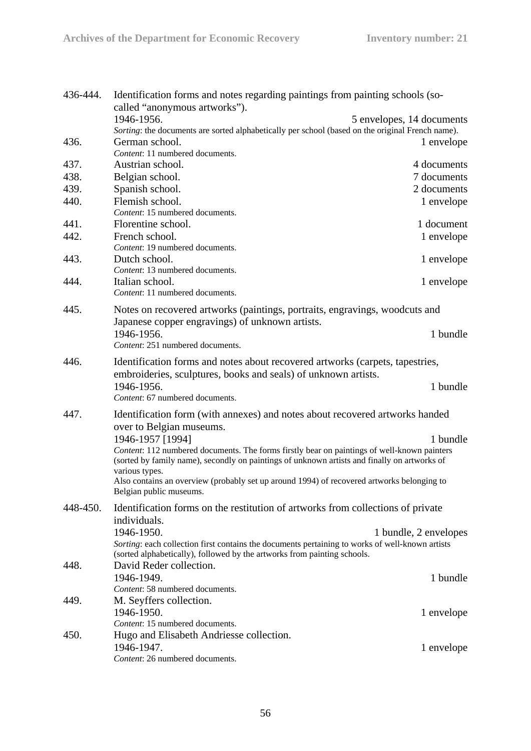| 436-444. | Identification forms and notes regarding paintings from painting schools (so-<br>called "anonymous artworks").<br>1946-1956.                                                                                  | 5 envelopes, 14 documents |
|----------|---------------------------------------------------------------------------------------------------------------------------------------------------------------------------------------------------------------|---------------------------|
| 436.     | Sorting: the documents are sorted alphabetically per school (based on the original French name).<br>German school.                                                                                            | 1 envelope                |
| 437.     | Content: 11 numbered documents.<br>Austrian school.                                                                                                                                                           | 4 documents               |
| 438.     | Belgian school.                                                                                                                                                                                               | 7 documents               |
| 439.     | Spanish school.                                                                                                                                                                                               | 2 documents               |
| 440.     | Flemish school.                                                                                                                                                                                               | 1 envelope                |
|          | Content: 15 numbered documents.                                                                                                                                                                               |                           |
| 441.     | Florentine school.                                                                                                                                                                                            | 1 document                |
| 442.     | French school.                                                                                                                                                                                                | 1 envelope                |
| 443.     | Content: 19 numbered documents.<br>Dutch school.                                                                                                                                                              | 1 envelope                |
|          | Content: 13 numbered documents.                                                                                                                                                                               |                           |
| 444.     | Italian school.<br>Content: 11 numbered documents.                                                                                                                                                            | 1 envelope                |
| 445.     | Notes on recovered artworks (paintings, portraits, engravings, woodcuts and<br>Japanese copper engravings) of unknown artists.                                                                                |                           |
|          | 1946-1956.<br>Content: 251 numbered documents.                                                                                                                                                                | 1 bundle                  |
| 446.     | Identification forms and notes about recovered artworks (carpets, tapestries,<br>embroideries, sculptures, books and seals) of unknown artists.                                                               |                           |
|          | 1946-1956.<br>Content: 67 numbered documents.                                                                                                                                                                 | 1 bundle                  |
| 447.     | Identification form (with annexes) and notes about recovered artworks handed<br>over to Belgian museums.                                                                                                      |                           |
|          | 1946-1957 [1994]                                                                                                                                                                                              | 1 bundle                  |
|          | Content: 112 numbered documents. The forms firstly bear on paintings of well-known painters<br>(sorted by family name), secondly on paintings of unknown artists and finally on artworks of<br>various types. |                           |
|          | Also contains an overview (probably set up around 1994) of recovered artworks belonging to<br>Belgian public museums.                                                                                         |                           |
| 448-450. | Identification forms on the restitution of artworks from collections of private<br>individuals.                                                                                                               |                           |
|          | 1946-1950.<br>Sorting: each collection first contains the documents pertaining to works of well-known artists                                                                                                 | 1 bundle, 2 envelopes     |
| 448.     | (sorted alphabetically), followed by the artworks from painting schools.<br>David Reder collection.                                                                                                           |                           |
|          | 1946-1949.<br>Content: 58 numbered documents.                                                                                                                                                                 | 1 bundle                  |
| 449.     | M. Seyffers collection.                                                                                                                                                                                       |                           |
|          | 1946-1950.                                                                                                                                                                                                    | 1 envelope                |
|          | Content: 15 numbered documents.                                                                                                                                                                               |                           |
| 450.     | Hugo and Elisabeth Andriesse collection.                                                                                                                                                                      |                           |
|          | 1946-1947.                                                                                                                                                                                                    | 1 envelope                |
|          | Content: 26 numbered documents.                                                                                                                                                                               |                           |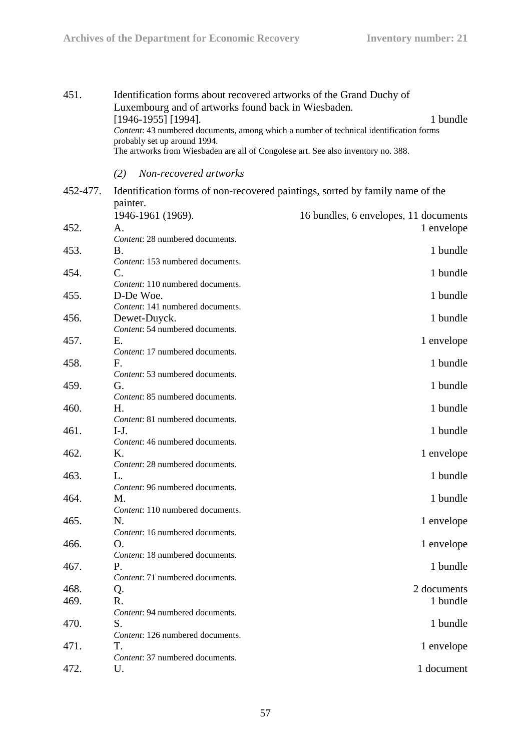| 451.     |                | Identification forms about recovered artworks of the Grand Duchy of<br>Luxembourg and of artworks found back in Wiesbaden.<br>$[1946-1955]$ [1994].<br>probably set up around 1994.<br>The artworks from Wiesbaden are all of Congolese art. See also inventory no. 388. | 1 bundle<br>Content: 43 numbered documents, among which a number of technical identification forms |  |
|----------|----------------|--------------------------------------------------------------------------------------------------------------------------------------------------------------------------------------------------------------------------------------------------------------------------|----------------------------------------------------------------------------------------------------|--|
|          | (2)            | Non-recovered artworks                                                                                                                                                                                                                                                   |                                                                                                    |  |
| 452-477. |                |                                                                                                                                                                                                                                                                          | Identification forms of non-recovered paintings, sorted by family name of the                      |  |
|          | painter.       |                                                                                                                                                                                                                                                                          |                                                                                                    |  |
|          |                | 1946-1961 (1969).                                                                                                                                                                                                                                                        | 16 bundles, 6 envelopes, 11 documents                                                              |  |
| 452.     | А.             |                                                                                                                                                                                                                                                                          | 1 envelope                                                                                         |  |
|          |                | Content: 28 numbered documents.                                                                                                                                                                                                                                          |                                                                                                    |  |
| 453.     | Β.             |                                                                                                                                                                                                                                                                          | 1 bundle                                                                                           |  |
|          |                | Content: 153 numbered documents.                                                                                                                                                                                                                                         |                                                                                                    |  |
| 454.     | C.             |                                                                                                                                                                                                                                                                          | 1 bundle                                                                                           |  |
| 455.     |                | Content: 110 numbered documents.<br>D-De Woe.                                                                                                                                                                                                                            | 1 bundle                                                                                           |  |
|          |                | Content: 141 numbered documents.                                                                                                                                                                                                                                         |                                                                                                    |  |
| 456.     |                | Dewet-Duyck.                                                                                                                                                                                                                                                             | 1 bundle                                                                                           |  |
|          |                | Content: 54 numbered documents.                                                                                                                                                                                                                                          |                                                                                                    |  |
| 457.     | Е.             |                                                                                                                                                                                                                                                                          | 1 envelope                                                                                         |  |
|          |                | Content: 17 numbered documents.                                                                                                                                                                                                                                          |                                                                                                    |  |
| 458.     | F.             |                                                                                                                                                                                                                                                                          | 1 bundle                                                                                           |  |
|          |                | Content: 53 numbered documents.                                                                                                                                                                                                                                          |                                                                                                    |  |
| 459.     | G.             |                                                                                                                                                                                                                                                                          | 1 bundle                                                                                           |  |
|          |                | Content: 85 numbered documents.                                                                                                                                                                                                                                          |                                                                                                    |  |
| 460.     | Н.             |                                                                                                                                                                                                                                                                          | 1 bundle                                                                                           |  |
|          |                | Content: 81 numbered documents.                                                                                                                                                                                                                                          |                                                                                                    |  |
| 461.     | $I-J.$         |                                                                                                                                                                                                                                                                          | 1 bundle                                                                                           |  |
|          |                | Content: 46 numbered documents.                                                                                                                                                                                                                                          |                                                                                                    |  |
| 462.     | $\mathbf{K}$ . |                                                                                                                                                                                                                                                                          | 1 envelope                                                                                         |  |
|          |                | Content: 28 numbered documents.                                                                                                                                                                                                                                          |                                                                                                    |  |
| 463.     | L.             |                                                                                                                                                                                                                                                                          | 1 bundle                                                                                           |  |
| 464.     | М.             | Content: 96 numbered documents.                                                                                                                                                                                                                                          | 1 bundle                                                                                           |  |
|          |                | Content: 110 numbered documents.                                                                                                                                                                                                                                         |                                                                                                    |  |
| 465.     | N.             |                                                                                                                                                                                                                                                                          | 1 envelope                                                                                         |  |
|          |                | Content: 16 numbered documents.                                                                                                                                                                                                                                          |                                                                                                    |  |
| 466.     | O.             |                                                                                                                                                                                                                                                                          | 1 envelope                                                                                         |  |
|          |                | Content: 18 numbered documents.                                                                                                                                                                                                                                          |                                                                                                    |  |
| 467.     | P.             |                                                                                                                                                                                                                                                                          | 1 bundle                                                                                           |  |
|          |                | Content: 71 numbered documents.                                                                                                                                                                                                                                          |                                                                                                    |  |
| 468.     | Q.             |                                                                                                                                                                                                                                                                          | 2 documents                                                                                        |  |
| 469.     | R.             |                                                                                                                                                                                                                                                                          | 1 bundle                                                                                           |  |
|          |                | Content: 94 numbered documents.                                                                                                                                                                                                                                          |                                                                                                    |  |
| 470.     | S.             |                                                                                                                                                                                                                                                                          | 1 bundle                                                                                           |  |
|          |                | Content: 126 numbered documents.                                                                                                                                                                                                                                         |                                                                                                    |  |
| 471.     | Τ.             |                                                                                                                                                                                                                                                                          | 1 envelope                                                                                         |  |
|          |                | Content: 37 numbered documents.                                                                                                                                                                                                                                          |                                                                                                    |  |
| 472.     | U.             |                                                                                                                                                                                                                                                                          | 1 document                                                                                         |  |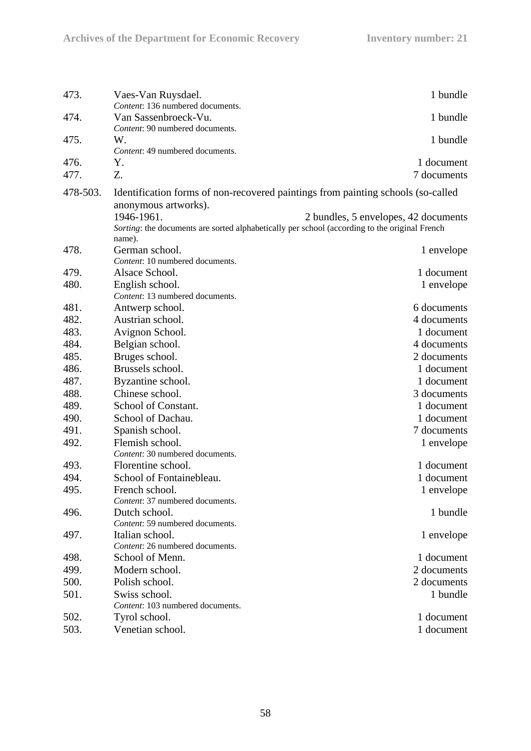| 473.         | Vaes-Van Ruysdael.                                                                                       | 1 bundle                             |
|--------------|----------------------------------------------------------------------------------------------------------|--------------------------------------|
| 474.         | Content: 136 numbered documents.<br>Van Sassenbroeck-Vu.                                                 | 1 bundle                             |
| 475.         | Content: 90 numbered documents.<br>W.<br>Content: 49 numbered documents.                                 | 1 bundle                             |
| 476.<br>477. | Y.<br>Z.                                                                                                 | 1 document<br>7 documents            |
|              |                                                                                                          |                                      |
| 478-503.     | Identification forms of non-recovered paintings from painting schools (so-called<br>anonymous artworks). |                                      |
|              | 1946-1961.                                                                                               | 2 bundles, 5 envelopes, 42 documents |
|              | Sorting: the documents are sorted alphabetically per school (according to the original French            |                                      |
|              | name).                                                                                                   |                                      |
| 478.         | German school.                                                                                           | 1 envelope                           |
|              | Content: 10 numbered documents.                                                                          |                                      |
| 479.         | Alsace School.                                                                                           | 1 document                           |
| 480.         | English school.                                                                                          | 1 envelope                           |
|              | Content: 13 numbered documents.                                                                          |                                      |
| 481.         | Antwerp school.                                                                                          | 6 documents                          |
| 482.         | Austrian school.                                                                                         | 4 documents                          |
| 483.         | Avignon School.                                                                                          | 1 document                           |
| 484.         | Belgian school.                                                                                          | 4 documents                          |
| 485.         | Bruges school.                                                                                           | 2 documents                          |
| 486.         | Brussels school.                                                                                         | 1 document                           |
| 487.         | Byzantine school.                                                                                        | 1 document                           |
| 488.         | Chinese school.                                                                                          | 3 documents                          |
| 489.         | School of Constant.                                                                                      | 1 document                           |
| 490.         | School of Dachau.                                                                                        | 1 document                           |
| 491.         | Spanish school.                                                                                          | 7 documents                          |
| 492.         | Flemish school.                                                                                          | 1 envelope                           |
|              | Content: 30 numbered documents.                                                                          |                                      |
| 493.         | Florentine school.                                                                                       | 1 document                           |
| 494.         | School of Fontainebleau.                                                                                 | 1 document                           |
| 495.         | French school.                                                                                           | 1 envelope                           |
|              | Content: 37 numbered documents.                                                                          |                                      |
| 496.         | Dutch school.<br>Content: 59 numbered documents.                                                         | 1 bundle                             |
| 497.         | Italian school.                                                                                          | 1 envelope                           |
|              | Content: 26 numbered documents.                                                                          |                                      |
| 498.         | School of Menn.                                                                                          | 1 document                           |
| 499.         | Modern school.                                                                                           | 2 documents                          |
| 500.         | Polish school.                                                                                           | 2 documents                          |
| 501.         | Swiss school.                                                                                            | 1 bundle                             |
|              | Content: 103 numbered documents.                                                                         |                                      |
| 502.         | Tyrol school.                                                                                            | 1 document                           |
| 503.         | Venetian school.                                                                                         | 1 document                           |
|              |                                                                                                          |                                      |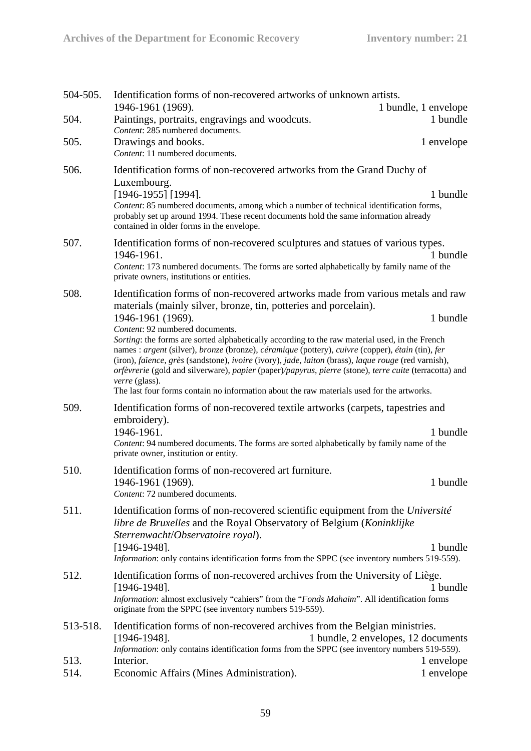| 504-505. | Identification forms of non-recovered artworks of unknown artists.                                                                                                                                                                                                                                                                                                                                                                                                                                                                 |                                     |
|----------|------------------------------------------------------------------------------------------------------------------------------------------------------------------------------------------------------------------------------------------------------------------------------------------------------------------------------------------------------------------------------------------------------------------------------------------------------------------------------------------------------------------------------------|-------------------------------------|
|          | 1946-1961 (1969).                                                                                                                                                                                                                                                                                                                                                                                                                                                                                                                  | 1 bundle, 1 envelope                |
| 504.     | Paintings, portraits, engravings and woodcuts.<br>Content: 285 numbered documents.                                                                                                                                                                                                                                                                                                                                                                                                                                                 | 1 bundle                            |
| 505.     | Drawings and books.<br>Content: 11 numbered documents.                                                                                                                                                                                                                                                                                                                                                                                                                                                                             | 1 envelope                          |
| 506.     | Identification forms of non-recovered artworks from the Grand Duchy of<br>Luxembourg.                                                                                                                                                                                                                                                                                                                                                                                                                                              |                                     |
|          | $[1946-1955]$ [1994].<br>Content: 85 numbered documents, among which a number of technical identification forms,<br>probably set up around 1994. These recent documents hold the same information already<br>contained in older forms in the envelope.                                                                                                                                                                                                                                                                             | 1 bundle                            |
| 507.     | Identification forms of non-recovered sculptures and statues of various types.<br>1946-1961.<br>Content: 173 numbered documents. The forms are sorted alphabetically by family name of the<br>private owners, institutions or entities.                                                                                                                                                                                                                                                                                            | 1 bundle                            |
| 508.     | Identification forms of non-recovered artworks made from various metals and raw<br>materials (mainly silver, bronze, tin, potteries and porcelain).                                                                                                                                                                                                                                                                                                                                                                                |                                     |
|          | 1946-1961 (1969).<br>Content: 92 numbered documents.                                                                                                                                                                                                                                                                                                                                                                                                                                                                               | 1 bundle                            |
|          | Sorting: the forms are sorted alphabetically according to the raw material used, in the French<br>names : argent (silver), bronze (bronze), céramique (pottery), cuivre (copper), étain (tin), fer<br>(iron), faïence, grès (sandstone), ivoire (ivory), jade, laiton (brass), laque rouge (red varnish),<br>orfèvrerie (gold and silverware), papier (paper)/papyrus, pierre (stone), terre cuite (terracotta) and<br>verre (glass).<br>The last four forms contain no information about the raw materials used for the artworks. |                                     |
| 509.     | Identification forms of non-recovered textile artworks (carpets, tapestries and                                                                                                                                                                                                                                                                                                                                                                                                                                                    |                                     |
|          | embroidery).<br>1946-1961.<br>Content: 94 numbered documents. The forms are sorted alphabetically by family name of the<br>private owner, institution or entity.                                                                                                                                                                                                                                                                                                                                                                   | 1 bundle                            |
| 510.     | Identification forms of non-recovered art furniture.                                                                                                                                                                                                                                                                                                                                                                                                                                                                               |                                     |
|          | 1946-1961 (1969).<br>Content: 72 numbered documents.                                                                                                                                                                                                                                                                                                                                                                                                                                                                               | 1 bundle                            |
| 511.     | Identification forms of non-recovered scientific equipment from the Université<br>libre de Bruxelles and the Royal Observatory of Belgium (Koninklijke<br>Sterrenwacht/Observatoire royal).                                                                                                                                                                                                                                                                                                                                        |                                     |
|          | $[1946-1948]$ .<br>Information: only contains identification forms from the SPPC (see inventory numbers 519-559).                                                                                                                                                                                                                                                                                                                                                                                                                  | 1 bundle                            |
| 512.     | Identification forms of non-recovered archives from the University of Liège.<br>$[1946-1948]$ .<br>Information: almost exclusively "cahiers" from the "Fonds Mahaim". All identification forms<br>originate from the SPPC (see inventory numbers 519-559).                                                                                                                                                                                                                                                                         | 1 bundle                            |
| 513-518. | Identification forms of non-recovered archives from the Belgian ministries.<br>$[1946-1948]$ .                                                                                                                                                                                                                                                                                                                                                                                                                                     | 1 bundle, 2 envelopes, 12 documents |
| 513.     | Information: only contains identification forms from the SPPC (see inventory numbers 519-559).<br>Interior.                                                                                                                                                                                                                                                                                                                                                                                                                        | 1 envelope                          |
| 514.     | Economic Affairs (Mines Administration).                                                                                                                                                                                                                                                                                                                                                                                                                                                                                           | 1 envelope                          |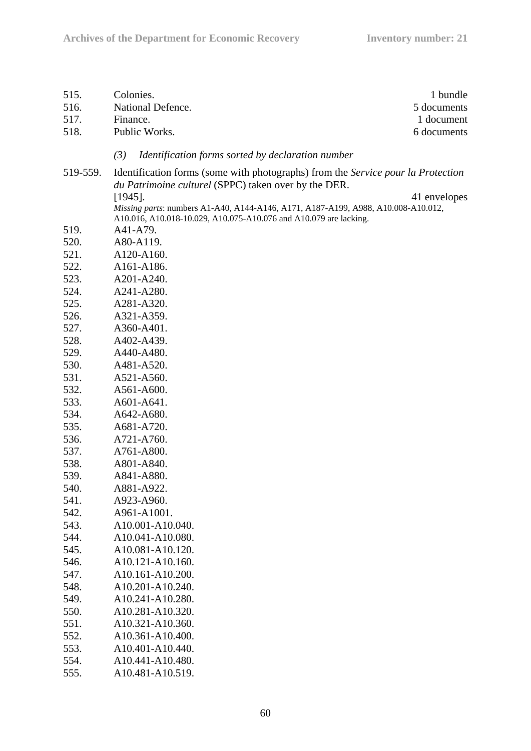| 515.     | Colonies.                                                                                                                                              | 1 bundle     |
|----------|--------------------------------------------------------------------------------------------------------------------------------------------------------|--------------|
| 516.     | National Defence.                                                                                                                                      | 5 documents  |
| 517.     | Finance.                                                                                                                                               | 1 document   |
| 518.     | Public Works.                                                                                                                                          | 6 documents  |
|          |                                                                                                                                                        |              |
|          | (3)<br>Identification forms sorted by declaration number                                                                                               |              |
| 519-559. | Identification forms (some with photographs) from the Service pour la Protection                                                                       |              |
|          | du Patrimoine culturel (SPPC) taken over by the DER.                                                                                                   |              |
|          | $[1945]$ .                                                                                                                                             | 41 envelopes |
|          | Missing parts: numbers A1-A40, A144-A146, A171, A187-A199, A988, A10.008-A10.012,<br>A10.016, A10.018-10.029, A10.075-A10.076 and A10.079 are lacking. |              |
| 519.     | A41-A79.                                                                                                                                               |              |
| 520.     | A80-A119.                                                                                                                                              |              |
| 521.     | A120-A160.                                                                                                                                             |              |
| 522.     | A161-A186.                                                                                                                                             |              |
| 523.     | A201-A240.                                                                                                                                             |              |
| 524.     | A241-A280.                                                                                                                                             |              |
| 525.     | A281-A320.                                                                                                                                             |              |
| 526.     | A321-A359.                                                                                                                                             |              |
| 527.     | A360-A401.                                                                                                                                             |              |
| 528.     | A402-A439.                                                                                                                                             |              |
| 529.     | A440-A480.                                                                                                                                             |              |
| 530.     | A481-A520.                                                                                                                                             |              |
| 531.     | A521-A560.                                                                                                                                             |              |
| 532.     | A561-A600.                                                                                                                                             |              |
| 533.     | A601-A641.                                                                                                                                             |              |
| 534.     | A642-A680.                                                                                                                                             |              |
| 535.     | A681-A720.                                                                                                                                             |              |
| 536.     | A721-A760.                                                                                                                                             |              |
| 537.     | A761-A800.                                                                                                                                             |              |
| 538.     | A801-A840.                                                                                                                                             |              |
| 539.     | A841-A880.                                                                                                                                             |              |
| 540.     | A881-A922.                                                                                                                                             |              |
| 541.     | A923-A960.                                                                                                                                             |              |
| 542.     | A961-A1001.                                                                                                                                            |              |
| 543.     | A10.001-A10.040.                                                                                                                                       |              |
| 544.     | A10.041-A10.080.                                                                                                                                       |              |
| 545.     | A10.081-A10.120.                                                                                                                                       |              |
| 546.     | A10.121-A10.160.                                                                                                                                       |              |
| 547.     | A10.161-A10.200.                                                                                                                                       |              |
| 548.     | A10.201-A10.240.                                                                                                                                       |              |
| 549.     | A10.241-A10.280.                                                                                                                                       |              |
| 550.     | A10.281-A10.320.                                                                                                                                       |              |
| 551.     | A10.321-A10.360.                                                                                                                                       |              |
| 552.     | A10.361-A10.400.                                                                                                                                       |              |
| 553.     | A10.401-A10.440.                                                                                                                                       |              |
| 554.     | A10.441-A10.480.                                                                                                                                       |              |
| 555.     | A10.481-A10.519.                                                                                                                                       |              |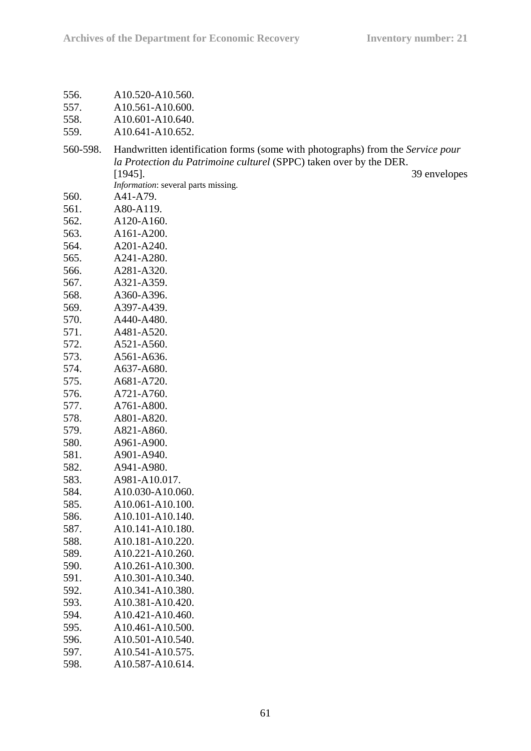| 556. | A10.520-A10.560. |
|------|------------------|
|      |                  |

| 557.                 | A <sub>10.561</sub> -A <sub>10.600</sub> . |
|----------------------|--------------------------------------------|
| $\sim$ $\sim$ $\sim$ | $1.10 \times 0.1$ $1.10 \times 10$         |

558. A10.601-A10.640. 559. A10.641-A10.652.

| 560-598. | Handwritten identification forms (some with photographs) from the Service pour |              |  |
|----------|--------------------------------------------------------------------------------|--------------|--|
|          | la Protection du Patrimoine culturel (SPPC) taken over by the DER.             |              |  |
|          | $[1945]$ .                                                                     | 39 envelopes |  |
|          | Information: several parts missing.                                            |              |  |
| 560.     | A41-A79.                                                                       |              |  |
| 561.     | A80-A119.                                                                      |              |  |
| 562.     | A120-A160.                                                                     |              |  |
| 563.     | A161-A200.                                                                     |              |  |
| 564.     | A201-A240.                                                                     |              |  |
| 565.     | A241-A280.                                                                     |              |  |
| 566.     | A281-A320.                                                                     |              |  |
| 567.     | A321-A359.                                                                     |              |  |
| 568.     | A360-A396.                                                                     |              |  |
| 569.     | A397-A439.                                                                     |              |  |
| 570.     | A440-A480.                                                                     |              |  |
| 571.     | A481-A520.                                                                     |              |  |
| 572.     | A521-A560.                                                                     |              |  |
| 573.     | A561-A636.                                                                     |              |  |
| 574.     | A637-A680.                                                                     |              |  |
| 575.     | A681-A720.                                                                     |              |  |
| 576.     | A721-A760.                                                                     |              |  |
| 577.     | A761-A800.                                                                     |              |  |
| 578.     | A801-A820.                                                                     |              |  |
| 579.     | A821-A860.                                                                     |              |  |
| 580.     | A961-A900.                                                                     |              |  |
| 581.     | A901-A940.                                                                     |              |  |
| 582.     | A941-A980.                                                                     |              |  |
| 583.     | A981-A10.017.                                                                  |              |  |
| 584.     | A10.030-A10.060.                                                               |              |  |
| 585.     | A10.061-A10.100.                                                               |              |  |
| 586.     | A10.101-A10.140.                                                               |              |  |

| 587. | A10.141-A10.180. |
|------|------------------|
| 588. | A10.181-A10.220. |
| 589. | A10.221-A10.260. |
| 590. | A10.261-A10.300. |
| 591. | A10.301-A10.340. |
| 592. | A10.341-A10.380. |
| 593. | A10.381-A10.420. |
| 594. | A10.421-A10.460. |
| 595. | A10.461-A10.500. |
| 596. | A10.501-A10.540. |
| 597. | A10.541-A10.575. |
| 598. | A10.587-A10.614. |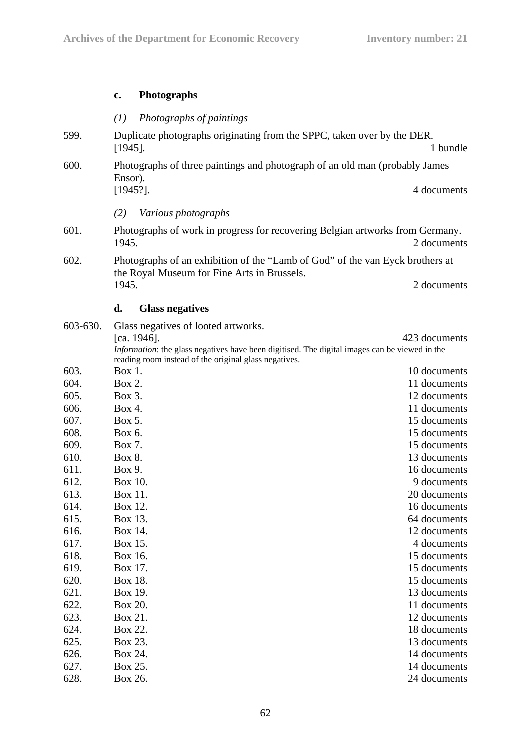# **c. Photographs**

|          | Photographs of paintings<br>(I)                                                                                              |               |  |
|----------|------------------------------------------------------------------------------------------------------------------------------|---------------|--|
| 599.     | Duplicate photographs originating from the SPPC, taken over by the DER.<br>$[1945]$ .                                        | 1 bundle      |  |
| 600.     | Photographs of three paintings and photograph of an old man (probably James                                                  |               |  |
|          | Ensor).                                                                                                                      |               |  |
|          | $[1945?]$ .                                                                                                                  | 4 documents   |  |
|          | (2)<br>Various photographs                                                                                                   |               |  |
| 601.     | Photographs of work in progress for recovering Belgian artworks from Germany.<br>1945.                                       | 2 documents   |  |
| 602.     | Photographs of an exhibition of the "Lamb of God" of the van Eyck brothers at<br>the Royal Museum for Fine Arts in Brussels. |               |  |
|          | 1945.                                                                                                                        | 2 documents   |  |
|          | d.<br><b>Glass negatives</b>                                                                                                 |               |  |
| 603-630. | Glass negatives of looted artworks.                                                                                          |               |  |
|          | [ca. 1946].                                                                                                                  | 423 documents |  |
|          | Information: the glass negatives have been digitised. The digital images can be viewed in the                                |               |  |
| 603.     | reading room instead of the original glass negatives.<br>Box 1.                                                              | 10 documents  |  |
| 604.     | Box 2.                                                                                                                       | 11 documents  |  |
| 605.     | Box 3.                                                                                                                       | 12 documents  |  |
| 606.     | Box 4.                                                                                                                       | 11 documents  |  |
| 607.     | Box 5.                                                                                                                       | 15 documents  |  |
| 608.     | Box 6.                                                                                                                       | 15 documents  |  |
| 609.     | Box 7.                                                                                                                       | 15 documents  |  |
| 610.     | Box 8.                                                                                                                       | 13 documents  |  |
| 611.     | Box 9.                                                                                                                       | 16 documents  |  |
| 612.     | Box 10.                                                                                                                      | 9 documents   |  |
| 613.     | Box 11.                                                                                                                      | 20 documents  |  |
| 614.     | Box 12.                                                                                                                      | 16 documents  |  |
| 615.     | Box 13.                                                                                                                      | 64 documents  |  |
| 616.     | Box 14.                                                                                                                      | 12 documents  |  |
| 617.     | Box 15.                                                                                                                      | 4 documents   |  |
| 618.     | Box 16.                                                                                                                      | 15 documents  |  |
| 619.     | Box 17.                                                                                                                      | 15 documents  |  |
| 620.     | Box 18.                                                                                                                      | 15 documents  |  |
| 621.     | Box 19.                                                                                                                      | 13 documents  |  |
| 622.     | Box 20.                                                                                                                      | 11 documents  |  |
| 623.     | Box 21.                                                                                                                      | 12 documents  |  |
| 624.     | Box 22.                                                                                                                      | 18 documents  |  |
| 625.     | Box 23.                                                                                                                      | 13 documents  |  |
| 626.     | Box 24.                                                                                                                      | 14 documents  |  |
| 627.     | Box 25.                                                                                                                      | 14 documents  |  |
| 628.     | Box 26.                                                                                                                      | 24 documents  |  |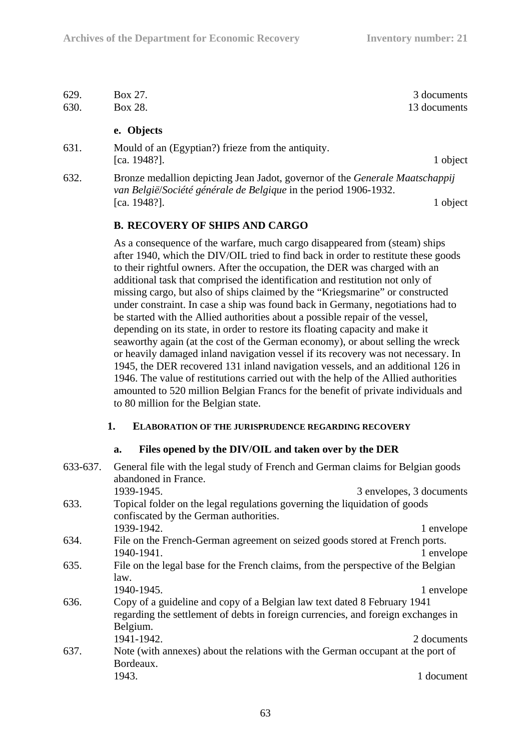| 629. | Box 27.                                                                                                                                                 | 3 documents  |
|------|---------------------------------------------------------------------------------------------------------------------------------------------------------|--------------|
| 630. | Box 28.                                                                                                                                                 | 13 documents |
|      | e. Objects                                                                                                                                              |              |
| 631. | Mould of an (Egyptian?) frieze from the antiquity.<br>[ca. $1948$ ?].                                                                                   | 1 object     |
| 632. | Bronze medallion depicting Jean Jadot, governor of the <i>Generale Maatschappij</i><br>van België/Société générale de Belgique in the period 1906-1932. |              |

**B. RECOVERY OF SHIPS AND CARGO** 

As a consequence of the warfare, much cargo disappeared from (steam) ships after 1940, which the DIV/OIL tried to find back in order to restitute these goods to their rightful owners. After the occupation, the DER was charged with an additional task that comprised the identification and restitution not only of missing cargo, but also of ships claimed by the "Kriegsmarine" or constructed under constraint. In case a ship was found back in Germany, negotiations had to be started with the Allied authorities about a possible repair of the vessel, depending on its state, in order to restore its floating capacity and make it seaworthy again (at the cost of the German economy), or about selling the wreck or heavily damaged inland navigation vessel if its recovery was not necessary. In 1945, the DER recovered 131 inland navigation vessels, and an additional 126 in 1946. The value of restitutions carried out with the help of the Allied authorities amounted to 520 million Belgian Francs for the benefit of private individuals and to 80 million for the Belgian state.

[ca. 1948?]. 1 object

## **1. ELABORATION OF THE JURISPRUDENCE REGARDING RECOVERY**

## **a. Files opened by the DIV/OIL and taken over by the DER**

| 633-637. | General file with the legal study of French and German claims for Belgian goods<br>abandoned in France.                                                                   |                          |  |
|----------|---------------------------------------------------------------------------------------------------------------------------------------------------------------------------|--------------------------|--|
|          | 1939-1945.                                                                                                                                                                | 3 envelopes, 3 documents |  |
| 633.     | Topical folder on the legal regulations governing the liquidation of goods<br>confiscated by the German authorities.                                                      |                          |  |
|          | 1939-1942.                                                                                                                                                                | 1 envelope               |  |
| 634.     | File on the French-German agreement on seized goods stored at French ports.<br>1940-1941.                                                                                 | 1 envelope               |  |
| 635.     | File on the legal base for the French claims, from the perspective of the Belgian<br>law.                                                                                 |                          |  |
|          | 1940-1945.                                                                                                                                                                | 1 envelope               |  |
| 636.     | Copy of a guideline and copy of a Belgian law text dated 8 February 1941<br>regarding the settlement of debts in foreign currencies, and foreign exchanges in<br>Belgium. |                          |  |
|          | 1941-1942.                                                                                                                                                                | 2 documents              |  |
| 637.     | Note (with annexes) about the relations with the German occupant at the port of<br>Bordeaux.                                                                              |                          |  |
|          | 1943.                                                                                                                                                                     | 1 document               |  |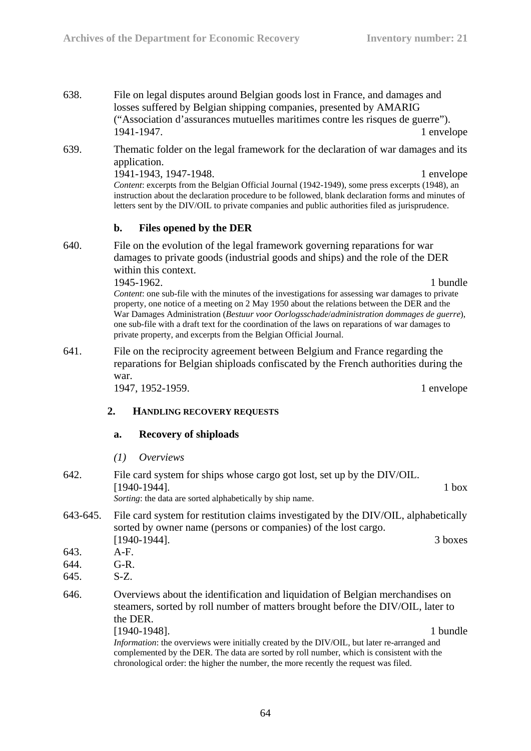- 638. File on legal disputes around Belgian goods lost in France, and damages and losses suffered by Belgian shipping companies, presented by AMARIG ("Association d'assurances mutuelles maritimes contre les risques de guerre"). 1941-1947. 1 envelope
- 639. Thematic folder on the legal framework for the declaration of war damages and its application.

1941-1943, 1947-1948. 1 envelope *Content*: excerpts from the Belgian Official Journal (1942-1949), some press excerpts (1948), an instruction about the declaration procedure to be followed, blank declaration forms and minutes of letters sent by the DIV/OIL to private companies and public authorities filed as jurisprudence.

### **b. Files opened by the DER**

640. File on the evolution of the legal framework governing reparations for war damages to private goods (industrial goods and ships) and the role of the DER within this context.

> 1945-1962. 1 **bundle** *Content*: one sub-file with the minutes of the investigations for assessing war damages to private property, one notice of a meeting on 2 May 1950 about the relations between the DER and the War Damages Administration (*Bestuur voor Oorlogsschade*/*administration dommages de guerre*), one sub-file with a draft text for the coordination of the laws on reparations of war damages to private property, and excerpts from the Belgian Official Journal.

641. File on the reciprocity agreement between Belgium and France regarding the reparations for Belgian shiploads confiscated by the French authorities during the war.

1947, 1952-1959. 1 envelope

#### **2. HANDLING RECOVERY REQUESTS**

#### **a. Recovery of shiploads**

*(1) Overviews* 

- 642. File card system for ships whose cargo got lost, set up by the DIV/OIL. [1940-1944]. 1 box *Sorting*: the data are sorted alphabetically by ship name.
- 643-645. File card system for restitution claims investigated by the DIV/OIL, alphabetically sorted by owner name (persons or companies) of the lost cargo. [1940-1944]. 3 boxes
- 643. A-F.
- 644. G-R.
- 645. S-Z.
- 646. Overviews about the identification and liquidation of Belgian merchandises on steamers, sorted by roll number of matters brought before the DIV/OIL, later to the DER.

[1940-1948]. 1 bundle *Information*: the overviews were initially created by the DIV/OIL, but later re-arranged and complemented by the DER. The data are sorted by roll number, which is consistent with the chronological order: the higher the number, the more recently the request was filed.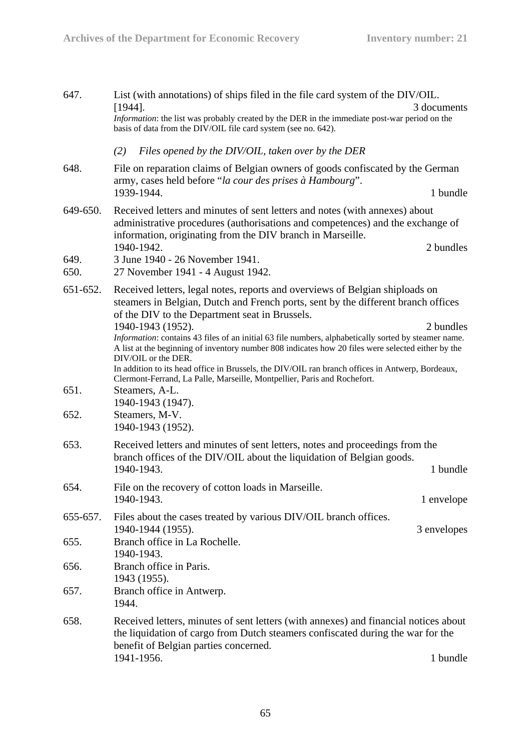| 647.             | List (with annotations) of ships filed in the file card system of the DIV/OIL.<br>3 documents<br>$[1944]$ .<br>Information: the list was probably created by the DER in the immediate post-war period on the<br>basis of data from the DIV/OIL file card system (see no. 642).                                                                                                                                                         |             |
|------------------|----------------------------------------------------------------------------------------------------------------------------------------------------------------------------------------------------------------------------------------------------------------------------------------------------------------------------------------------------------------------------------------------------------------------------------------|-------------|
|                  | Files opened by the DIV/OIL, taken over by the DER<br>(2)                                                                                                                                                                                                                                                                                                                                                                              |             |
| 648.             | File on reparation claims of Belgian owners of goods confiscated by the German<br>army, cases held before "la cour des prises à Hambourg".<br>1939-1944.                                                                                                                                                                                                                                                                               | 1 bundle    |
| 649-650.<br>649. | Received letters and minutes of sent letters and notes (with annexes) about<br>administrative procedures (authorisations and competences) and the exchange of<br>information, originating from the DIV branch in Marseille.<br>1940-1942.<br>3 June 1940 - 26 November 1941.                                                                                                                                                           | 2 bundles   |
| 650.             | 27 November 1941 - 4 August 1942.                                                                                                                                                                                                                                                                                                                                                                                                      |             |
| 651-652.         | Received letters, legal notes, reports and overviews of Belgian shiploads on<br>steamers in Belgian, Dutch and French ports, sent by the different branch offices<br>of the DIV to the Department seat in Brussels.                                                                                                                                                                                                                    |             |
|                  | 1940-1943 (1952).<br>Information: contains 43 files of an initial 63 file numbers, alphabetically sorted by steamer name.<br>A list at the beginning of inventory number 808 indicates how 20 files were selected either by the<br>DIV/OIL or the DER.<br>In addition to its head office in Brussels, the DIV/OIL ran branch offices in Antwerp, Bordeaux,<br>Clermont-Ferrand, La Palle, Marseille, Montpellier, Paris and Rochefort. | 2 bundles   |
| 651.<br>652.     | Steamers, A-L.<br>1940-1943 (1947).<br>Steamers, M-V.<br>1940-1943 (1952).                                                                                                                                                                                                                                                                                                                                                             |             |
| 653.             | Received letters and minutes of sent letters, notes and proceedings from the<br>branch offices of the DIV/OIL about the liquidation of Belgian goods.<br>1940-1943.                                                                                                                                                                                                                                                                    | 1 bundle    |
| 654.             | File on the recovery of cotton loads in Marseille<br>1940-1943.                                                                                                                                                                                                                                                                                                                                                                        | 1 envelope  |
| 655-657.         | Files about the cases treated by various DIV/OIL branch offices.<br>1940-1944 (1955).                                                                                                                                                                                                                                                                                                                                                  | 3 envelopes |
| 655.             | Branch office in La Rochelle.<br>1940-1943.                                                                                                                                                                                                                                                                                                                                                                                            |             |
| 656.             | Branch office in Paris.<br>1943 (1955).                                                                                                                                                                                                                                                                                                                                                                                                |             |
| 657.             | Branch office in Antwerp.<br>1944.                                                                                                                                                                                                                                                                                                                                                                                                     |             |
| 658.             | Received letters, minutes of sent letters (with annexes) and financial notices about<br>the liquidation of cargo from Dutch steamers confiscated during the war for the<br>benefit of Belgian parties concerned.<br>1941-1956.                                                                                                                                                                                                         | 1 bundle    |
|                  |                                                                                                                                                                                                                                                                                                                                                                                                                                        |             |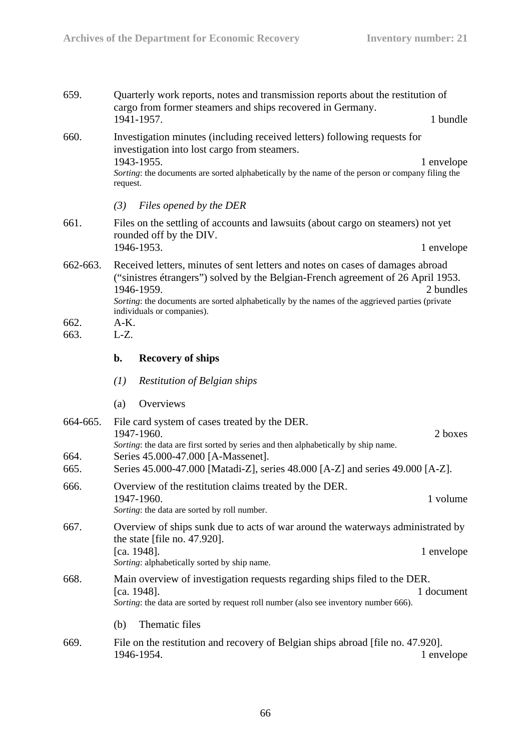| 659.             | Quarterly work reports, notes and transmission reports about the restitution of<br>cargo from former steamers and ships recovered in Germany.<br>1941-1957.<br>1 bundle                                                                                                                                                        |  |
|------------------|--------------------------------------------------------------------------------------------------------------------------------------------------------------------------------------------------------------------------------------------------------------------------------------------------------------------------------|--|
| 660.             | Investigation minutes (including received letters) following requests for<br>investigation into lost cargo from steamers.<br>1943-1955.<br>1 envelope<br>Sorting: the documents are sorted alphabetically by the name of the person or company filing the<br>request.                                                          |  |
|                  | Files opened by the DER<br>(3)                                                                                                                                                                                                                                                                                                 |  |
| 661.             | Files on the settling of accounts and lawsuits (about cargo on steamers) not yet<br>rounded off by the DIV.                                                                                                                                                                                                                    |  |
|                  | 1946-1953.<br>1 envelope                                                                                                                                                                                                                                                                                                       |  |
| 662-663.         | Received letters, minutes of sent letters and notes on cases of damages abroad<br>("sinistres étrangers") solved by the Belgian-French agreement of 26 April 1953.<br>1946-1959.<br>2 bundles<br>Sorting: the documents are sorted alphabetically by the names of the aggrieved parties (private<br>individuals or companies). |  |
| 662.<br>663.     | $A-K.$<br>$L-Z$ .                                                                                                                                                                                                                                                                                                              |  |
|                  |                                                                                                                                                                                                                                                                                                                                |  |
|                  | $\mathbf{b}$ .<br><b>Recovery of ships</b>                                                                                                                                                                                                                                                                                     |  |
|                  | (1)<br><b>Restitution of Belgian ships</b>                                                                                                                                                                                                                                                                                     |  |
|                  | Overviews<br>(a)                                                                                                                                                                                                                                                                                                               |  |
| 664-665.<br>664. | File card system of cases treated by the DER.<br>1947-1960.<br>2 boxes<br>Sorting: the data are first sorted by series and then alphabetically by ship name.<br>Series 45.000-47.000 [A-Massenet].                                                                                                                             |  |
| 665.             | Series 45.000-47.000 [Matadi-Z], series 48.000 [A-Z] and series 49.000 [A-Z].                                                                                                                                                                                                                                                  |  |
| 666.             | Overview of the restitution claims treated by the DER.<br>1947-1960.<br>1 volume<br>Sorting: the data are sorted by roll number.                                                                                                                                                                                               |  |
| 667.             | Overview of ships sunk due to acts of war around the waterways administrated by                                                                                                                                                                                                                                                |  |
|                  | the state [file no. 47.920].<br>[ca. 1948].<br>1 envelope<br>Sorting: alphabetically sorted by ship name.                                                                                                                                                                                                                      |  |
| 668.             | Main overview of investigation requests regarding ships filed to the DER.<br>[ca. 1948].<br>1 document<br>Sorting: the data are sorted by request roll number (also see inventory number 666).                                                                                                                                 |  |
|                  | Thematic files<br>(b)                                                                                                                                                                                                                                                                                                          |  |
| 669.             | File on the restitution and recovery of Belgian ships abroad [file no. 47.920].<br>1946-1954.<br>1 envelope                                                                                                                                                                                                                    |  |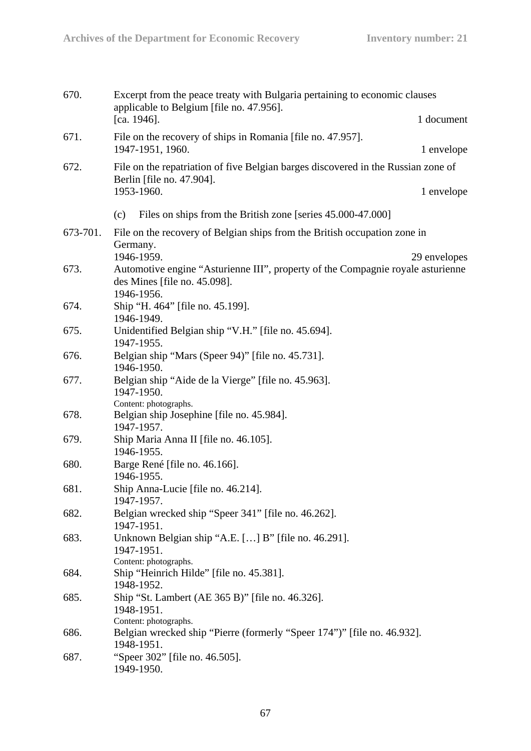| 670.     | Excerpt from the peace treaty with Bulgaria pertaining to economic clauses<br>applicable to Belgium [file no. 47.956].<br>[ca. $1946$ ]. | 1 document   |
|----------|------------------------------------------------------------------------------------------------------------------------------------------|--------------|
| 671.     | File on the recovery of ships in Romania [file no. 47.957].<br>1947-1951, 1960.                                                          | 1 envelope   |
| 672.     | File on the repatriation of five Belgian barges discovered in the Russian zone of                                                        |              |
|          | Berlin [file no. 47.904].<br>1953-1960.                                                                                                  | 1 envelope   |
|          | Files on ships from the British zone [series 45.000-47.000]                                                                              |              |
|          | (c)                                                                                                                                      |              |
| 673-701. | File on the recovery of Belgian ships from the British occupation zone in<br>Germany.                                                    |              |
|          | 1946-1959.                                                                                                                               | 29 envelopes |
| 673.     | Automotive engine "Asturienne III", property of the Compagnie royale asturienne<br>des Mines [file no. 45.098].<br>1946-1956.            |              |
| 674.     | Ship "H. 464" [file no. 45.199].<br>1946-1949.                                                                                           |              |
| 675.     | Unidentified Belgian ship "V.H." [file no. 45.694].<br>1947-1955.                                                                        |              |
| 676.     | Belgian ship "Mars (Speer 94)" [file no. 45.731].<br>1946-1950.                                                                          |              |
| 677.     | Belgian ship "Aide de la Vierge" [file no. 45.963].<br>1947-1950.<br>Content: photographs.                                               |              |
| 678.     | Belgian ship Josephine [file no. 45.984].<br>1947-1957.                                                                                  |              |
| 679.     | Ship Maria Anna II [file no. 46.105].<br>1946-1955.                                                                                      |              |
| 680.     | Barge René [file no. 46.166].<br>1946-1955.                                                                                              |              |
| 681.     | Ship Anna-Lucie [file no. 46.214].<br>1947-1957.                                                                                         |              |
| 682.     | Belgian wrecked ship "Speer 341" [file no. 46.262].<br>1947-1951.                                                                        |              |
| 683.     | Unknown Belgian ship "A.E. [] B" [file no. 46.291].<br>1947-1951.<br>Content: photographs.                                               |              |
| 684.     | Ship "Heinrich Hilde" [file no. 45.381].<br>1948-1952.                                                                                   |              |
| 685.     | Ship "St. Lambert (AE 365 B)" [file no. 46.326].<br>1948-1951.<br>Content: photographs.                                                  |              |
| 686.     | Belgian wrecked ship "Pierre (formerly "Speer 174")" [file no. 46.932].<br>1948-1951.                                                    |              |
| 687.     | "Speer 302" [file no. 46.505].<br>1949-1950.                                                                                             |              |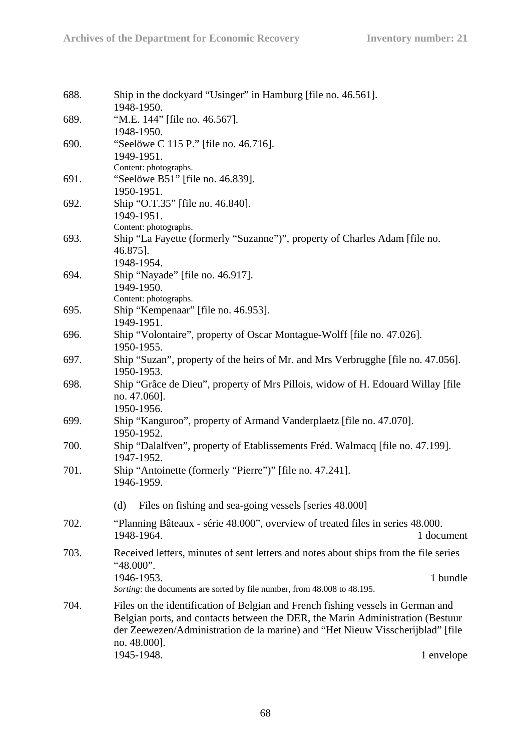| 688. | Ship in the dockyard "Usinger" in Hamburg [file no. 46.561].                         |
|------|--------------------------------------------------------------------------------------|
|      | 1948-1950.                                                                           |
| 689. | "M.E. 144" [file no. 46.567].<br>1948-1950.                                          |
| 690. | "Seelöwe C 115 P." [file no. 46.716].                                                |
|      | 1949-1951.                                                                           |
|      | Content: photographs.                                                                |
| 691. | "Seelöwe B51" [file no. 46.839].                                                     |
|      | 1950-1951.                                                                           |
| 692. | Ship "O.T.35" [file no. 46.840].                                                     |
|      | 1949-1951.                                                                           |
|      | Content: photographs.                                                                |
| 693. | Ship "La Fayette (formerly "Suzanne")", property of Charles Adam [file no.           |
|      | 46.875].                                                                             |
|      | 1948-1954.                                                                           |
| 694. | Ship "Nayade" [file no. 46.917].                                                     |
|      | 1949-1950.                                                                           |
|      | Content: photographs.                                                                |
| 695. | Ship "Kempenaar" [file no. 46.953].                                                  |
|      | 1949-1951.                                                                           |
| 696. | Ship "Volontaire", property of Oscar Montague-Wolff [file no. 47.026].               |
|      | 1950-1955.                                                                           |
| 697. | Ship "Suzan", property of the heirs of Mr. and Mrs Verbrugghe [file no. 47.056].     |
|      | 1950-1953.                                                                           |
| 698. | Ship "Grâce de Dieu", property of Mrs Pillois, widow of H. Edouard Willay [file]     |
|      | no. 47.060].                                                                         |
|      | 1950-1956.                                                                           |
| 699. | Ship "Kanguroo", property of Armand Vanderplaetz [file no. 47.070].                  |
|      | 1950-1952.                                                                           |
| 700. | Ship "Dalalfven", property of Etablissements Fréd. Walmacq [file no. 47.199].        |
|      | 1947-1952.                                                                           |
| 701. | Ship "Antoinette (formerly "Pierre")" [file no. 47.241].                             |
|      | 1946-1959.                                                                           |
|      |                                                                                      |
|      | Files on fishing and sea-going vessels [series 48.000]<br>(d)                        |
| 702. | "Planning Bâteaux - série 48.000", overview of treated files in series 48.000.       |
|      | 1948-1964.<br>1 document                                                             |
| 703. | Received letters, minutes of sent letters and notes about ships from the file series |
|      | "48.000".                                                                            |
|      | 1 bundle<br>1946-1953.                                                               |
|      | Sorting: the documents are sorted by file number, from 48.008 to 48.195.             |
| 704. | Files on the identification of Belgian and French fishing vessels in German and      |
|      | Belgian ports, and contacts between the DER, the Marin Administration (Bestuur       |
|      | der Zeewezen/Administration de la marine) and "Het Nieuw Visscherijblad" [file       |
|      | no. 48.000].                                                                         |
|      | 1945-1948.<br>1 envelope                                                             |
|      |                                                                                      |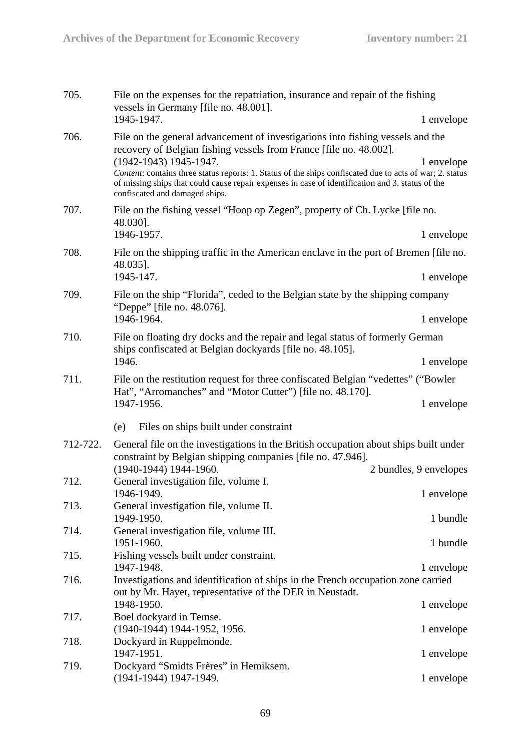| 705.     | File on the expenses for the repatriation, insurance and repair of the fishing<br>vessels in Germany [file no. 48.001].                                                                                                                        |                        |
|----------|------------------------------------------------------------------------------------------------------------------------------------------------------------------------------------------------------------------------------------------------|------------------------|
|          | 1945-1947.                                                                                                                                                                                                                                     | 1 envelope             |
| 706.     | File on the general advancement of investigations into fishing vessels and the<br>recovery of Belgian fishing vessels from France [file no. 48.002].<br>$(1942-1943)$ 1945-1947.                                                               | 1 envelope             |
|          | Content: contains three status reports: 1. Status of the ships confiscated due to acts of war; 2. status<br>of missing ships that could cause repair expenses in case of identification and 3. status of the<br>confiscated and damaged ships. |                        |
| 707.     | File on the fishing vessel "Hoop op Zegen", property of Ch. Lycke [file no.<br>48.030].                                                                                                                                                        |                        |
|          | 1946-1957.                                                                                                                                                                                                                                     | 1 envelope             |
| 708.     | File on the shipping traffic in the American enclave in the port of Bremen [file no.<br>48.035].                                                                                                                                               |                        |
|          | 1945-147.                                                                                                                                                                                                                                      | 1 envelope             |
| 709.     | File on the ship "Florida", ceded to the Belgian state by the shipping company<br>"Deppe" [file no. 48.076].                                                                                                                                   |                        |
|          | 1946-1964.                                                                                                                                                                                                                                     | 1 envelope             |
| 710.     | File on floating dry docks and the repair and legal status of formerly German<br>ships confiscated at Belgian dockyards [file no. 48.105].                                                                                                     |                        |
|          | 1946.                                                                                                                                                                                                                                          | 1 envelope             |
| 711.     | File on the restitution request for three confiscated Belgian "vedettes" ("Bowler"<br>Hat", "Arromanches" and "Motor Cutter") [file no. 48.170].                                                                                               |                        |
|          | 1947-1956.                                                                                                                                                                                                                                     | 1 envelope             |
|          | Files on ships built under constraint<br>(e)                                                                                                                                                                                                   |                        |
| 712-722. | General file on the investigations in the British occupation about ships built under<br>constraint by Belgian shipping companies [file no. 47.946].                                                                                            |                        |
|          | (1940-1944) 1944-1960.                                                                                                                                                                                                                         | 2 bundles, 9 envelopes |
| 712.     | General investigation file, volume I.<br>1946-1949.                                                                                                                                                                                            | 1 envelope             |
| 713.     | General investigation file, volume II.                                                                                                                                                                                                         |                        |
|          | 1949-1950.                                                                                                                                                                                                                                     | 1 bundle               |
| 714.     | General investigation file, volume III.<br>1951-1960.                                                                                                                                                                                          | 1 bundle               |
| 715.     | Fishing vessels built under constraint.                                                                                                                                                                                                        |                        |
|          | 1947-1948.                                                                                                                                                                                                                                     | 1 envelope             |
| 716.     | Investigations and identification of ships in the French occupation zone carried<br>out by Mr. Hayet, representative of the DER in Neustadt.                                                                                                   |                        |
|          | 1948-1950.                                                                                                                                                                                                                                     | 1 envelope             |
| 717.     | Boel dockyard in Temse.<br>(1940-1944) 1944-1952, 1956.                                                                                                                                                                                        | 1 envelope             |
| 718.     | Dockyard in Ruppelmonde.                                                                                                                                                                                                                       |                        |
|          | 1947-1951.                                                                                                                                                                                                                                     | 1 envelope             |
| 719.     | Dockyard "Smidts Frères" in Hemiksem.                                                                                                                                                                                                          |                        |
|          | $(1941-1944)$ 1947-1949.                                                                                                                                                                                                                       | 1 envelope             |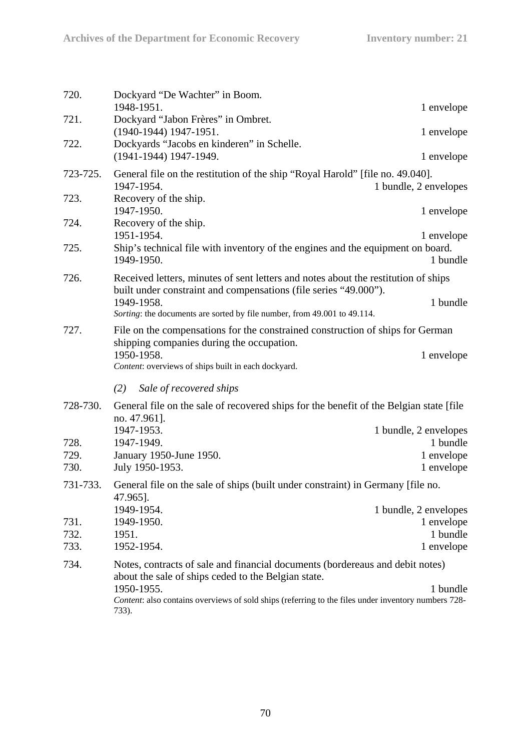| 720.         | Dockyard "De Wachter" in Boom.<br>1948-1951.                                                                                                           | 1 envelope                          |  |  |
|--------------|--------------------------------------------------------------------------------------------------------------------------------------------------------|-------------------------------------|--|--|
| 721.         | Dockyard "Jabon Frères" in Ombret.<br>(1940-1944) 1947-1951.                                                                                           | 1 envelope                          |  |  |
| 722.         | Dockyards "Jacobs en kinderen" in Schelle.<br>(1941-1944) 1947-1949.                                                                                   | 1 envelope                          |  |  |
| 723-725.     | General file on the restitution of the ship "Royal Harold" [file no. 49.040].<br>1947-1954.                                                            | 1 bundle, 2 envelopes               |  |  |
| 723.         | Recovery of the ship.<br>1947-1950.                                                                                                                    | 1 envelope                          |  |  |
| 724.         | Recovery of the ship.<br>1951-1954.                                                                                                                    | 1 envelope                          |  |  |
| 725.         | Ship's technical file with inventory of the engines and the equipment on board.<br>1949-1950.                                                          | 1 bundle                            |  |  |
| 726.         | Received letters, minutes of sent letters and notes about the restitution of ships<br>built under constraint and compensations (file series "49.000"). |                                     |  |  |
|              | 1949-1958.<br>Sorting: the documents are sorted by file number, from 49.001 to 49.114.                                                                 | 1 bundle                            |  |  |
| 727.         | File on the compensations for the constrained construction of ships for German<br>shipping companies during the occupation.                            |                                     |  |  |
|              | 1950-1958.<br>Content: overviews of ships built in each dockyard.                                                                                      | 1 envelope                          |  |  |
|              | (2)<br>Sale of recovered ships                                                                                                                         |                                     |  |  |
| 728-730.     | General file on the sale of recovered ships for the benefit of the Belgian state [file]<br>no. 47.961].                                                |                                     |  |  |
|              | 1947-1953.                                                                                                                                             | 1 bundle, 2 envelopes               |  |  |
| 728.<br>729. | 1947-1949.<br>January 1950-June 1950.                                                                                                                  | 1 bundle<br>1 envelope              |  |  |
| 730.         | July 1950-1953.                                                                                                                                        | 1 envelope                          |  |  |
| 731-733.     | General file on the sale of ships (built under constraint) in Germany [file no.<br>47.965].                                                            |                                     |  |  |
| 731.         | 1949-1954.<br>1949-1950.                                                                                                                               | 1 bundle, 2 envelopes<br>1 envelope |  |  |
| 732.         | 1951.                                                                                                                                                  | 1 bundle                            |  |  |
| 733.         | 1952-1954.                                                                                                                                             | 1 envelope                          |  |  |
| 734.         | Notes, contracts of sale and financial documents (bordereaus and debit notes)<br>about the sale of ships ceded to the Belgian state.                   |                                     |  |  |
|              | 1950-1955.<br>Content: also contains overviews of sold ships (referring to the files under inventory numbers 728-<br>733).                             | 1 bundle                            |  |  |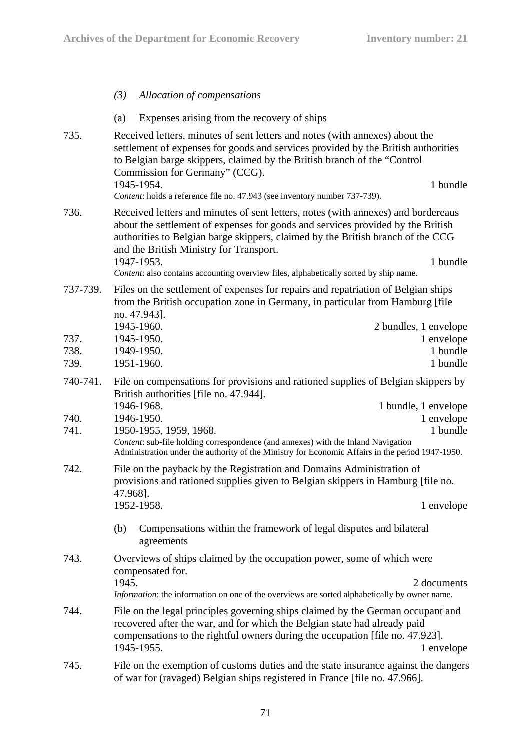*(3) Allocation of compensations*  (a) Expenses arising from the recovery of ships 735. Received letters, minutes of sent letters and notes (with annexes) about the settlement of expenses for goods and services provided by the British authorities to Belgian barge skippers, claimed by the British branch of the "Control Commission for Germany" (CCG). 1945-1954. 1 bundle *Content*: holds a reference file no. 47.943 (see inventory number 737-739). 736. Received letters and minutes of sent letters, notes (with annexes) and bordereaus about the settlement of expenses for goods and services provided by the British authorities to Belgian barge skippers, claimed by the British branch of the CCG and the British Ministry for Transport. 1947-1953. 1 bundle *Content*: also contains accounting overview files, alphabetically sorted by ship name. 737-739. Files on the settlement of expenses for repairs and repatriation of Belgian ships from the British occupation zone in Germany, in particular from Hamburg [file no. 47.943]. 1945-1960. 2 bundles, 1 envelope 737. 1945-1950. 1 envelope 738. 1949-1950. 1 bundle 739. 1951-1960. 1 bundle 740-741. File on compensations for provisions and rationed supplies of Belgian skippers by British authorities [file no. 47.944]. 1946-1968. 1 bundle, 1 envelope 740. 1946-1950. 1 envelope 741. 1950-1955, 1959, 1968. 1 **1 bundle** *Content*: sub-file holding correspondence (and annexes) with the Inland Navigation Administration under the authority of the Ministry for Economic Affairs in the period 1947-1950. 742. File on the payback by the Registration and Domains Administration of provisions and rationed supplies given to Belgian skippers in Hamburg [file no. 47.968]. 1952-1958. 1 envelope (b) Compensations within the framework of legal disputes and bilateral agreements 743. Overviews of ships claimed by the occupation power, some of which were compensated for. 1945. 2 documents *Information*: the information on one of the overviews are sorted alphabetically by owner name. 744. File on the legal principles governing ships claimed by the German occupant and recovered after the war, and for which the Belgian state had already paid compensations to the rightful owners during the occupation [file no. 47.923]. 1945-1955. 1 envelope 745. File on the exemption of customs duties and the state insurance against the dangers

of war for (ravaged) Belgian ships registered in France [file no. 47.966].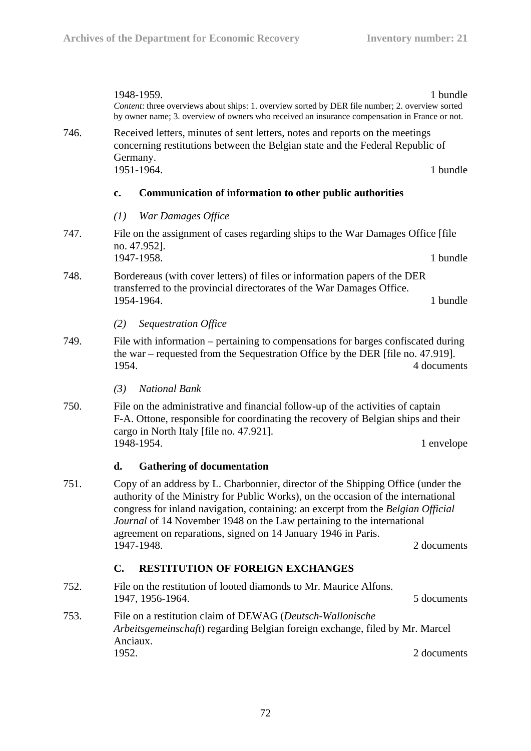|      |                                                                                     | 1948-1959.<br>Content: three overviews about ships: 1. overview sorted by DER file number; 2. overview sorted<br>by owner name; 3. overview of owners who received an insurance compensation in France or not.                                                                                                                                                                                                                    | 1 bundle    |  |  |
|------|-------------------------------------------------------------------------------------|-----------------------------------------------------------------------------------------------------------------------------------------------------------------------------------------------------------------------------------------------------------------------------------------------------------------------------------------------------------------------------------------------------------------------------------|-------------|--|--|
| 746. |                                                                                     | Received letters, minutes of sent letters, notes and reports on the meetings<br>concerning restitutions between the Belgian state and the Federal Republic of<br>Germany.                                                                                                                                                                                                                                                         |             |  |  |
|      |                                                                                     | 1951-1964.<br>1 bundle                                                                                                                                                                                                                                                                                                                                                                                                            |             |  |  |
|      | c.                                                                                  | <b>Communication of information to other public authorities</b>                                                                                                                                                                                                                                                                                                                                                                   |             |  |  |
|      | (1)                                                                                 | War Damages Office                                                                                                                                                                                                                                                                                                                                                                                                                |             |  |  |
| 747. |                                                                                     | File on the assignment of cases regarding ships to the War Damages Office [file<br>no. 47.952].<br>1 bundle<br>1947-1958.                                                                                                                                                                                                                                                                                                         |             |  |  |
| 748. |                                                                                     | Bordereaus (with cover letters) of files or information papers of the DER                                                                                                                                                                                                                                                                                                                                                         |             |  |  |
|      | transferred to the provincial directorates of the War Damages Office.<br>1954-1964. |                                                                                                                                                                                                                                                                                                                                                                                                                                   | 1 bundle    |  |  |
|      | (2)                                                                                 | Sequestration Office                                                                                                                                                                                                                                                                                                                                                                                                              |             |  |  |
| 749. |                                                                                     | File with information – pertaining to compensations for barges confiscated during<br>the war – requested from the Sequestration Office by the DER [file no. 47.919].<br>1954.<br>4 documents                                                                                                                                                                                                                                      |             |  |  |
|      | (3)                                                                                 | <b>National Bank</b>                                                                                                                                                                                                                                                                                                                                                                                                              |             |  |  |
| 750. |                                                                                     | File on the administrative and financial follow-up of the activities of captain<br>F-A. Ottone, responsible for coordinating the recovery of Belgian ships and their<br>cargo in North Italy [file no. 47.921].<br>1948-1954.<br>1 envelope                                                                                                                                                                                       |             |  |  |
|      | d.                                                                                  | <b>Gathering of documentation</b>                                                                                                                                                                                                                                                                                                                                                                                                 |             |  |  |
| 751. |                                                                                     | Copy of an address by L. Charbonnier, director of the Shipping Office (under the<br>authority of the Ministry for Public Works), on the occasion of the international<br>congress for inland navigation, containing: an excerpt from the Belgian Official<br>Journal of 14 November 1948 on the Law pertaining to the international<br>agreement on reparations, signed on 14 January 1946 in Paris.<br>1947-1948.<br>2 documents |             |  |  |
|      | $\mathbf{C}$ .                                                                      | <b>RESTITUTION OF FOREIGN EXCHANGES</b>                                                                                                                                                                                                                                                                                                                                                                                           |             |  |  |
| 752. |                                                                                     | File on the restitution of looted diamonds to Mr. Maurice Alfons.<br>1947, 1956-1964.                                                                                                                                                                                                                                                                                                                                             | 5 documents |  |  |
| 753. |                                                                                     | File on a restitution claim of DEWAG (Deutsch-Wallonische<br>Arbeitsgemeinschaft) regarding Belgian foreign exchange, filed by Mr. Marcel<br>Anciaux.                                                                                                                                                                                                                                                                             |             |  |  |
|      | 1952.                                                                               |                                                                                                                                                                                                                                                                                                                                                                                                                                   | 2 documents |  |  |
|      |                                                                                     |                                                                                                                                                                                                                                                                                                                                                                                                                                   |             |  |  |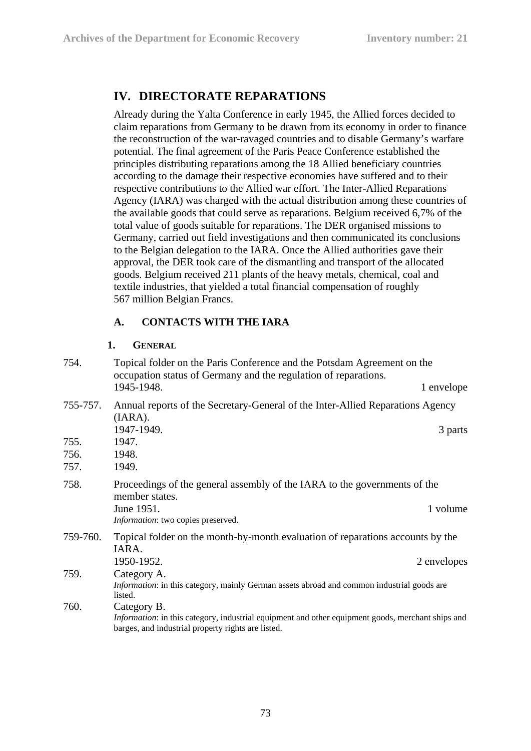## **IV. DIRECTORATE REPARATIONS**

Already during the Yalta Conference in early 1945, the Allied forces decided to claim reparations from Germany to be drawn from its economy in order to finance the reconstruction of the war-ravaged countries and to disable Germany's warfare potential. The final agreement of the Paris Peace Conference established the principles distributing reparations among the 18 Allied beneficiary countries according to the damage their respective economies have suffered and to their respective contributions to the Allied war effort. The Inter-Allied Reparations Agency (IARA) was charged with the actual distribution among these countries of the available goods that could serve as reparations. Belgium received 6,7% of the total value of goods suitable for reparations. The DER organised missions to Germany, carried out field investigations and then communicated its conclusions to the Belgian delegation to the IARA. Once the Allied authorities gave their approval, the DER took care of the dismantling and transport of the allocated goods. Belgium received 211 plants of the heavy metals, chemical, coal and textile industries, that yielded a total financial compensation of roughly 567 million Belgian Francs.

## **A. CONTACTS WITH THE IARA**

#### **1. GENERAL**

| 754.                 | Topical folder on the Paris Conference and the Potsdam Agreement on the<br>occupation status of Germany and the regulation of reparations.                             |             |
|----------------------|------------------------------------------------------------------------------------------------------------------------------------------------------------------------|-------------|
|                      | 1945-1948.                                                                                                                                                             | 1 envelope  |
| 755-757.             | Annual reports of the Secretary-General of the Inter-Allied Reparations Agency<br>(IARA).<br>1947-1949.                                                                | 3 parts     |
| 755.<br>756.<br>757. | 1947.<br>1948.<br>1949.                                                                                                                                                |             |
| 758.                 | Proceedings of the general assembly of the IARA to the governments of the<br>member states.<br>June 1951.<br>Information: two copies preserved.                        | 1 volume    |
| 759-760.             | Topical folder on the month-by-month evaluation of reparations accounts by the<br>IARA.<br>1950-1952.                                                                  | 2 envelopes |
| 759.                 | Category A.<br>Information: in this category, mainly German assets abroad and common industrial goods are<br>listed.                                                   |             |
| 760.                 | Category B.<br>Information: in this category, industrial equipment and other equipment goods, merchant ships and<br>barges, and industrial property rights are listed. |             |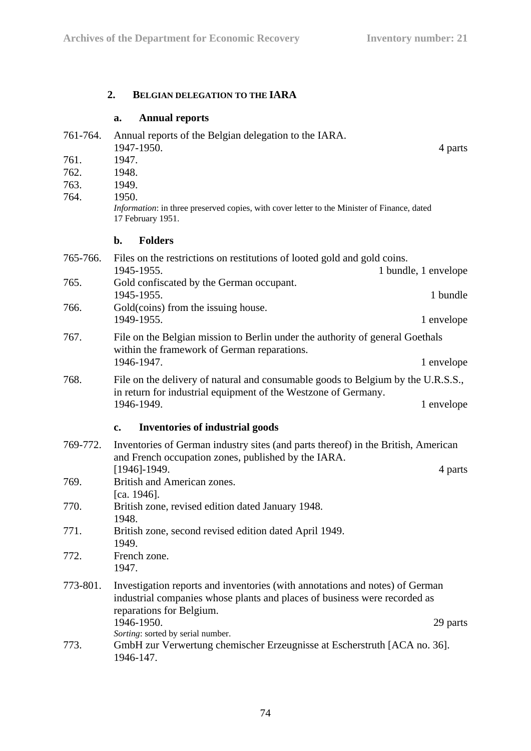## **2. BELGIAN DELEGATION TO THE IARA**

### **a. Annual reports**

| 761-764. | Annual reports of the Belgian delegation to the IARA.<br>1947-1950.                                                                                                                   | 4 parts    |
|----------|---------------------------------------------------------------------------------------------------------------------------------------------------------------------------------------|------------|
| 761.     | 1947.                                                                                                                                                                                 |            |
| 762.     | 1948.                                                                                                                                                                                 |            |
| 763.     | 1949.                                                                                                                                                                                 |            |
| 764.     | 1950.                                                                                                                                                                                 |            |
|          | Information: in three preserved copies, with cover letter to the Minister of Finance, dated<br>17 February 1951.                                                                      |            |
|          | <b>Folders</b><br>$\mathbf{b}$ .                                                                                                                                                      |            |
| 765-766. | Files on the restrictions on restitutions of looted gold and gold coins.<br>1945-1955.<br>1 bundle, 1 envelope                                                                        |            |
| 765.     | Gold confiscated by the German occupant.                                                                                                                                              |            |
|          | 1945-1955.                                                                                                                                                                            | 1 bundle   |
| 766.     | Gold(coins) from the issuing house.                                                                                                                                                   |            |
|          | 1949-1955.                                                                                                                                                                            | 1 envelope |
| 767.     | File on the Belgian mission to Berlin under the authority of general Goethals<br>within the framework of German reparations.                                                          |            |
|          | 1946-1947.                                                                                                                                                                            | 1 envelope |
| 768.     | File on the delivery of natural and consumable goods to Belgium by the U.R.S.S.,                                                                                                      |            |
|          | in return for industrial equipment of the Westzone of Germany.<br>1946-1949.                                                                                                          | 1 envelope |
|          | <b>Inventories of industrial goods</b><br>$c_{\cdot}$                                                                                                                                 |            |
| 769-772. | Inventories of German industry sites (and parts thereof) in the British, American<br>and French occupation zones, published by the IARA.                                              |            |
|          | $[1946]$ -1949.                                                                                                                                                                       | 4 parts    |
| 769.     | British and American zones.                                                                                                                                                           |            |
| 770.     | [ca. $1946$ ].<br>British zone, revised edition dated January 1948.                                                                                                                   |            |
| 771.     | 1948.                                                                                                                                                                                 |            |
|          | British zone, second revised edition dated April 1949.<br>1949.                                                                                                                       |            |
| 772.     | French zone.<br>1947.                                                                                                                                                                 |            |
| 773-801. | Investigation reports and inventories (with annotations and notes) of German<br>industrial companies whose plants and places of business were recorded as<br>reparations for Belgium. |            |
|          | 1946-1950.                                                                                                                                                                            | 29 parts   |
| 773.     | Sorting: sorted by serial number.<br>GmbH zur Verwertung chemischer Erzeugnisse at Escherstruth [ACA no. 36].<br>1946-147.                                                            |            |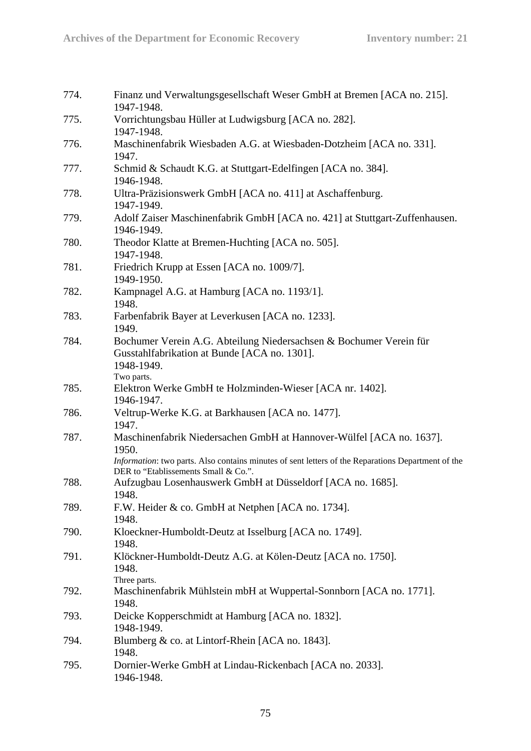| 774. | Finanz und Verwaltungsgesellschaft Weser GmbH at Bremen [ACA no. 215].<br>1947-1948.                                                                                                                                        |
|------|-----------------------------------------------------------------------------------------------------------------------------------------------------------------------------------------------------------------------------|
| 775. | Vorrichtungsbau Hüller at Ludwigsburg [ACA no. 282].<br>1947-1948.                                                                                                                                                          |
| 776. | Maschinenfabrik Wiesbaden A.G. at Wiesbaden-Dotzheim [ACA no. 331].<br>1947.                                                                                                                                                |
| 777. | Schmid & Schaudt K.G. at Stuttgart-Edelfingen [ACA no. 384].<br>1946-1948.                                                                                                                                                  |
| 778. | Ultra-Präzisionswerk GmbH [ACA no. 411] at Aschaffenburg.<br>1947-1949.                                                                                                                                                     |
| 779. | Adolf Zaiser Maschinenfabrik GmbH [ACA no. 421] at Stuttgart-Zuffenhausen.<br>1946-1949.                                                                                                                                    |
| 780. | Theodor Klatte at Bremen-Huchting [ACA no. 505].<br>1947-1948.                                                                                                                                                              |
| 781. | Friedrich Krupp at Essen [ACA no. 1009/7].<br>1949-1950.                                                                                                                                                                    |
| 782. | Kampnagel A.G. at Hamburg [ACA no. 1193/1].<br>1948.                                                                                                                                                                        |
| 783. | Farbenfabrik Bayer at Leverkusen [ACA no. 1233].<br>1949.                                                                                                                                                                   |
| 784. | Bochumer Verein A.G. Abteilung Niedersachsen & Bochumer Verein für<br>Gusstahlfabrikation at Bunde [ACA no. 1301].<br>1948-1949.                                                                                            |
| 785. | Two parts.<br>Elektron Werke GmbH te Holzminden-Wieser [ACA nr. 1402].<br>1946-1947.                                                                                                                                        |
| 786. | Veltrup-Werke K.G. at Barkhausen [ACA no. 1477].<br>1947.                                                                                                                                                                   |
| 787. | Maschinenfabrik Niedersachen GmbH at Hannover-Wülfel [ACA no. 1637].<br>1950.<br>Information: two parts. Also contains minutes of sent letters of the Reparations Department of the<br>DER to "Etablissements Small & Co.". |
| 788. | Aufzugbau Losenhauswerk GmbH at Düsseldorf [ACA no. 1685].<br>1948.                                                                                                                                                         |
| 789. | F.W. Heider & co. GmbH at Netphen [ACA no. 1734].<br>1948.                                                                                                                                                                  |
| 790. | Kloeckner-Humboldt-Deutz at Isselburg [ACA no. 1749].<br>1948.                                                                                                                                                              |
| 791. | Klöckner-Humboldt-Deutz A.G. at Kölen-Deutz [ACA no. 1750].<br>1948.<br>Three parts.                                                                                                                                        |
| 792. | Maschinenfabrik Mühlstein mbH at Wuppertal-Sonnborn [ACA no. 1771].<br>1948.                                                                                                                                                |
| 793. | Deicke Kopperschmidt at Hamburg [ACA no. 1832].<br>1948-1949.                                                                                                                                                               |
| 794. | Blumberg & co. at Lintorf-Rhein [ACA no. 1843].<br>1948.                                                                                                                                                                    |
| 795. | Dornier-Werke GmbH at Lindau-Rickenbach [ACA no. 2033].<br>1946-1948.                                                                                                                                                       |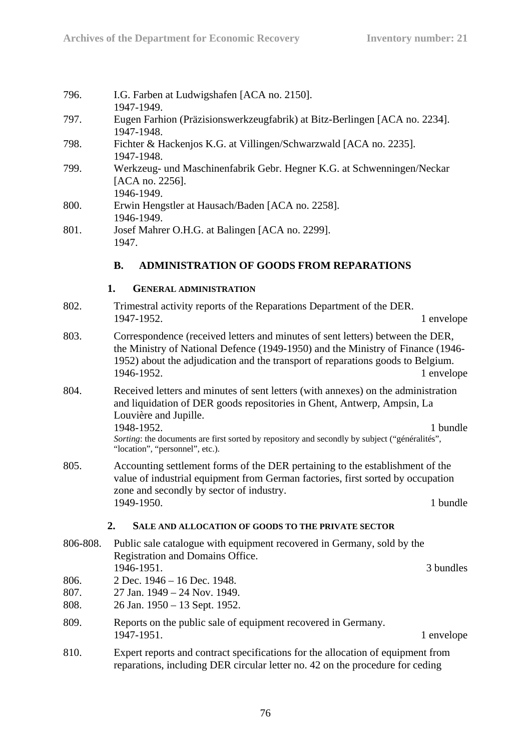| 796.                 | I.G. Farben at Ludwigshafen [ACA no. 2150].<br>1947-1949.                                                                                                                                                                                                          |            |
|----------------------|--------------------------------------------------------------------------------------------------------------------------------------------------------------------------------------------------------------------------------------------------------------------|------------|
| 797.                 | Eugen Farhion (Präzisionswerkzeugfabrik) at Bitz-Berlingen [ACA no. 2234].<br>1947-1948.                                                                                                                                                                           |            |
| 798.                 | Fichter & Hackenjos K.G. at Villingen/Schwarzwald [ACA no. 2235].<br>1947-1948.                                                                                                                                                                                    |            |
| 799.                 | Werkzeug- und Maschinenfabrik Gebr. Hegner K.G. at Schwenningen/Neckar<br>[ACA no. 2256].<br>1946-1949.                                                                                                                                                            |            |
| 800.                 | Erwin Hengstler at Hausach/Baden [ACA no. 2258].<br>1946-1949.                                                                                                                                                                                                     |            |
| 801.                 | Josef Mahrer O.H.G. at Balingen [ACA no. 2299].<br>1947.                                                                                                                                                                                                           |            |
|                      | <b>ADMINISTRATION OF GOODS FROM REPARATIONS</b><br><b>B.</b>                                                                                                                                                                                                       |            |
|                      | 1.<br><b>GENERAL ADMINISTRATION</b>                                                                                                                                                                                                                                |            |
| 802.                 | Trimestral activity reports of the Reparations Department of the DER.                                                                                                                                                                                              |            |
|                      | 1947-1952.                                                                                                                                                                                                                                                         | 1 envelope |
| 803.                 | Correspondence (received letters and minutes of sent letters) between the DER,<br>the Ministry of National Defence (1949-1950) and the Ministry of Finance (1946-<br>1952) about the adjudication and the transport of reparations goods to Belgium.<br>1946-1952. | 1 envelope |
| 804.                 | Received letters and minutes of sent letters (with annexes) on the administration<br>and liquidation of DER goods repositories in Ghent, Antwerp, Ampsin, La<br>Louvière and Jupille.<br>1948-1952.                                                                | 1 bundle   |
|                      | Sorting: the documents are first sorted by repository and secondly by subject ("généralités",<br>"location", "personnel", etc.).                                                                                                                                   |            |
| 805.                 | Accounting settlement forms of the DER pertaining to the establishment of the<br>value of industrial equipment from German factories, first sorted by occupation<br>zone and secondly by sector of industry.                                                       |            |
|                      | 1949-1950.                                                                                                                                                                                                                                                         | 1 bundle   |
|                      | 2.<br>SALE AND ALLOCATION OF GOODS TO THE PRIVATE SECTOR                                                                                                                                                                                                           |            |
| 806-808.             | Public sale catalogue with equipment recovered in Germany, sold by the<br>Registration and Domains Office.                                                                                                                                                         |            |
| 806.<br>807.<br>808. | 1946-1951.<br>2 Dec. 1946 - 16 Dec. 1948.<br>27 Jan. 1949 – 24 Nov. 1949.<br>26 Jan. 1950 – 13 Sept. 1952.                                                                                                                                                         | 3 bundles  |
| 809.                 | Reports on the public sale of equipment recovered in Germany.<br>1947-1951.                                                                                                                                                                                        | 1 envelope |
| 810.                 | Expert reports and contract specifications for the allocation of equipment from<br>reparations, including DER circular letter no. 42 on the procedure for ceding                                                                                                   |            |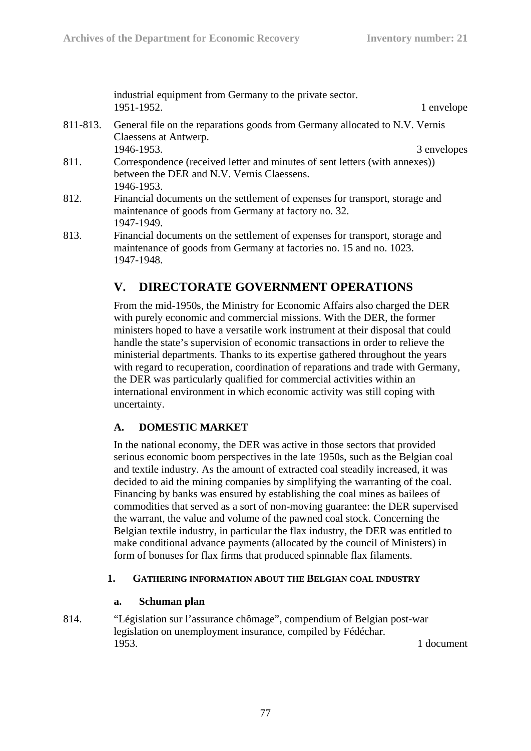industrial equipment from Germany to the private sector. 1951-1952. 1 envelope

811-813. General file on the reparations goods from Germany allocated to N.V. Vernis Claessens at Antwerp. 1946-1953. 3 envelopes

811. Correspondence (received letter and minutes of sent letters (with annexes)) between the DER and N.V. Vernis Claessens. 1946-1953.

- 812. Financial documents on the settlement of expenses for transport, storage and maintenance of goods from Germany at factory no. 32. 1947-1949.
- 813. Financial documents on the settlement of expenses for transport, storage and maintenance of goods from Germany at factories no. 15 and no. 1023. 1947-1948.

# **V. DIRECTORATE GOVERNMENT OPERATIONS**

From the mid-1950s, the Ministry for Economic Affairs also charged the DER with purely economic and commercial missions. With the DER, the former ministers hoped to have a versatile work instrument at their disposal that could handle the state's supervision of economic transactions in order to relieve the ministerial departments. Thanks to its expertise gathered throughout the years with regard to recuperation, coordination of reparations and trade with Germany, the DER was particularly qualified for commercial activities within an international environment in which economic activity was still coping with uncertainty.

### **A. DOMESTIC MARKET**

In the national economy, the DER was active in those sectors that provided serious economic boom perspectives in the late 1950s, such as the Belgian coal and textile industry. As the amount of extracted coal steadily increased, it was decided to aid the mining companies by simplifying the warranting of the coal. Financing by banks was ensured by establishing the coal mines as bailees of commodities that served as a sort of non-moving guarantee: the DER supervised the warrant, the value and volume of the pawned coal stock. Concerning the Belgian textile industry, in particular the flax industry, the DER was entitled to make conditional advance payments (allocated by the council of Ministers) in form of bonuses for flax firms that produced spinnable flax filaments.

### **1. GATHERING INFORMATION ABOUT THE BELGIAN COAL INDUSTRY**

#### **a. Schuman plan**

814. "Législation sur l'assurance chômage", compendium of Belgian post-war legislation on unemployment insurance, compiled by Fédéchar. 1953. 1 document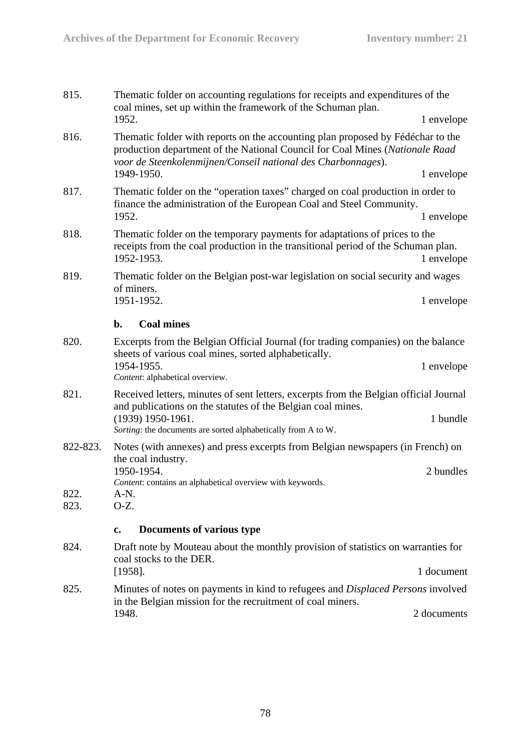| 815.         | The matic folder on accounting regulations for receipts and expenditures of the<br>coal mines, set up within the framework of the Schuman plan.                                                                                 |             |
|--------------|---------------------------------------------------------------------------------------------------------------------------------------------------------------------------------------------------------------------------------|-------------|
|              | 1952.                                                                                                                                                                                                                           | 1 envelope  |
| 816.         | Thematic folder with reports on the accounting plan proposed by Fédéchar to the<br>production department of the National Council for Coal Mines (Nationale Raad<br>voor de Steenkolenmijnen/Conseil national des Charbonnages). |             |
|              | 1949-1950.                                                                                                                                                                                                                      | 1 envelope  |
| 817.         | The matic folder on the "operation taxes" charged on coal production in order to<br>finance the administration of the European Coal and Steel Community.                                                                        |             |
|              | 1952.                                                                                                                                                                                                                           | 1 envelope  |
| 818.         | The matic folder on the temporary payments for adaptations of prices to the<br>receipts from the coal production in the transitional period of the Schuman plan.<br>1952-1953.                                                  | 1 envelope  |
| 819.         | Thematic folder on the Belgian post-war legislation on social security and wages<br>of miners.                                                                                                                                  |             |
|              | 1951-1952.                                                                                                                                                                                                                      | 1 envelope  |
|              | <b>Coal mines</b><br>$\mathbf{b}$ .                                                                                                                                                                                             |             |
| 820.         | Excerpts from the Belgian Official Journal (for trading companies) on the balance<br>sheets of various coal mines, sorted alphabetically.                                                                                       |             |
|              | 1954-1955.<br>Content: alphabetical overview.                                                                                                                                                                                   | 1 envelope  |
| 821.         | Received letters, minutes of sent letters, excerpts from the Belgian official Journal<br>and publications on the statutes of the Belgian coal mines.                                                                            |             |
|              | (1939) 1950-1961.<br>Sorting: the documents are sorted alphabetically from A to W.                                                                                                                                              | 1 bundle    |
| 822-823.     | Notes (with annexes) and press excerpts from Belgian newspapers (in French) on<br>the coal industry.                                                                                                                            |             |
|              | 1950-1954.                                                                                                                                                                                                                      | 2 bundles   |
| 822.<br>823. | Content: contains an alphabetical overview with keywords.<br>A-N.<br>O-Z.                                                                                                                                                       |             |
|              |                                                                                                                                                                                                                                 |             |
|              | Documents of various type<br>c.                                                                                                                                                                                                 |             |
| 824.         | Draft note by Mouteau about the monthly provision of statistics on warranties for<br>coal stocks to the DER.                                                                                                                    |             |
|              | $[1958]$ .                                                                                                                                                                                                                      | 1 document  |
| 825.         | Minutes of notes on payments in kind to refugees and <i>Displaced Persons</i> involved<br>in the Belgian mission for the recruitment of coal miners.                                                                            |             |
|              | 1948.                                                                                                                                                                                                                           | 2 documents |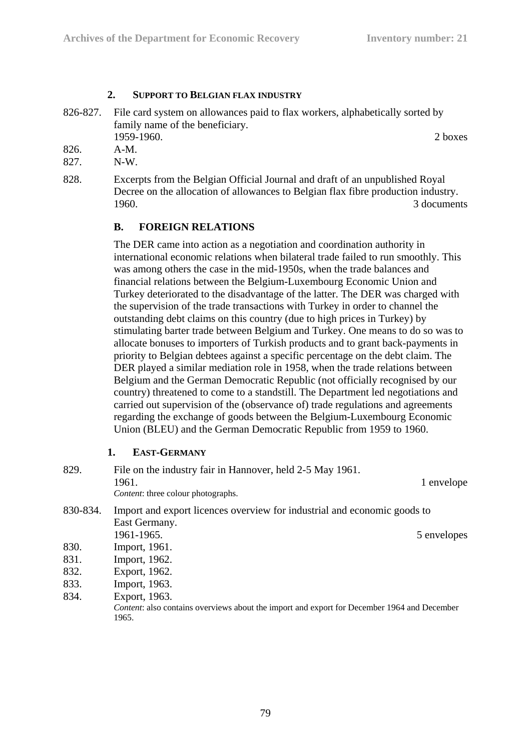#### **2. SUPPORT TO BELGIAN FLAX INDUSTRY**

826-827. File card system on allowances paid to flax workers, alphabetically sorted by family name of the beneficiary. 1959-1960. 2 boxes

826. A-M.

- 827. N-W.
- 828. Excerpts from the Belgian Official Journal and draft of an unpublished Royal Decree on the allocation of allowances to Belgian flax fibre production industry. 1960. 3 documents

#### **B. FOREIGN RELATIONS**

The DER came into action as a negotiation and coordination authority in international economic relations when bilateral trade failed to run smoothly. This was among others the case in the mid-1950s, when the trade balances and financial relations between the Belgium-Luxembourg Economic Union and Turkey deteriorated to the disadvantage of the latter. The DER was charged with the supervision of the trade transactions with Turkey in order to channel the outstanding debt claims on this country (due to high prices in Turkey) by stimulating barter trade between Belgium and Turkey. One means to do so was to allocate bonuses to importers of Turkish products and to grant back-payments in priority to Belgian debtees against a specific percentage on the debt claim. The DER played a similar mediation role in 1958, when the trade relations between Belgium and the German Democratic Republic (not officially recognised by our country) threatened to come to a standstill. The Department led negotiations and carried out supervision of the (observance of) trade regulations and agreements regarding the exchange of goods between the Belgium-Luxembourg Economic Union (BLEU) and the German Democratic Republic from 1959 to 1960.

#### **1. EAST-GERMANY**

| 829.     | File on the industry fair in Hannover, held 2-5 May 1961.<br>1961.<br><i>Content:</i> three colour photographs. | 1 envelope  |
|----------|-----------------------------------------------------------------------------------------------------------------|-------------|
| 830-834. | Import and export licences overview for industrial and economic goods to                                        |             |
|          | East Germany.                                                                                                   |             |
|          | 1961-1965.                                                                                                      | 5 envelopes |
| 830.     | Import, 1961.                                                                                                   |             |
| 831.     | Import, 1962.                                                                                                   |             |
| 832.     | Export, 1962.                                                                                                   |             |
| 833.     | Import, 1963.                                                                                                   |             |
| 834.     | Export, 1963.                                                                                                   |             |
|          | Content: also contains overviews about the import and export for December 1964 and December<br>1965.            |             |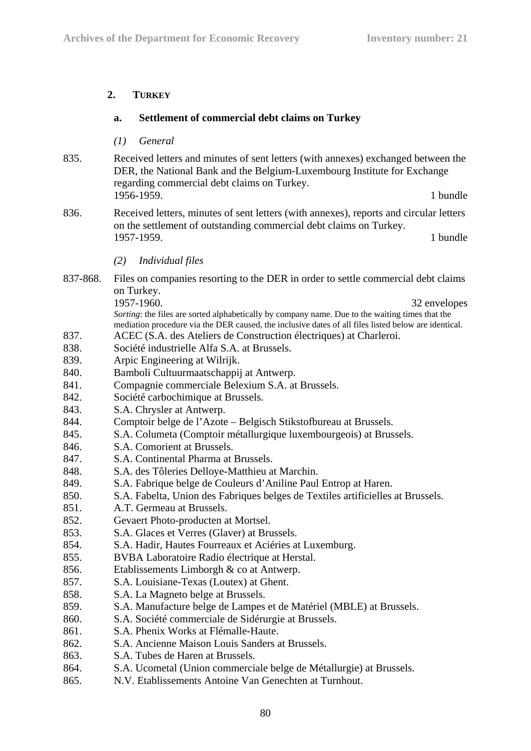#### **2. TURKEY**

#### **a. Settlement of commercial debt claims on Turkey**

- *(1) General*
- 835. Received letters and minutes of sent letters (with annexes) exchanged between the DER, the National Bank and the Belgium-Luxembourg Institute for Exchange regarding commercial debt claims on Turkey. 1956-1959. 1 **bundle**
- 836. Received letters, minutes of sent letters (with annexes), reports and circular letters on the settlement of outstanding commercial debt claims on Turkey. 1957-1959. 1 **bundle** 
	- *(2) Individual files*
- 837-868. Files on companies resorting to the DER in order to settle commercial debt claims on Turkey. 1957-1960. 32 envelopes

*Sorting*: the files are sorted alphabetically by company name. Due to the waiting times that the mediation procedure via the DER caused, the inclusive dates of all files listed below are identical.

- 837. ACEC (S.A. des Ateliers de Construction électriques) at Charleroi.
- 838. Société industrielle Alfa S.A. at Brussels.
- 839. Arpic Engineering at Wilrijk.
- 840. Bamboli Cultuurmaatschappij at Antwerp.
- 841. Compagnie commerciale Belexium S.A. at Brussels.
- 842. Société carbochimique at Brussels.
- 843. S.A. Chrysler at Antwerp.
- 844. Comptoir belge de l'Azote Belgisch Stikstofbureau at Brussels.
- 845. S.A. Columeta (Comptoir métallurgique luxembourgeois) at Brussels.
- 846. S.A. Comorient at Brussels.
- 847. S.A. Continental Pharma at Brussels.
- 848. S.A. des Tôleries Delloye-Matthieu at Marchin.
- 849. S.A. Fabrique belge de Couleurs d'Aniline Paul Entrop at Haren.
- 850. S.A. Fabelta, Union des Fabriques belges de Textiles artificielles at Brussels.
- 851. A.T. Germeau at Brussels.
- 852. Gevaert Photo-producten at Mortsel.
- 853. S.A. Glaces et Verres (Glaver) at Brussels.
- 854. S.A. Hadir, Hautes Fourreaux et Aciéries at Luxemburg.
- 855. BVBA Laboratoire Radio électrique at Herstal.
- 856. Etablissements Limborgh & co at Antwerp.
- 857. S.A. Louisiane-Texas (Loutex) at Ghent.
- 858. S.A. La Magneto belge at Brussels.
- 859. S.A. Manufacture belge de Lampes et de Matériel (MBLE) at Brussels.
- 860. S.A. Société commerciale de Sidérurgie at Brussels.
- 861. S.A. Phenix Works at Flémalle-Haute.
- 862. S.A. Ancienne Maison Louis Sanders at Brussels.
- 863. S.A. Tubes de Haren at Brussels.
- 864. S.A. Ucometal (Union commerciale belge de Métallurgie) at Brussels.
- 865. N.V. Etablissements Antoine Van Genechten at Turnhout.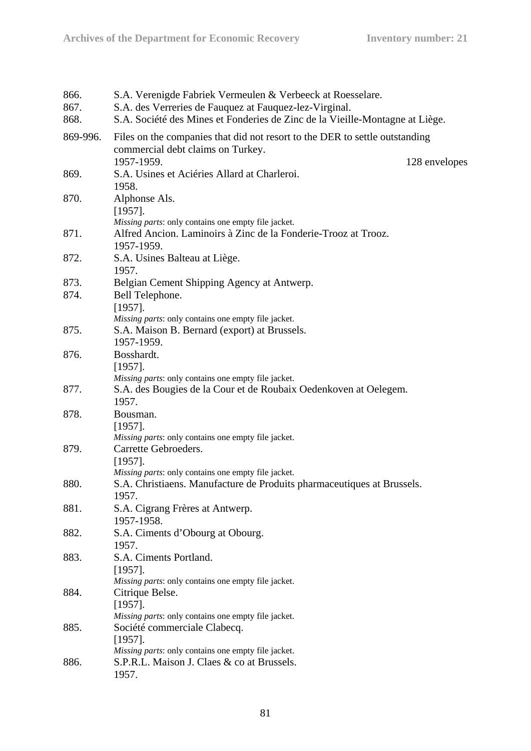| 866.     | S.A. Verenigde Fabriek Vermeulen & Verbeeck at Roesselare.                   |
|----------|------------------------------------------------------------------------------|
| 867.     | S.A. des Verreries de Fauquez at Fauquez-lez-Virginal.                       |
| 868.     | S.A. Société des Mines et Fonderies de Zinc de la Vieille-Montagne at Liège. |
| 869-996. | Files on the companies that did not resort to the DER to settle outstanding  |
|          | commercial debt claims on Turkey.                                            |
|          | 1957-1959.<br>128 envelopes                                                  |
| 869.     | S.A. Usines et Aciéries Allard at Charleroi.<br>1958.                        |
| 870.     | Alphonse Als.<br>$[1957]$ .                                                  |
|          | Missing parts: only contains one empty file jacket.                          |
| 871.     | Alfred Ancion. Laminoirs à Zinc de la Fonderie-Trooz at Trooz.<br>1957-1959. |
| 872.     | S.A. Usines Balteau at Liège.<br>1957.                                       |
| 873.     | Belgian Cement Shipping Agency at Antwerp.                                   |
| 874.     | Bell Telephone.                                                              |
|          | $[1957]$ .                                                                   |
|          | Missing parts: only contains one empty file jacket.                          |
| 875.     | S.A. Maison B. Bernard (export) at Brussels.                                 |
|          | 1957-1959.                                                                   |
| 876.     | Bosshardt.                                                                   |
|          | $[1957]$ .                                                                   |
|          | Missing parts: only contains one empty file jacket.                          |
| 877.     | S.A. des Bougies de la Cour et de Roubaix Oedenkoven at Oelegem.             |
|          | 1957.                                                                        |
| 878.     | Bousman.                                                                     |
|          | $[1957]$ .                                                                   |
|          | Missing parts: only contains one empty file jacket.                          |
| 879.     | Carrette Gebroeders.                                                         |
|          | $[1957]$ .                                                                   |
|          | Missing parts: only contains one empty file jacket.                          |
| 880.     | S.A. Christiaens. Manufacture de Produits pharmaceutiques at Brussels.       |
|          | 1957.                                                                        |
| 881.     | S.A. Cigrang Frères at Antwerp.<br>1957-1958.                                |
| 882.     | S.A. Ciments d'Obourg at Obourg.                                             |
|          | 1957.                                                                        |
| 883.     | S.A. Ciments Portland.                                                       |
|          | $[1957]$ .                                                                   |
|          | Missing parts: only contains one empty file jacket.                          |
| 884.     | Citrique Belse.                                                              |
|          | $[1957]$ .                                                                   |
|          | Missing parts: only contains one empty file jacket.                          |
| 885.     | Société commerciale Clabecq.                                                 |
|          | $[1957]$ .                                                                   |
|          | Missing parts: only contains one empty file jacket.                          |
| 886.     | S.P.R.L. Maison J. Claes & co at Brussels.                                   |
|          | 1957.                                                                        |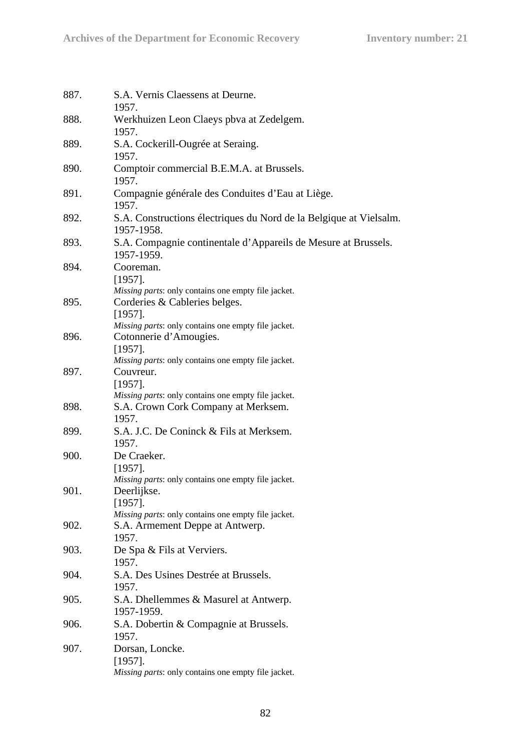| 887. | S.A. Vernis Claessens at Deurne.<br>1957.                                                          |
|------|----------------------------------------------------------------------------------------------------|
| 888. | Werkhuizen Leon Claeys pbva at Zedelgem.<br>1957.                                                  |
| 889. | S.A. Cockerill-Ougrée at Seraing.<br>1957.                                                         |
| 890. | Comptoir commercial B.E.M.A. at Brussels.<br>1957.                                                 |
| 891. | Compagnie générale des Conduites d'Eau at Liège.<br>1957.                                          |
| 892. | S.A. Constructions électriques du Nord de la Belgique at Vielsalm.<br>1957-1958.                   |
| 893. | S.A. Compagnie continentale d'Appareils de Mesure at Brussels.<br>1957-1959.                       |
| 894. | Cooreman.<br>$[1957]$ .<br>Missing parts: only contains one empty file jacket.                     |
| 895. | Corderies & Cableries belges.<br>$[1957]$ .<br>Missing parts: only contains one empty file jacket. |
| 896. | Cotonnerie d'Amougies.<br>$[1957]$ .<br>Missing parts: only contains one empty file jacket.        |
| 897. | Couvreur.<br>$[1957]$ .<br>Missing parts: only contains one empty file jacket.                     |
| 898. | S.A. Crown Cork Company at Merksem.<br>1957.                                                       |
| 899. | S.A. J.C. De Coninck & Fils at Merksem.<br>1957.                                                   |
| 900. | De Craeker.<br>$[1957]$ .<br>Missing parts: only contains one empty file jacket.                   |
| 901. | Deerlijkse.<br>$[1957]$ .<br>Missing parts: only contains one empty file jacket.                   |
| 902. | S.A. Armement Deppe at Antwerp.<br>1957.                                                           |
| 903. | De Spa & Fils at Verviers.<br>1957.                                                                |
| 904. | S.A. Des Usines Destrée at Brussels.<br>1957.                                                      |
| 905. | S.A. Dhellemmes & Masurel at Antwerp.<br>1957-1959.                                                |
| 906. | S.A. Dobertin & Compagnie at Brussels.<br>1957.                                                    |
| 907. | Dorsan, Loncke.<br>$[1957]$ .<br>Missing parts: only contains one empty file jacket.               |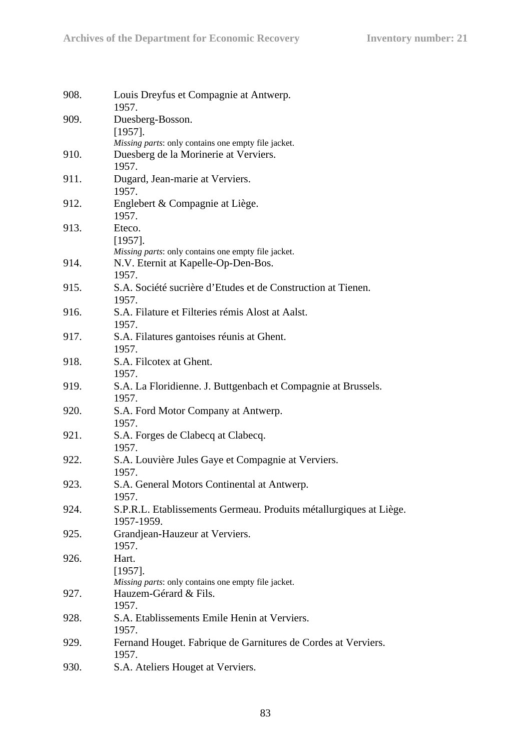| Louis Dreyfus et Compagnie at Antwerp.<br>1957.                       |
|-----------------------------------------------------------------------|
| Duesberg-Bosson.                                                      |
| $[1957]$ .<br>Missing parts: only contains one empty file jacket.     |
| Duesberg de la Morinerie at Verviers.                                 |
| 1957.                                                                 |
| Dugard, Jean-marie at Verviers.                                       |
| 1957.                                                                 |
| Englebert & Compagnie at Liège.                                       |
| 1957.                                                                 |
| Eteco.                                                                |
| $[1957]$ .                                                            |
| Missing parts: only contains one empty file jacket.                   |
| N.V. Eternit at Kapelle-Op-Den-Bos.                                   |
| 1957.                                                                 |
| S.A. Société sucrière d'Etudes et de Construction at Tienen.<br>1957. |
| S.A. Filature et Filteries rémis Alost at Aalst.                      |
| 1957.                                                                 |
| S.A. Filatures gantoises réunis at Ghent.                             |
| 1957.                                                                 |
| S.A. Filcotex at Ghent.                                               |
| 1957.                                                                 |
| S.A. La Floridienne. J. Buttgenbach et Compagnie at Brussels.         |
| 1957.                                                                 |
| S.A. Ford Motor Company at Antwerp.                                   |
| 1957.                                                                 |
| S.A. Forges de Clabecq at Clabecq.                                    |
| 1957.                                                                 |
| S.A. Louvière Jules Gaye et Compagnie at Verviers.                    |
| 1957.                                                                 |
| S.A. General Motors Continental at Antwerp.                           |
| 1957.                                                                 |
| S.P.R.L. Etablissements Germeau. Produits métallurgiques at Liège.    |
| 1957-1959.                                                            |
| Grandjean-Hauzeur at Verviers.                                        |
| 1957.                                                                 |
| Hart.                                                                 |
| $[1957]$ .                                                            |
| Missing parts: only contains one empty file jacket.                   |
| Hauzem-Gérard & Fils.                                                 |
| 1957.                                                                 |
| S.A. Etablissements Emile Henin at Verviers.                          |
| 1957.                                                                 |
| Fernand Houget. Fabrique de Garnitures de Cordes at Verviers.         |
| 1957.                                                                 |
| S.A. Ateliers Houget at Verviers.                                     |
|                                                                       |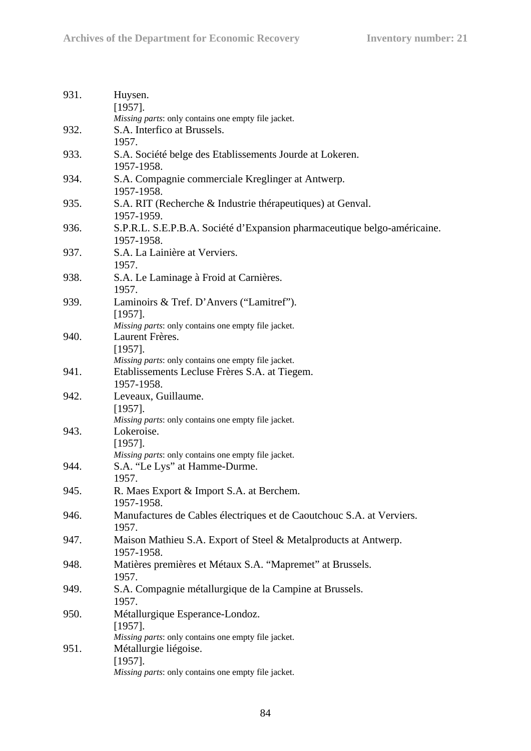| 931. | Huysen.<br>$[1957]$ .                                                                  |
|------|----------------------------------------------------------------------------------------|
|      | Missing parts: only contains one empty file jacket.                                    |
| 932. | S.A. Interfico at Brussels.<br>1957.                                                   |
| 933. | S.A. Société belge des Etablissements Jourde at Lokeren.<br>1957-1958.                 |
| 934. | S.A. Compagnie commerciale Kreglinger at Antwerp.<br>1957-1958.                        |
| 935. | S.A. RIT (Recherche & Industrie thérapeutiques) at Genval.<br>1957-1959.               |
| 936. | S.P.R.L. S.E.P.B.A. Société d'Expansion pharmaceutique belgo-américaine.<br>1957-1958. |
| 937. | S.A. La Lainière at Verviers.<br>1957.                                                 |
| 938. | S.A. Le Laminage à Froid at Carnières.<br>1957.                                        |
| 939. | Laminoirs & Tref. D'Anvers ("Lamitref").<br>$[1957]$ .                                 |
|      | Missing parts: only contains one empty file jacket.                                    |
| 940. | Laurent Frères.<br>$[1957]$ .                                                          |
|      | Missing parts: only contains one empty file jacket.                                    |
| 941. | Etablissements Lecluse Frères S.A. at Tiegem.<br>1957-1958.                            |
| 942. | Leveaux, Guillaume.<br>$[1957]$ .                                                      |
|      | Missing parts: only contains one empty file jacket.                                    |
| 943. | Lokeroise.                                                                             |
|      | $[1957]$ .                                                                             |
|      | Missing parts: only contains one empty file jacket.                                    |
| 944. | S.A. "Le Lys" at Hamme-Durme.<br>1957.                                                 |
| 945. | R. Maes Export & Import S.A. at Berchem.                                               |
|      | 1957-1958.                                                                             |
| 946. | Manufactures de Cables électriques et de Caoutchouc S.A. at Verviers.<br>1957.         |
| 947. | Maison Mathieu S.A. Export of Steel & Metalproducts at Antwerp.<br>1957-1958.          |
| 948. | Matières premières et Métaux S.A. "Mapremet" at Brussels.<br>1957.                     |
| 949. | S.A. Compagnie métallurgique de la Campine at Brussels.<br>1957.                       |
| 950. | Métallurgique Esperance-Londoz.<br>$[1957]$ .                                          |
|      | Missing parts: only contains one empty file jacket.                                    |
| 951. | Métallurgie liégoise.                                                                  |
|      | $[1957]$ .<br>Missing parts: only contains one empty file jacket.                      |
|      |                                                                                        |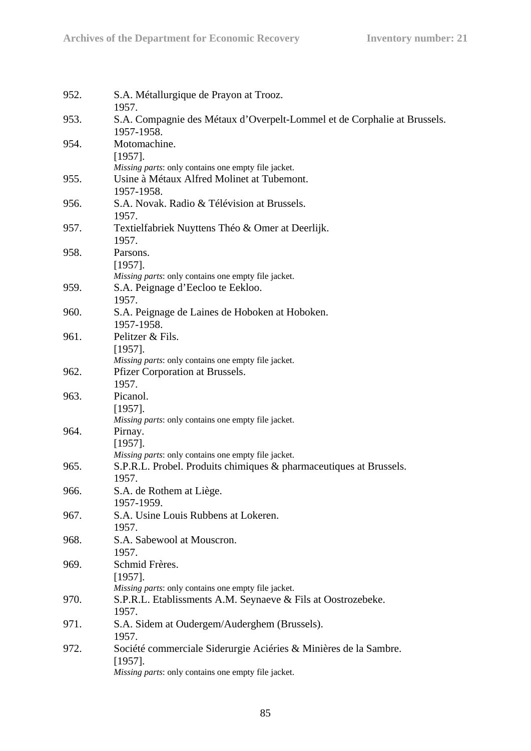| 952. | S.A. Métallurgique de Prayon at Trooz.<br>1957.                                                                                       |
|------|---------------------------------------------------------------------------------------------------------------------------------------|
| 953. | S.A. Compagnie des Métaux d'Overpelt-Lommel et de Corphalie at Brussels.<br>1957-1958.                                                |
| 954. | Motomachine.<br>$[1957]$ .<br>Missing parts: only contains one empty file jacket.                                                     |
| 955. | Usine à Métaux Alfred Molinet at Tubemont.<br>1957-1958.                                                                              |
| 956. | S.A. Novak. Radio & Télévision at Brussels.<br>1957.                                                                                  |
| 957. | Textielfabriek Nuyttens Théo & Omer at Deerlijk.<br>1957.                                                                             |
| 958. | Parsons.<br>$[1957]$ .<br>Missing parts: only contains one empty file jacket.                                                         |
| 959. | S.A. Peignage d'Eecloo te Eekloo.<br>1957.                                                                                            |
| 960. | S.A. Peignage de Laines de Hoboken at Hoboken.<br>1957-1958.                                                                          |
| 961. | Pelitzer & Fils.<br>$[1957]$ .<br>Missing parts: only contains one empty file jacket.                                                 |
| 962. | Pfizer Corporation at Brussels.<br>1957.                                                                                              |
| 963. | Picanol.<br>$[1957]$ .<br>Missing parts: only contains one empty file jacket.                                                         |
| 964. | Pirnay.<br>$[1957]$ .<br>Missing parts: only contains one empty file jacket.                                                          |
| 965. | S.P.R.L. Probel. Produits chimiques & pharmaceutiques at Brussels.<br>1957.                                                           |
| 966. | S.A. de Rothem at Liège.<br>1957-1959.                                                                                                |
| 967. | S.A. Usine Louis Rubbens at Lokeren.<br>1957.                                                                                         |
| 968. | S.A. Sabewool at Mouscron.<br>1957.                                                                                                   |
| 969. | Schmid Frères.<br>$[1957]$ .<br>Missing parts: only contains one empty file jacket.                                                   |
| 970. | S.P.R.L. Etablissments A.M. Seynaeve & Fils at Oostrozebeke.<br>1957.                                                                 |
| 971. | S.A. Sidem at Oudergem/Auderghem (Brussels).<br>1957.                                                                                 |
| 972. | Société commerciale Siderurgie Aciéries & Minières de la Sambre.<br>$[1957]$ .<br>Missing parts: only contains one empty file jacket. |
|      |                                                                                                                                       |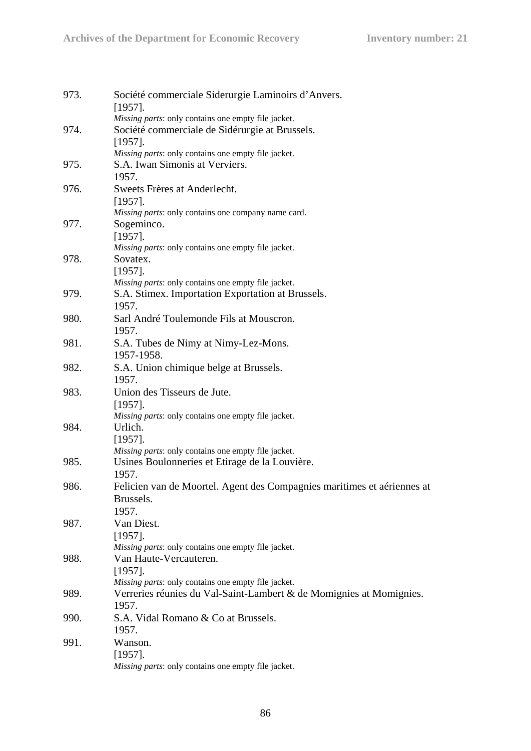| Société commerciale Siderurgie Laminoirs d'Anvers.<br>973.<br>$[1957]$ .<br>Missing parts: only contains one empty file jacket.<br>Société commerciale de Sidérurgie at Brussels.<br>974.<br>$[1957]$ .<br>Missing parts: only contains one empty file jacket.<br>S.A. Iwan Simonis at Verviers.<br>975.<br>1957.<br>Sweets Frères at Anderlecht.<br>976.<br>$[1957]$ .<br>Missing parts: only contains one company name card.<br>977.<br>Sogeminco.<br>$[1957]$ .<br>Missing parts: only contains one empty file jacket.<br>978.<br>Sovatex.<br>$[1957]$ .<br>Missing parts: only contains one empty file jacket.<br>979.<br>S.A. Stimex. Importation Exportation at Brussels.<br>1957.<br>980.<br>Sarl André Toulemonde Fils at Mouscron.<br>1957.<br>981.<br>S.A. Tubes de Nimy at Nimy-Lez-Mons.<br>1957-1958.<br>982.<br>S.A. Union chimique belge at Brussels.<br>1957.<br>Union des Tisseurs de Jute.<br>983.<br>$[1957]$ .<br>Missing parts: only contains one empty file jacket.<br>984.<br>Urlich.<br>$[1957]$ .<br>Missing parts: only contains one empty file jacket.<br>Usines Boulonneries et Etirage de la Louvière.<br>985.<br>1957.<br>986.<br>Brussels.<br>1957.<br>Van Diest.<br>987.<br>$[1957]$ .<br>Missing parts: only contains one empty file jacket.<br>Van Haute-Vercauteren.<br>988.<br>$[1957]$ .<br>Missing parts: only contains one empty file jacket.<br>Verreries réunies du Val-Saint-Lambert & de Momignies at Momignies.<br>989.<br>1957.<br>990.<br>S.A. Vidal Romano & Co at Brussels.<br>1957.<br>Wanson.<br>991.<br>$[1957]$ .<br>Missing parts: only contains one empty file jacket. |  |
|------------------------------------------------------------------------------------------------------------------------------------------------------------------------------------------------------------------------------------------------------------------------------------------------------------------------------------------------------------------------------------------------------------------------------------------------------------------------------------------------------------------------------------------------------------------------------------------------------------------------------------------------------------------------------------------------------------------------------------------------------------------------------------------------------------------------------------------------------------------------------------------------------------------------------------------------------------------------------------------------------------------------------------------------------------------------------------------------------------------------------------------------------------------------------------------------------------------------------------------------------------------------------------------------------------------------------------------------------------------------------------------------------------------------------------------------------------------------------------------------------------------------------------------------------------------------------------------------------------------------------|--|
| Felicien van de Moortel. Agent des Compagnies maritimes et aériennes at                                                                                                                                                                                                                                                                                                                                                                                                                                                                                                                                                                                                                                                                                                                                                                                                                                                                                                                                                                                                                                                                                                                                                                                                                                                                                                                                                                                                                                                                                                                                                      |  |
|                                                                                                                                                                                                                                                                                                                                                                                                                                                                                                                                                                                                                                                                                                                                                                                                                                                                                                                                                                                                                                                                                                                                                                                                                                                                                                                                                                                                                                                                                                                                                                                                                              |  |
|                                                                                                                                                                                                                                                                                                                                                                                                                                                                                                                                                                                                                                                                                                                                                                                                                                                                                                                                                                                                                                                                                                                                                                                                                                                                                                                                                                                                                                                                                                                                                                                                                              |  |
|                                                                                                                                                                                                                                                                                                                                                                                                                                                                                                                                                                                                                                                                                                                                                                                                                                                                                                                                                                                                                                                                                                                                                                                                                                                                                                                                                                                                                                                                                                                                                                                                                              |  |
|                                                                                                                                                                                                                                                                                                                                                                                                                                                                                                                                                                                                                                                                                                                                                                                                                                                                                                                                                                                                                                                                                                                                                                                                                                                                                                                                                                                                                                                                                                                                                                                                                              |  |
|                                                                                                                                                                                                                                                                                                                                                                                                                                                                                                                                                                                                                                                                                                                                                                                                                                                                                                                                                                                                                                                                                                                                                                                                                                                                                                                                                                                                                                                                                                                                                                                                                              |  |
|                                                                                                                                                                                                                                                                                                                                                                                                                                                                                                                                                                                                                                                                                                                                                                                                                                                                                                                                                                                                                                                                                                                                                                                                                                                                                                                                                                                                                                                                                                                                                                                                                              |  |
|                                                                                                                                                                                                                                                                                                                                                                                                                                                                                                                                                                                                                                                                                                                                                                                                                                                                                                                                                                                                                                                                                                                                                                                                                                                                                                                                                                                                                                                                                                                                                                                                                              |  |
|                                                                                                                                                                                                                                                                                                                                                                                                                                                                                                                                                                                                                                                                                                                                                                                                                                                                                                                                                                                                                                                                                                                                                                                                                                                                                                                                                                                                                                                                                                                                                                                                                              |  |
|                                                                                                                                                                                                                                                                                                                                                                                                                                                                                                                                                                                                                                                                                                                                                                                                                                                                                                                                                                                                                                                                                                                                                                                                                                                                                                                                                                                                                                                                                                                                                                                                                              |  |
|                                                                                                                                                                                                                                                                                                                                                                                                                                                                                                                                                                                                                                                                                                                                                                                                                                                                                                                                                                                                                                                                                                                                                                                                                                                                                                                                                                                                                                                                                                                                                                                                                              |  |
|                                                                                                                                                                                                                                                                                                                                                                                                                                                                                                                                                                                                                                                                                                                                                                                                                                                                                                                                                                                                                                                                                                                                                                                                                                                                                                                                                                                                                                                                                                                                                                                                                              |  |
|                                                                                                                                                                                                                                                                                                                                                                                                                                                                                                                                                                                                                                                                                                                                                                                                                                                                                                                                                                                                                                                                                                                                                                                                                                                                                                                                                                                                                                                                                                                                                                                                                              |  |
|                                                                                                                                                                                                                                                                                                                                                                                                                                                                                                                                                                                                                                                                                                                                                                                                                                                                                                                                                                                                                                                                                                                                                                                                                                                                                                                                                                                                                                                                                                                                                                                                                              |  |
|                                                                                                                                                                                                                                                                                                                                                                                                                                                                                                                                                                                                                                                                                                                                                                                                                                                                                                                                                                                                                                                                                                                                                                                                                                                                                                                                                                                                                                                                                                                                                                                                                              |  |
|                                                                                                                                                                                                                                                                                                                                                                                                                                                                                                                                                                                                                                                                                                                                                                                                                                                                                                                                                                                                                                                                                                                                                                                                                                                                                                                                                                                                                                                                                                                                                                                                                              |  |
|                                                                                                                                                                                                                                                                                                                                                                                                                                                                                                                                                                                                                                                                                                                                                                                                                                                                                                                                                                                                                                                                                                                                                                                                                                                                                                                                                                                                                                                                                                                                                                                                                              |  |
|                                                                                                                                                                                                                                                                                                                                                                                                                                                                                                                                                                                                                                                                                                                                                                                                                                                                                                                                                                                                                                                                                                                                                                                                                                                                                                                                                                                                                                                                                                                                                                                                                              |  |
|                                                                                                                                                                                                                                                                                                                                                                                                                                                                                                                                                                                                                                                                                                                                                                                                                                                                                                                                                                                                                                                                                                                                                                                                                                                                                                                                                                                                                                                                                                                                                                                                                              |  |
|                                                                                                                                                                                                                                                                                                                                                                                                                                                                                                                                                                                                                                                                                                                                                                                                                                                                                                                                                                                                                                                                                                                                                                                                                                                                                                                                                                                                                                                                                                                                                                                                                              |  |
|                                                                                                                                                                                                                                                                                                                                                                                                                                                                                                                                                                                                                                                                                                                                                                                                                                                                                                                                                                                                                                                                                                                                                                                                                                                                                                                                                                                                                                                                                                                                                                                                                              |  |
|                                                                                                                                                                                                                                                                                                                                                                                                                                                                                                                                                                                                                                                                                                                                                                                                                                                                                                                                                                                                                                                                                                                                                                                                                                                                                                                                                                                                                                                                                                                                                                                                                              |  |
|                                                                                                                                                                                                                                                                                                                                                                                                                                                                                                                                                                                                                                                                                                                                                                                                                                                                                                                                                                                                                                                                                                                                                                                                                                                                                                                                                                                                                                                                                                                                                                                                                              |  |
|                                                                                                                                                                                                                                                                                                                                                                                                                                                                                                                                                                                                                                                                                                                                                                                                                                                                                                                                                                                                                                                                                                                                                                                                                                                                                                                                                                                                                                                                                                                                                                                                                              |  |
|                                                                                                                                                                                                                                                                                                                                                                                                                                                                                                                                                                                                                                                                                                                                                                                                                                                                                                                                                                                                                                                                                                                                                                                                                                                                                                                                                                                                                                                                                                                                                                                                                              |  |
|                                                                                                                                                                                                                                                                                                                                                                                                                                                                                                                                                                                                                                                                                                                                                                                                                                                                                                                                                                                                                                                                                                                                                                                                                                                                                                                                                                                                                                                                                                                                                                                                                              |  |
|                                                                                                                                                                                                                                                                                                                                                                                                                                                                                                                                                                                                                                                                                                                                                                                                                                                                                                                                                                                                                                                                                                                                                                                                                                                                                                                                                                                                                                                                                                                                                                                                                              |  |
|                                                                                                                                                                                                                                                                                                                                                                                                                                                                                                                                                                                                                                                                                                                                                                                                                                                                                                                                                                                                                                                                                                                                                                                                                                                                                                                                                                                                                                                                                                                                                                                                                              |  |
|                                                                                                                                                                                                                                                                                                                                                                                                                                                                                                                                                                                                                                                                                                                                                                                                                                                                                                                                                                                                                                                                                                                                                                                                                                                                                                                                                                                                                                                                                                                                                                                                                              |  |
|                                                                                                                                                                                                                                                                                                                                                                                                                                                                                                                                                                                                                                                                                                                                                                                                                                                                                                                                                                                                                                                                                                                                                                                                                                                                                                                                                                                                                                                                                                                                                                                                                              |  |
|                                                                                                                                                                                                                                                                                                                                                                                                                                                                                                                                                                                                                                                                                                                                                                                                                                                                                                                                                                                                                                                                                                                                                                                                                                                                                                                                                                                                                                                                                                                                                                                                                              |  |
|                                                                                                                                                                                                                                                                                                                                                                                                                                                                                                                                                                                                                                                                                                                                                                                                                                                                                                                                                                                                                                                                                                                                                                                                                                                                                                                                                                                                                                                                                                                                                                                                                              |  |
|                                                                                                                                                                                                                                                                                                                                                                                                                                                                                                                                                                                                                                                                                                                                                                                                                                                                                                                                                                                                                                                                                                                                                                                                                                                                                                                                                                                                                                                                                                                                                                                                                              |  |
|                                                                                                                                                                                                                                                                                                                                                                                                                                                                                                                                                                                                                                                                                                                                                                                                                                                                                                                                                                                                                                                                                                                                                                                                                                                                                                                                                                                                                                                                                                                                                                                                                              |  |
|                                                                                                                                                                                                                                                                                                                                                                                                                                                                                                                                                                                                                                                                                                                                                                                                                                                                                                                                                                                                                                                                                                                                                                                                                                                                                                                                                                                                                                                                                                                                                                                                                              |  |
|                                                                                                                                                                                                                                                                                                                                                                                                                                                                                                                                                                                                                                                                                                                                                                                                                                                                                                                                                                                                                                                                                                                                                                                                                                                                                                                                                                                                                                                                                                                                                                                                                              |  |
|                                                                                                                                                                                                                                                                                                                                                                                                                                                                                                                                                                                                                                                                                                                                                                                                                                                                                                                                                                                                                                                                                                                                                                                                                                                                                                                                                                                                                                                                                                                                                                                                                              |  |
|                                                                                                                                                                                                                                                                                                                                                                                                                                                                                                                                                                                                                                                                                                                                                                                                                                                                                                                                                                                                                                                                                                                                                                                                                                                                                                                                                                                                                                                                                                                                                                                                                              |  |
|                                                                                                                                                                                                                                                                                                                                                                                                                                                                                                                                                                                                                                                                                                                                                                                                                                                                                                                                                                                                                                                                                                                                                                                                                                                                                                                                                                                                                                                                                                                                                                                                                              |  |
|                                                                                                                                                                                                                                                                                                                                                                                                                                                                                                                                                                                                                                                                                                                                                                                                                                                                                                                                                                                                                                                                                                                                                                                                                                                                                                                                                                                                                                                                                                                                                                                                                              |  |
|                                                                                                                                                                                                                                                                                                                                                                                                                                                                                                                                                                                                                                                                                                                                                                                                                                                                                                                                                                                                                                                                                                                                                                                                                                                                                                                                                                                                                                                                                                                                                                                                                              |  |
|                                                                                                                                                                                                                                                                                                                                                                                                                                                                                                                                                                                                                                                                                                                                                                                                                                                                                                                                                                                                                                                                                                                                                                                                                                                                                                                                                                                                                                                                                                                                                                                                                              |  |
|                                                                                                                                                                                                                                                                                                                                                                                                                                                                                                                                                                                                                                                                                                                                                                                                                                                                                                                                                                                                                                                                                                                                                                                                                                                                                                                                                                                                                                                                                                                                                                                                                              |  |
|                                                                                                                                                                                                                                                                                                                                                                                                                                                                                                                                                                                                                                                                                                                                                                                                                                                                                                                                                                                                                                                                                                                                                                                                                                                                                                                                                                                                                                                                                                                                                                                                                              |  |
|                                                                                                                                                                                                                                                                                                                                                                                                                                                                                                                                                                                                                                                                                                                                                                                                                                                                                                                                                                                                                                                                                                                                                                                                                                                                                                                                                                                                                                                                                                                                                                                                                              |  |
|                                                                                                                                                                                                                                                                                                                                                                                                                                                                                                                                                                                                                                                                                                                                                                                                                                                                                                                                                                                                                                                                                                                                                                                                                                                                                                                                                                                                                                                                                                                                                                                                                              |  |
|                                                                                                                                                                                                                                                                                                                                                                                                                                                                                                                                                                                                                                                                                                                                                                                                                                                                                                                                                                                                                                                                                                                                                                                                                                                                                                                                                                                                                                                                                                                                                                                                                              |  |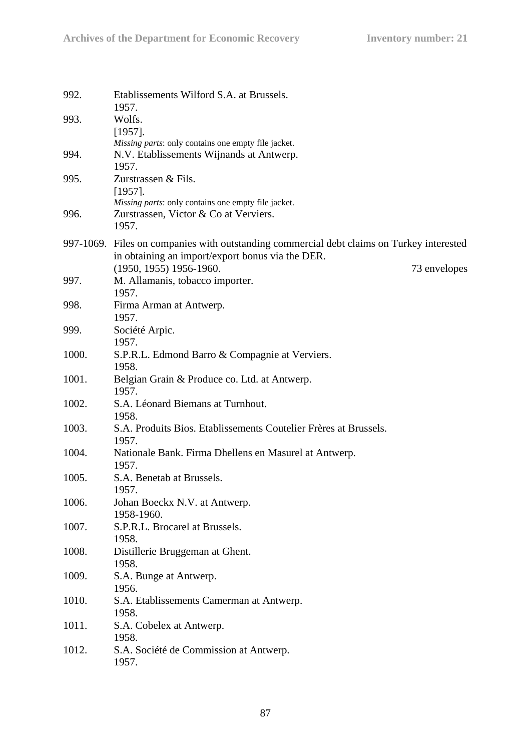| 992.           | Etablissements Wilford S.A. at Brussels.<br>1957.                                                                                             |
|----------------|-----------------------------------------------------------------------------------------------------------------------------------------------|
| 993.           | Wolfs.<br>$[1957]$ .<br>Missing parts: only contains one empty file jacket.                                                                   |
| 994.           | N.V. Etablissements Wijnands at Antwerp.<br>1957.                                                                                             |
| 995.           | Zurstrassen & Fils.<br>$[1957]$ .<br>Missing parts: only contains one empty file jacket.                                                      |
| 996.           | Zurstrassen, Victor & Co at Verviers.<br>1957.                                                                                                |
|                | 997-1069. Files on companies with outstanding commercial debt claims on Turkey interested<br>in obtaining an import/export bonus via the DER. |
| 997.           | $(1950, 1955)$ 1956-1960.<br>73 envelopes<br>M. Allamanis, tobacco importer.<br>1957.                                                         |
| 998.           | Firma Arman at Antwerp.<br>1957.                                                                                                              |
| 999.           | Société Arpic.<br>1957.                                                                                                                       |
| 1000.          | S.P.R.L. Edmond Barro & Compagnie at Verviers.<br>1958.                                                                                       |
| 1001.          | Belgian Grain & Produce co. Ltd. at Antwerp.<br>1957.                                                                                         |
| 1002.          | S.A. Léonard Biemans at Turnhout.<br>1958.                                                                                                    |
| 1003.<br>1004. | S.A. Produits Bios. Etablissements Coutelier Frères at Brussels.<br>1957.                                                                     |
| 1005.          | Nationale Bank. Firma Dhellens en Masurel at Antwerp.<br>1957.<br>S.A. Benetab at Brussels.                                                   |
| 1006.          | 1957.<br>Johan Boeckx N.V. at Antwerp.                                                                                                        |
| 1007.          | 1958-1960.<br>S.P.R.L. Brocarel at Brussels.                                                                                                  |
| 1008.          | 1958.<br>Distillerie Bruggeman at Ghent.                                                                                                      |
| 1009.          | 1958.<br>S.A. Bunge at Antwerp.                                                                                                               |
| 1010.          | 1956.<br>S.A. Etablissements Camerman at Antwerp.                                                                                             |
| 1011.          | 1958.<br>S.A. Cobelex at Antwerp.                                                                                                             |
| 1012.          | 1958.<br>S.A. Société de Commission at Antwerp.<br>1957.                                                                                      |
|                |                                                                                                                                               |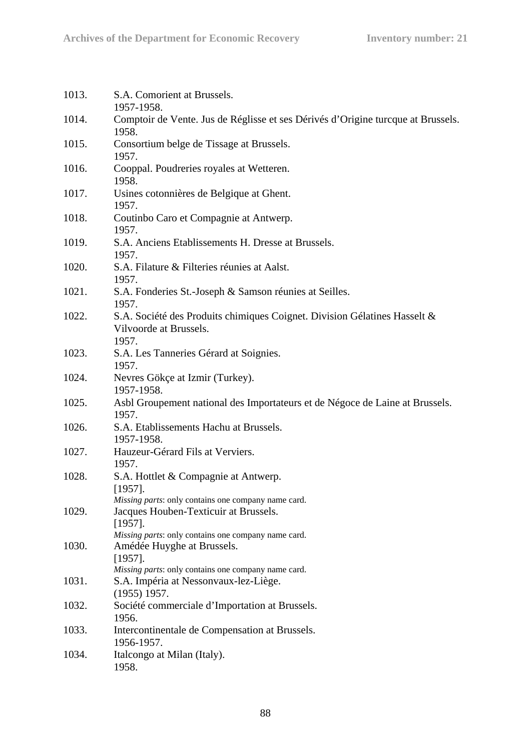| 1013. | S.A. Comorient at Brussels.<br>1957-1958.                                                                                                                         |
|-------|-------------------------------------------------------------------------------------------------------------------------------------------------------------------|
| 1014. | Comptoir de Vente. Jus de Réglisse et ses Dérivés d'Origine turcque at Brussels.<br>1958.                                                                         |
| 1015. | Consortium belge de Tissage at Brussels.<br>1957.                                                                                                                 |
| 1016. | Cooppal. Poudreries royales at Wetteren.<br>1958.                                                                                                                 |
| 1017. | Usines cotonnières de Belgique at Ghent.<br>1957.                                                                                                                 |
| 1018. | Coutinbo Caro et Compagnie at Antwerp.<br>1957.                                                                                                                   |
| 1019. | S.A. Anciens Etablissements H. Dresse at Brussels.<br>1957.                                                                                                       |
| 1020. | S.A. Filature & Filteries réunies at Aalst.<br>1957.                                                                                                              |
| 1021. | S.A. Fonderies St.-Joseph & Samson réunies at Seilles.<br>1957.                                                                                                   |
| 1022. | S.A. Société des Produits chimiques Coignet. Division Gélatines Hasselt &<br>Vilvoorde at Brussels.<br>1957.                                                      |
| 1023. | S.A. Les Tanneries Gérard at Soignies.<br>1957.                                                                                                                   |
| 1024. | Nevres Gökçe at Izmir (Turkey).<br>1957-1958.                                                                                                                     |
| 1025. | Asbl Groupement national des Importateurs et de Négoce de Laine at Brussels.<br>1957.                                                                             |
| 1026. | S.A. Etablissements Hachu at Brussels.<br>1957-1958.                                                                                                              |
| 1027. | Hauzeur-Gérard Fils at Verviers.<br>1957.                                                                                                                         |
| 1028. | S.A. Hottlet & Compagnie at Antwerp.<br>[1957]                                                                                                                    |
| 1029. | Missing parts: only contains one company name card.<br>Jacques Houben-Texticuir at Brussels.<br>$[1957]$ .<br>Missing parts: only contains one company name card. |
| 1030. | Amédée Huyghe at Brussels.<br>$[1957]$ .<br>Missing parts: only contains one company name card.                                                                   |
| 1031. | S.A. Impéria at Nessonvaux-lez-Liège.<br>$(1955)$ 1957.                                                                                                           |
| 1032. | Société commerciale d'Importation at Brussels.<br>1956.                                                                                                           |
| 1033. | Intercontinentale de Compensation at Brussels.<br>1956-1957.                                                                                                      |
| 1034. | Italcongo at Milan (Italy).<br>1958.                                                                                                                              |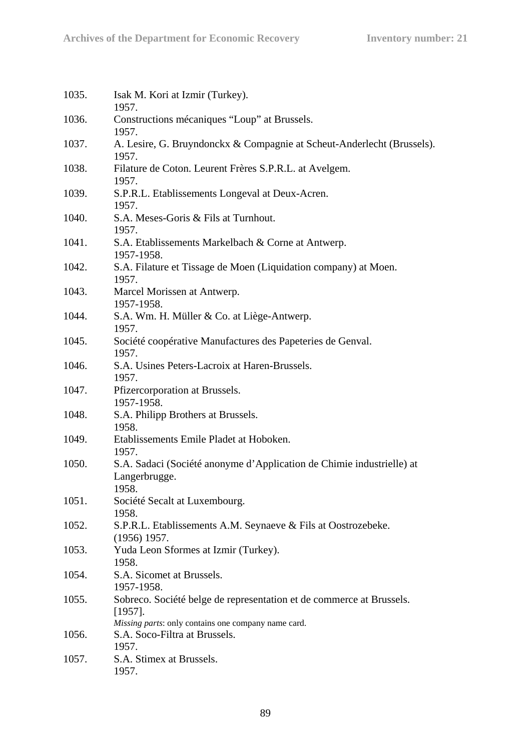| Isak M. Kori at Izmir (Turkey).<br>1957.                                                                                                  |
|-------------------------------------------------------------------------------------------------------------------------------------------|
| Constructions mécaniques "Loup" at Brussels.<br>1957.                                                                                     |
| A. Lesire, G. Bruyndonckx & Compagnie at Scheut-Anderlecht (Brussels).<br>1957.                                                           |
| Filature de Coton. Leurent Frères S.P.R.L. at Avelgem.<br>1957.                                                                           |
| S.P.R.L. Etablissements Longeval at Deux-Acren.<br>1957.                                                                                  |
| S.A. Meses-Goris & Fils at Turnhout.<br>1957.                                                                                             |
| S.A. Etablissements Markelbach & Corne at Antwerp.<br>1957-1958.                                                                          |
| S.A. Filature et Tissage de Moen (Liquidation company) at Moen.<br>1957.                                                                  |
| Marcel Morissen at Antwerp.<br>1957-1958.                                                                                                 |
| S.A. Wm. H. Müller & Co. at Liège-Antwerp.<br>1957.                                                                                       |
| Société coopérative Manufactures des Papeteries de Genval.<br>1957.                                                                       |
| S.A. Usines Peters-Lacroix at Haren-Brussels.                                                                                             |
| 1957.<br>Pfizercorporation at Brussels.<br>1957-1958.                                                                                     |
| S.A. Philipp Brothers at Brussels.<br>1958.                                                                                               |
| Etablissements Emile Pladet at Hoboken.                                                                                                   |
| 1957.<br>S.A. Sadaci (Société anonyme d'Application de Chimie industrielle) at<br>Langerbrugge.<br>1958                                   |
| Société Secalt at Luxembourg.<br>1958.                                                                                                    |
| S.P.R.L. Etablissements A.M. Seynaeve & Fils at Oostrozebeke.<br>$(1956)$ 1957.                                                           |
| Yuda Leon Sformes at Izmir (Turkey).<br>1958.                                                                                             |
| S.A. Sicomet at Brussels.<br>1957-1958.                                                                                                   |
| Sobreco. Société belge de representation et de commerce at Brussels.<br>$[1957]$ .<br>Missing parts: only contains one company name card. |
| S.A. Soco-Filtra at Brussels.<br>1957.                                                                                                    |
| S.A. Stimex at Brussels.<br>1957.                                                                                                         |
|                                                                                                                                           |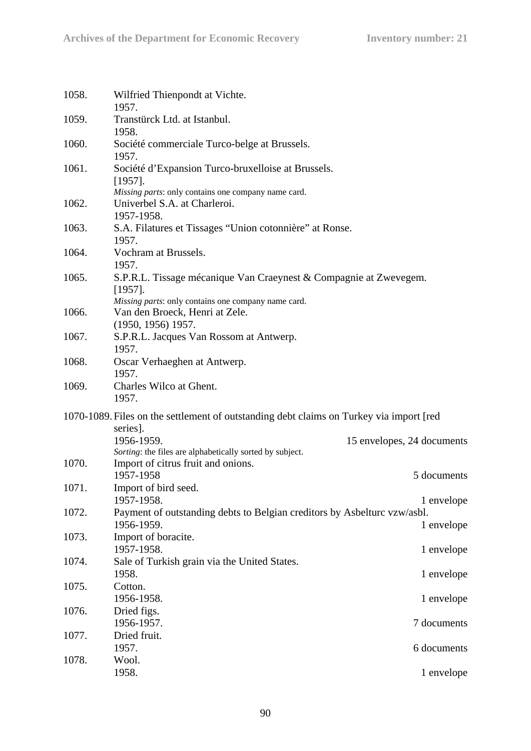| 1058. | Wilfried Thienpondt at Vichte.<br>1957.                                                                                                |                            |
|-------|----------------------------------------------------------------------------------------------------------------------------------------|----------------------------|
| 1059. | Transtürck Ltd. at Istanbul.<br>1958.                                                                                                  |                            |
| 1060. | Société commerciale Turco-belge at Brussels.<br>1957.                                                                                  |                            |
| 1061. | Société d'Expansion Turco-bruxelloise at Brussels.<br>$[1957]$ .                                                                       |                            |
| 1062. | Missing parts: only contains one company name card.<br>Univerbel S.A. at Charleroi.<br>1957-1958.                                      |                            |
| 1063. | S.A. Filatures et Tissages "Union cotonnière" at Ronse.<br>1957.                                                                       |                            |
| 1064. | Vochram at Brussels.<br>1957.                                                                                                          |                            |
| 1065. | S.P.R.L. Tissage mécanique Van Craeynest & Compagnie at Zwevegem.<br>$[1957]$ .<br>Missing parts: only contains one company name card. |                            |
| 1066. | Van den Broeck, Henri at Zele.<br>(1950, 1956) 1957.                                                                                   |                            |
| 1067. | S.P.R.L. Jacques Van Rossom at Antwerp.<br>1957.                                                                                       |                            |
| 1068. | Oscar Verhaeghen at Antwerp.<br>1957.                                                                                                  |                            |
| 1069. | Charles Wilco at Ghent.<br>1957.                                                                                                       |                            |
|       | 1070-1089. Files on the settlement of outstanding debt claims on Turkey via import [red]<br>series].                                   |                            |
| 1070. | 1956-1959.<br>Sorting: the files are alphabetically sorted by subject.<br>Import of citrus fruit and onions.                           | 15 envelopes, 24 documents |
|       | 1957-1958                                                                                                                              | 5 documents                |
| 1071. | Import of bird seed.<br>1957-1958.                                                                                                     | 1 envelope                 |
| 1072. | Payment of outstanding debts to Belgian creditors by Asbelturc vzw/asbl.<br>1956-1959.                                                 | 1 envelope                 |
| 1073. | Import of boracite.<br>1957-1958.                                                                                                      | 1 envelope                 |
| 1074. | Sale of Turkish grain via the United States.<br>1958.                                                                                  | 1 envelope                 |
| 1075. | Cotton.<br>1956-1958.                                                                                                                  | 1 envelope                 |
| 1076. | Dried figs.<br>1956-1957.                                                                                                              | 7 documents                |
| 1077. | Dried fruit.<br>1957.                                                                                                                  | 6 documents                |
| 1078. | Wool.                                                                                                                                  |                            |
|       | 1958.                                                                                                                                  | 1 envelope                 |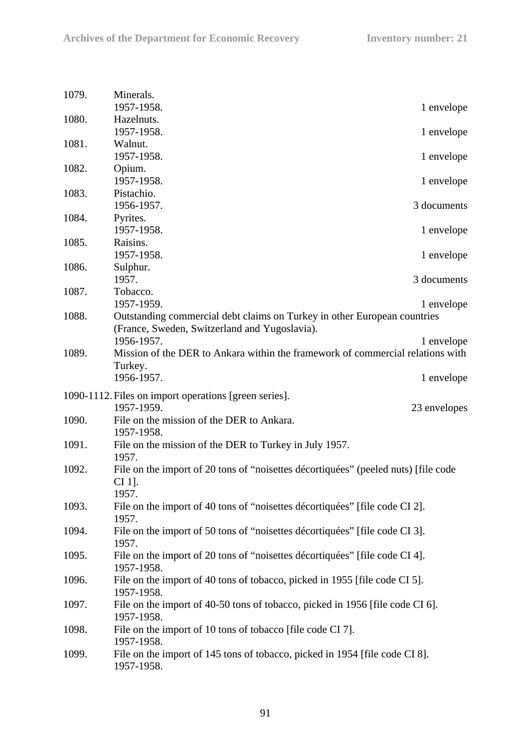| 1079. | Minerals.<br>1957-1958.                                                            | 1 envelope   |
|-------|------------------------------------------------------------------------------------|--------------|
| 1080. | Hazelnuts.                                                                         |              |
|       | 1957-1958.                                                                         | 1 envelope   |
| 1081. | Walnut.                                                                            |              |
|       | 1957-1958.                                                                         | 1 envelope   |
|       |                                                                                    |              |
| 1082. | Opium.                                                                             |              |
|       | 1957-1958.                                                                         | 1 envelope   |
| 1083. | Pistachio.                                                                         |              |
|       | 1956-1957.                                                                         | 3 documents  |
| 1084. | Pyrites.                                                                           |              |
|       | 1957-1958.                                                                         | 1 envelope   |
|       |                                                                                    |              |
| 1085. | Raisins.                                                                           |              |
|       | 1957-1958.                                                                         | 1 envelope   |
| 1086. | Sulphur.                                                                           |              |
|       | 1957.                                                                              | 3 documents  |
| 1087. | Tobacco.                                                                           |              |
|       | 1957-1959.                                                                         | 1 envelope   |
| 1088. |                                                                                    |              |
|       | Outstanding commercial debt claims on Turkey in other European countries           |              |
|       | (France, Sweden, Switzerland and Yugoslavia).                                      |              |
|       | 1956-1957.                                                                         | 1 envelope   |
| 1089. | Mission of the DER to Ankara within the framework of commercial relations with     |              |
|       | Turkey.                                                                            |              |
|       | 1956-1957.                                                                         | 1 envelope   |
|       |                                                                                    |              |
|       | 1090-1112. Files on import operations [green series].                              |              |
|       | 1957-1959.                                                                         | 23 envelopes |
| 1090. | File on the mission of the DER to Ankara.                                          |              |
|       | 1957-1958.                                                                         |              |
| 1091. | File on the mission of the DER to Turkey in July 1957.                             |              |
|       |                                                                                    |              |
|       | 1957.                                                                              |              |
| 1092. | File on the import of 20 tons of "noisettes décortiquées" (peeled nuts) [file code |              |
|       | CI 1].                                                                             |              |
|       | 1957.                                                                              |              |
| 1093. | File on the import of 40 tons of "noisettes décortiquées" [file code CI 2].        |              |
|       | 1957.                                                                              |              |
| 1094. | File on the import of 50 tons of "noisettes décortiquées" [file code CI 3].        |              |
|       |                                                                                    |              |
|       | 1957.                                                                              |              |
| 1095. | File on the import of 20 tons of "noisettes décortiquées" [file code CI 4].        |              |
|       | 1957-1958.                                                                         |              |
| 1096. | File on the import of 40 tons of tobacco, picked in 1955 [file code CI 5].         |              |
|       | 1957-1958.                                                                         |              |
| 1097. | File on the import of 40-50 tons of tobacco, picked in 1956 [file code CI 6].      |              |
|       |                                                                                    |              |
|       | 1957-1958.                                                                         |              |
| 1098. | File on the import of 10 tons of tobacco [file code CI 7].                         |              |
|       | 1957-1958.                                                                         |              |
| 1099. | File on the import of 145 tons of tobacco, picked in 1954 [file code CI 8].        |              |
|       | 1957-1958.                                                                         |              |
|       |                                                                                    |              |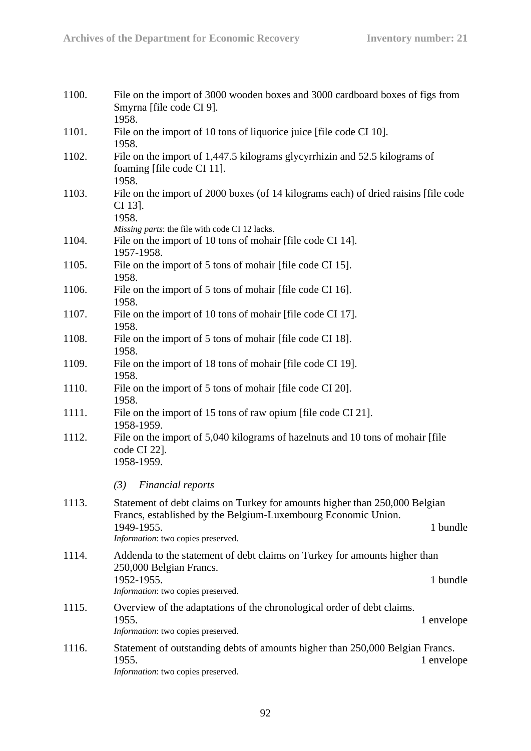| 1100. | File on the import of 3000 wooden boxes and 3000 cardboard boxes of figs from<br>Smyrna [file code CI 9].<br>1958.                                        |
|-------|-----------------------------------------------------------------------------------------------------------------------------------------------------------|
| 1101. | File on the import of 10 tons of liquorice juice [file code CI 10].<br>1958.                                                                              |
| 1102. | File on the import of 1,447.5 kilograms glycyrrhizin and 52.5 kilograms of<br>foaming [file code CI 11].<br>1958.                                         |
| 1103. | File on the import of 2000 boxes (of 14 kilograms each) of dried raisins [file code<br>CI 13].<br>1958.<br>Missing parts: the file with code CI 12 lacks. |
| 1104. | File on the import of 10 tons of mohair [file code CI 14].<br>1957-1958.                                                                                  |
| 1105. | File on the import of 5 tons of mohair [file code CI 15].<br>1958.                                                                                        |
| 1106. | File on the import of 5 tons of mohair [file code CI 16].<br>1958.                                                                                        |
| 1107. | File on the import of 10 tons of mohair [file code CI 17].<br>1958.                                                                                       |
| 1108. | File on the import of 5 tons of mohair [file code CI 18].<br>1958.                                                                                        |
| 1109. | File on the import of 18 tons of mohair [file code CI 19].<br>1958.                                                                                       |
| 1110. | File on the import of 5 tons of mohair [file code CI 20].<br>1958.                                                                                        |
| 1111. | File on the import of 15 tons of raw opium [file code CI 21].<br>1958-1959.                                                                               |
| 1112. | File on the import of 5,040 kilograms of hazelnuts and 10 tons of mohair [file]<br>code CI 22].<br>1958-1959.                                             |
|       | (3)<br>Financial reports                                                                                                                                  |
| 1113. | Statement of debt claims on Turkey for amounts higher than 250,000 Belgian<br>Francs, established by the Belgium-Luxembourg Economic Union.               |
|       | 1 bundle<br>1949-1955.<br>Information: two copies preserved.                                                                                              |
| 1114. | Addenda to the statement of debt claims on Turkey for amounts higher than<br>250,000 Belgian Francs.                                                      |
|       | 1952-1955.<br>1 bundle<br>Information: two copies preserved.                                                                                              |
| 1115. | Overview of the adaptations of the chronological order of debt claims.<br>1955.<br>1 envelope<br>Information: two copies preserved.                       |
| 1116. | Statement of outstanding debts of amounts higher than 250,000 Belgian Francs.<br>1955.<br>1 envelope<br>Information: two copies preserved.                |
|       |                                                                                                                                                           |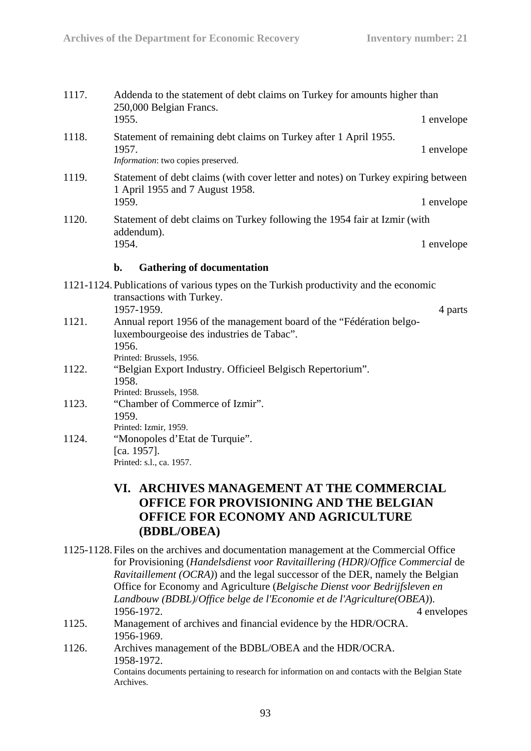- 1117. Addenda to the statement of debt claims on Turkey for amounts higher than 250,000 Belgian Francs. 1955. 1 envelope
- 1118. Statement of remaining debt claims on Turkey after 1 April 1955. 1957. 1 envelope *Information*: two copies preserved.
- 1119. Statement of debt claims (with cover letter and notes) on Turkey expiring between 1 April 1955 and 7 August 1958. 1959. 1 envelope
- 1120. Statement of debt claims on Turkey following the 1954 fair at Izmir (with addendum). 1954. 1 envelope

#### **b. Gathering of documentation**

- 1121-1124. Publications of various types on the Turkish productivity and the economic transactions with Turkey. 1957-1959. 4 parts 1121. Annual report 1956 of the management board of the "Fédération belgoluxembourgeoise des industries de Tabac". 1956. Printed: Brussels, 1956. 1122. "Belgian Export Industry. Officieel Belgisch Repertorium". 1958. Printed: Brussels, 1958. 1123. "Chamber of Commerce of Izmir". 1959. Printed: Izmir, 1959.
- 1124. "Monopoles d'Etat de Turquie". [ca. 1957]. Printed: s.l., ca. 1957.

## **VI. ARCHIVES MANAGEMENT AT THE COMMERCIAL OFFICE FOR PROVISIONING AND THE BELGIAN OFFICE FOR ECONOMY AND AGRICULTURE (BDBL/OBEA)**

- 1125-1128. Files on the archives and documentation management at the Commercial Office for Provisioning (*Handelsdienst voor Ravitaillering (HDR)*/*Office Commercial* de *Ravitaillement (OCRA)*) and the legal successor of the DER, namely the Belgian Office for Economy and Agriculture (*Belgische Dienst voor Bedrijfsleven en Landbouw (BDBL)*/*Office belge de l'Economie et de l'Agriculture(OBEA)*). 1956-1972. 4 envelopes
- 1125. Management of archives and financial evidence by the HDR/OCRA. 1956-1969.
- 1126. Archives management of the BDBL/OBEA and the HDR/OCRA. 1958-1972.

Contains documents pertaining to research for information on and contacts with the Belgian State Archives.